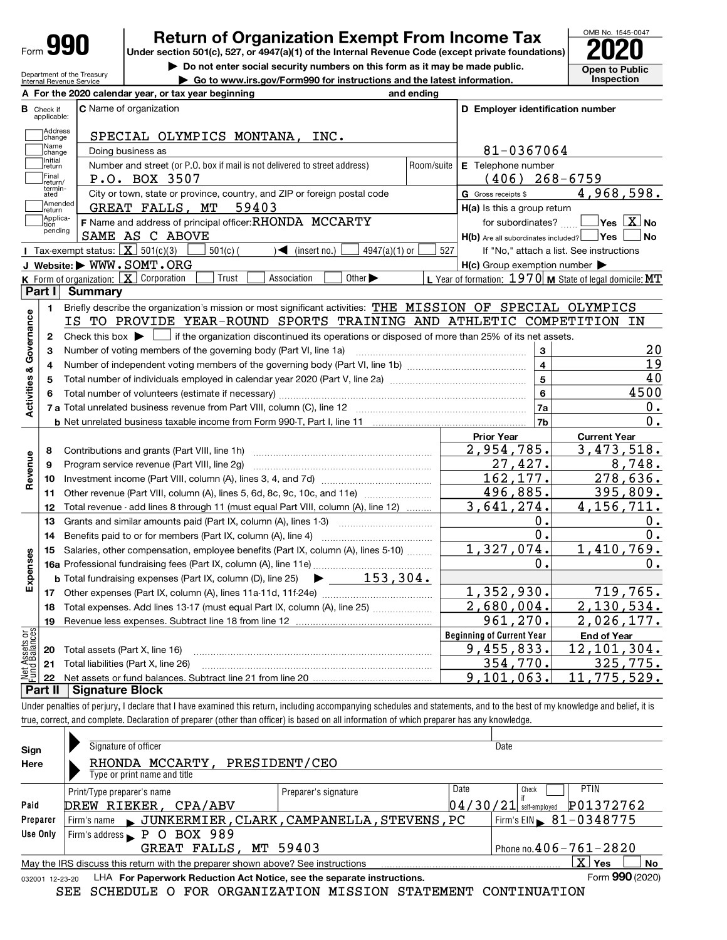| Form | 991 | í |
|------|-----|---|
|      |     |   |

# **990** Return of Organization Exempt From Income Tax  $\frac{\text{OMB No. 1545-0047}}{2020}$

Do not enter social security numbers on this form as it may be made public. <br>
Open to Public



|                                |                                                                                                                                                                                                                                                                                                                          | Department of the Treasury<br>Internal Revenue Service |                                                                                                   | ► Go to www.irs.gov/Form990 for instructions and the latest information.                                                                    |            |                                                     |                         | Inspection                                                |
|--------------------------------|--------------------------------------------------------------------------------------------------------------------------------------------------------------------------------------------------------------------------------------------------------------------------------------------------------------------------|--------------------------------------------------------|---------------------------------------------------------------------------------------------------|---------------------------------------------------------------------------------------------------------------------------------------------|------------|-----------------------------------------------------|-------------------------|-----------------------------------------------------------|
|                                |                                                                                                                                                                                                                                                                                                                          |                                                        | A For the 2020 calendar year, or tax year beginning                                               |                                                                                                                                             | and ending |                                                     |                         |                                                           |
|                                | <b>B</b> Check if<br>applicable:                                                                                                                                                                                                                                                                                         | C Name of organization                                 |                                                                                                   |                                                                                                                                             |            | D Employer identification number                    |                         |                                                           |
|                                | ]Address<br>]change                                                                                                                                                                                                                                                                                                      |                                                        | SPECIAL OLYMPICS MONTANA, INC.                                                                    |                                                                                                                                             |            |                                                     |                         |                                                           |
|                                | Name                                                                                                                                                                                                                                                                                                                     | Doing business as                                      |                                                                                                   |                                                                                                                                             |            | 81-0367064                                          |                         |                                                           |
|                                | change<br>Initial                                                                                                                                                                                                                                                                                                        |                                                        | Number and street (or P.O. box if mail is not delivered to street address)                        |                                                                                                                                             | Room/suite | E Telephone number                                  |                         |                                                           |
|                                | return<br>Final                                                                                                                                                                                                                                                                                                          | P.O. BOX 3507                                          |                                                                                                   |                                                                                                                                             |            |                                                     |                         | $(406)$ 268-6759                                          |
|                                | return/<br>termin-<br>ated                                                                                                                                                                                                                                                                                               |                                                        |                                                                                                   |                                                                                                                                             |            | G Gross receipts \$                                 |                         | 4,968,598.                                                |
|                                | Amended                                                                                                                                                                                                                                                                                                                  |                                                        | City or town, state or province, country, and ZIP or foreign postal code<br>GREAT FALLS, MT 59403 |                                                                                                                                             |            |                                                     |                         |                                                           |
|                                | Ireturn<br>Applica-                                                                                                                                                                                                                                                                                                      |                                                        | F Name and address of principal officer: RHONDA MCCARTY                                           |                                                                                                                                             |            | H(a) Is this a group return                         |                         | for subordinates? $\Box$ Yes $\boxed{\mathbf{X}}$ No      |
|                                | tion<br>pending                                                                                                                                                                                                                                                                                                          | SAME AS C ABOVE                                        |                                                                                                   |                                                                                                                                             |            | H(b) Are all subordinates included? Ves             |                         | ⊥No                                                       |
|                                |                                                                                                                                                                                                                                                                                                                          | Tax-exempt status: $X \overline{3}$ 501(c)(3)          | $501(c)$ (                                                                                        | $\sqrt{\frac{1}{1}}$ (insert no.)<br>$4947(a)(1)$ or                                                                                        | 527        |                                                     |                         | If "No," attach a list. See instructions                  |
|                                |                                                                                                                                                                                                                                                                                                                          | J Website: WWW.SOMT.ORG                                |                                                                                                   |                                                                                                                                             |            | $H(c)$ Group exemption number $\blacktriangleright$ |                         |                                                           |
|                                |                                                                                                                                                                                                                                                                                                                          | K Form of organization: X Corporation                  | Trust                                                                                             | Association<br>Other $\blacktriangleright$                                                                                                  |            |                                                     |                         | L Year of formation: $1970$ M State of legal domicile: MT |
|                                | Part I                                                                                                                                                                                                                                                                                                                   | <b>Summary</b>                                         |                                                                                                   |                                                                                                                                             |            |                                                     |                         |                                                           |
|                                | 1.                                                                                                                                                                                                                                                                                                                       |                                                        |                                                                                                   | Briefly describe the organization's mission or most significant activities: THE MISSION OF SPECIAL OLYMPICS                                 |            |                                                     |                         |                                                           |
| Governance                     |                                                                                                                                                                                                                                                                                                                          |                                                        |                                                                                                   | IS TO PROVIDE YEAR-ROUND SPORTS TRAINING AND ATHLETIC COMPETITION IN                                                                        |            |                                                     |                         |                                                           |
|                                | 2                                                                                                                                                                                                                                                                                                                        |                                                        |                                                                                                   | Check this box $\blacktriangleright$ $\Box$ if the organization discontinued its operations or disposed of more than 25% of its net assets. |            |                                                     |                         |                                                           |
|                                | З                                                                                                                                                                                                                                                                                                                        |                                                        |                                                                                                   |                                                                                                                                             |            |                                                     | 3                       | 20                                                        |
|                                | 4                                                                                                                                                                                                                                                                                                                        |                                                        |                                                                                                   |                                                                                                                                             |            |                                                     | $\overline{\mathbf{4}}$ | 19                                                        |
|                                | 5                                                                                                                                                                                                                                                                                                                        |                                                        |                                                                                                   |                                                                                                                                             |            |                                                     | $5\phantom{a}$          | 40                                                        |
|                                | 6                                                                                                                                                                                                                                                                                                                        |                                                        |                                                                                                   |                                                                                                                                             |            |                                                     | $6\phantom{a}$          | 4500                                                      |
| <b>Activities &amp;</b>        |                                                                                                                                                                                                                                                                                                                          |                                                        |                                                                                                   |                                                                                                                                             |            |                                                     | 7a                      | 0.                                                        |
|                                |                                                                                                                                                                                                                                                                                                                          |                                                        |                                                                                                   |                                                                                                                                             |            |                                                     | 7 <sub>b</sub>          | $0$ .                                                     |
|                                |                                                                                                                                                                                                                                                                                                                          |                                                        |                                                                                                   |                                                                                                                                             |            | <b>Prior Year</b>                                   |                         | <b>Current Year</b>                                       |
|                                | 8                                                                                                                                                                                                                                                                                                                        |                                                        |                                                                                                   |                                                                                                                                             |            | 2,954,785.                                          |                         | 3,473,518.                                                |
| Revenue                        | 9                                                                                                                                                                                                                                                                                                                        |                                                        | Program service revenue (Part VIII, line 2g)                                                      |                                                                                                                                             |            | 27,427.                                             |                         | 8,748.                                                    |
|                                | 10                                                                                                                                                                                                                                                                                                                       |                                                        |                                                                                                   |                                                                                                                                             |            | 162,177.                                            |                         | 278,636.                                                  |
|                                | 11                                                                                                                                                                                                                                                                                                                       |                                                        |                                                                                                   | Other revenue (Part VIII, column (A), lines 5, 6d, 8c, 9c, 10c, and 11e)                                                                    |            | <u>496,885.</u>                                     |                         | <u>395,809.</u>                                           |
|                                | 12                                                                                                                                                                                                                                                                                                                       |                                                        |                                                                                                   | Total revenue - add lines 8 through 11 (must equal Part VIII, column (A), line 12)                                                          |            | 3,641,274.                                          |                         | 4, 156, 711.                                              |
|                                | 13                                                                                                                                                                                                                                                                                                                       |                                                        |                                                                                                   | Grants and similar amounts paid (Part IX, column (A), lines 1-3)                                                                            |            |                                                     | 0.                      | 0.                                                        |
|                                | 14                                                                                                                                                                                                                                                                                                                       |                                                        |                                                                                                   |                                                                                                                                             |            |                                                     | 0.                      | 0.                                                        |
|                                | 15                                                                                                                                                                                                                                                                                                                       |                                                        |                                                                                                   | Salaries, other compensation, employee benefits (Part IX, column (A), lines 5-10)                                                           |            | 1,327,074.                                          |                         | 1,410,769.                                                |
|                                |                                                                                                                                                                                                                                                                                                                          |                                                        |                                                                                                   |                                                                                                                                             |            |                                                     | 0.                      | 0.                                                        |
| Expenses                       |                                                                                                                                                                                                                                                                                                                          |                                                        |                                                                                                   | <b>b</b> Total fundraising expenses (Part IX, column (D), line 25) $\rightarrow$ 153, 304.                                                  |            |                                                     |                         |                                                           |
|                                |                                                                                                                                                                                                                                                                                                                          |                                                        |                                                                                                   |                                                                                                                                             |            | 1,352,930.                                          |                         | 719,765.                                                  |
|                                |                                                                                                                                                                                                                                                                                                                          |                                                        |                                                                                                   | Total expenses. Add lines 13-17 (must equal Part IX, column (A), line 25)                                                                   |            | 2,680,004.                                          |                         | 2,130,534.                                                |
|                                | 19                                                                                                                                                                                                                                                                                                                       |                                                        |                                                                                                   |                                                                                                                                             |            | 961,270.                                            |                         | 2,026,177.                                                |
|                                |                                                                                                                                                                                                                                                                                                                          |                                                        |                                                                                                   |                                                                                                                                             |            | <b>Beginning of Current Year</b>                    |                         | <b>End of Year</b>                                        |
|                                | 20                                                                                                                                                                                                                                                                                                                       | Total assets (Part X, line 16)                         |                                                                                                   |                                                                                                                                             |            | <u>9,455,833.</u>                                   |                         | 12, 101, 304.                                             |
| Net Assets or<br>Fund Balances | 21                                                                                                                                                                                                                                                                                                                       | Total liabilities (Part X, line 26)                    |                                                                                                   |                                                                                                                                             |            | 354,770.                                            |                         | <u>325,775.</u>                                           |
|                                | 22<br>Part II                                                                                                                                                                                                                                                                                                            | <b>Signature Block</b>                                 |                                                                                                   |                                                                                                                                             |            | 9,101,063.                                          |                         | 11,775,529.                                               |
|                                |                                                                                                                                                                                                                                                                                                                          |                                                        |                                                                                                   |                                                                                                                                             |            |                                                     |                         |                                                           |
|                                | Under penalties of perjury, I declare that I have examined this return, including accompanying schedules and statements, and to the best of my knowledge and belief, it is<br>true, correct, and complete. Declaration of preparer (other than officer) is based on all information of which preparer has any knowledge. |                                                        |                                                                                                   |                                                                                                                                             |            |                                                     |                         |                                                           |
|                                |                                                                                                                                                                                                                                                                                                                          |                                                        |                                                                                                   |                                                                                                                                             |            |                                                     |                         |                                                           |
| Sign                           |                                                                                                                                                                                                                                                                                                                          | Signature of officer                                   |                                                                                                   |                                                                                                                                             |            | Date                                                |                         |                                                           |
| Here                           |                                                                                                                                                                                                                                                                                                                          |                                                        | RHONDA MCCARTY,                                                                                   | PRESIDENT/CEO                                                                                                                               |            |                                                     |                         |                                                           |
|                                |                                                                                                                                                                                                                                                                                                                          | Type or print name and title                           |                                                                                                   |                                                                                                                                             |            |                                                     |                         |                                                           |
|                                |                                                                                                                                                                                                                                                                                                                          | Print/Type preparer's name                             |                                                                                                   | Preparer's signature                                                                                                                        |            | Date                                                | Check                   | <b>PTIN</b>                                               |

DREW RIEKER,  $CPA/ABV$   $04/30/21$  self-employed  $P01372762$ Paid Preparer Use Only  $X$  Yes  $N$ LHA For Paperwork Reduction Act Notice, see the separate instructions.  $\blacksquare$  Form  $\mathbf{990}$  (2020) Firm's name JUNKERMIER, CLARK, CAMPANELLA, STEVENS, PC Firm's EIN  $\blacktriangleright$  81-0348775 Firm's address **P O BOX 989**<br>GREAT FALLS Phone no.  $406 - 761 - 2820$ May the IRS discuss this return with the preparer shown above? See instructions GREAT FALLS, MT 59403

032001 12-23-20 SEE SCHEDULE O FOR ORGANIZATION MISSION STATEMENT CONTINUATION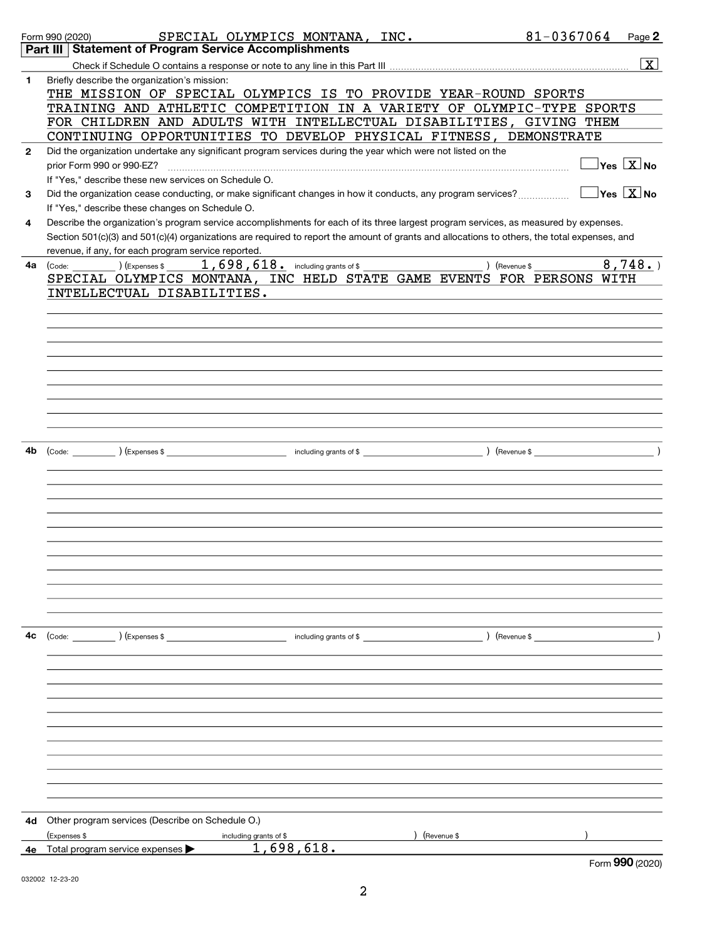|              | SPECIAL OLYMPICS MONTANA, INC.<br>Form 990 (2020)                                                                                            | 81-0367064 | Page 2                                        |
|--------------|----------------------------------------------------------------------------------------------------------------------------------------------|------------|-----------------------------------------------|
|              | Part III Statement of Program Service Accomplishments                                                                                        |            |                                               |
|              |                                                                                                                                              |            | $\boxed{\text{X}}$                            |
| 1            | Briefly describe the organization's mission:                                                                                                 |            |                                               |
|              | THE MISSION OF SPECIAL OLYMPICS IS TO PROVIDE YEAR-ROUND SPORTS                                                                              |            |                                               |
|              | TRAINING AND ATHLETIC COMPETITION IN A VARIETY OF OLYMPIC-TYPE SPORTS                                                                        |            |                                               |
|              | FOR CHILDREN AND ADULTS WITH INTELLECTUAL DISABILITIES, GIVING THEM                                                                          |            |                                               |
|              | CONTINUING OPPORTUNITIES TO DEVELOP PHYSICAL FITNESS, DEMONSTRATE                                                                            |            |                                               |
| $\mathbf{2}$ | Did the organization undertake any significant program services during the year which were not listed on the                                 |            |                                               |
|              | prior Form 990 or 990-EZ?                                                                                                                    |            | $\overline{\ }$ Yes $\overline{\rm \bf X}$ No |
|              | If "Yes," describe these new services on Schedule O.                                                                                         |            |                                               |
| 3            | Did the organization cease conducting, or make significant changes in how it conducts, any program services?                                 |            | $\exists$ Yes $\boxed{\text{X}}$ No           |
|              | If "Yes," describe these changes on Schedule O.                                                                                              |            |                                               |
| 4            | Describe the organization's program service accomplishments for each of its three largest program services, as measured by expenses.         |            |                                               |
|              | Section 501(c)(3) and 501(c)(4) organizations are required to report the amount of grants and allocations to others, the total expenses, and |            |                                               |
|              | revenue, if any, for each program service reported.                                                                                          |            |                                               |
| 4a           | $1,698,618$ and including grants of \$<br>) (Revenue \$<br>$\left(\text{Code:}\right)$ $\left(\text{Expenses $}\right)$                      |            | 8,748.                                        |
|              | SPECIAL OLYMPICS MONTANA, INC HELD STATE GAME EVENTS FOR PERSONS WITH                                                                        |            |                                               |
|              | INTELLECTUAL DISABILITIES.                                                                                                                   |            |                                               |
|              |                                                                                                                                              |            |                                               |
|              |                                                                                                                                              |            |                                               |
|              |                                                                                                                                              |            |                                               |
|              |                                                                                                                                              |            |                                               |
|              |                                                                                                                                              |            |                                               |
|              |                                                                                                                                              |            |                                               |
|              |                                                                                                                                              |            |                                               |
|              |                                                                                                                                              |            |                                               |
|              |                                                                                                                                              |            |                                               |
|              |                                                                                                                                              |            |                                               |
|              |                                                                                                                                              |            |                                               |
| 4b           |                                                                                                                                              |            |                                               |
|              |                                                                                                                                              |            |                                               |
|              |                                                                                                                                              |            |                                               |
|              |                                                                                                                                              |            |                                               |
|              |                                                                                                                                              |            |                                               |
|              |                                                                                                                                              |            |                                               |
|              |                                                                                                                                              |            |                                               |
|              |                                                                                                                                              |            |                                               |
|              |                                                                                                                                              |            |                                               |
|              |                                                                                                                                              |            |                                               |
|              |                                                                                                                                              |            |                                               |
|              |                                                                                                                                              |            |                                               |
|              |                                                                                                                                              |            |                                               |
| 4c           | (Code:       )(Expenses \$                 including grants of \$               )(Revenue \$                                                 |            |                                               |
|              |                                                                                                                                              |            |                                               |
|              |                                                                                                                                              |            |                                               |
|              |                                                                                                                                              |            |                                               |
|              |                                                                                                                                              |            |                                               |
|              |                                                                                                                                              |            |                                               |
|              |                                                                                                                                              |            |                                               |
|              |                                                                                                                                              |            |                                               |
|              |                                                                                                                                              |            |                                               |
|              |                                                                                                                                              |            |                                               |
|              |                                                                                                                                              |            |                                               |
|              |                                                                                                                                              |            |                                               |
|              |                                                                                                                                              |            |                                               |
|              |                                                                                                                                              |            |                                               |
| 4d           | Other program services (Describe on Schedule O.)                                                                                             |            |                                               |
|              | (Expenses \$<br>(Revenue \$<br>including grants of \$                                                                                        |            |                                               |
| 4е           | 1,698,618.<br>Total program service expenses $\blacktriangleright$                                                                           |            |                                               |
|              |                                                                                                                                              |            | Form 990 (2020)                               |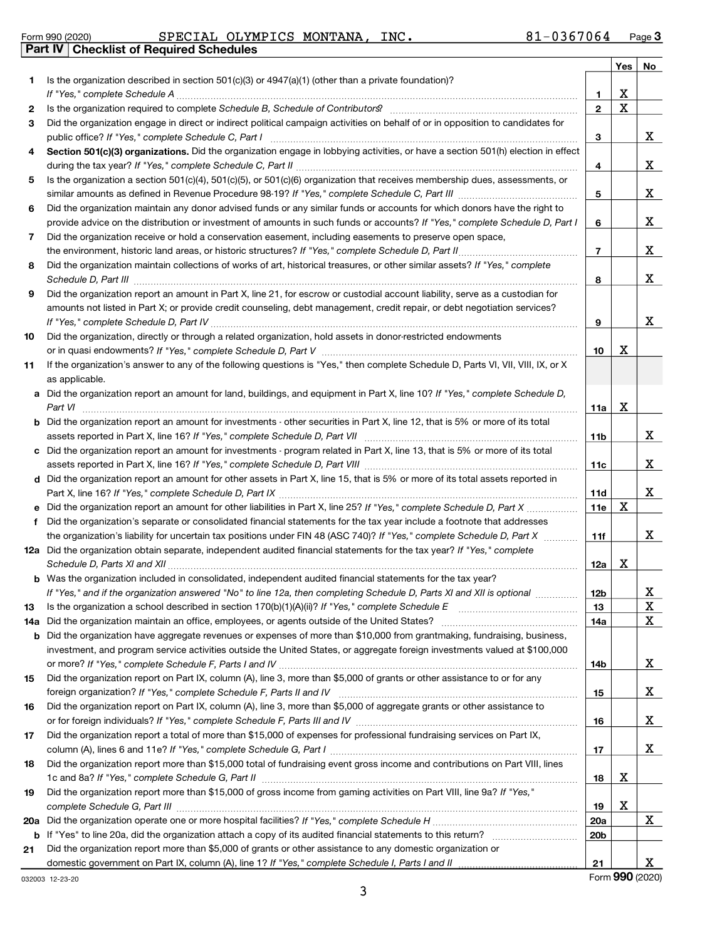|  | Form 990 (2020) |
|--|-----------------|
|  |                 |

#### Form 990 (2020) **Page 19 SPECIAL OLYMPICS MONTANA, INC.** 81-0367064 Page **Part IV Checklist of Required Schedules**

|     |                                                                                                                                                                                                                                                       |                 | Yes         | No |
|-----|-------------------------------------------------------------------------------------------------------------------------------------------------------------------------------------------------------------------------------------------------------|-----------------|-------------|----|
| 1   | Is the organization described in section $501(c)(3)$ or $4947(a)(1)$ (other than a private foundation)?                                                                                                                                               |                 |             |    |
|     |                                                                                                                                                                                                                                                       | 1               | х           |    |
| 2   |                                                                                                                                                                                                                                                       | $\overline{2}$  | $\mathbf X$ |    |
| 3   | Did the organization engage in direct or indirect political campaign activities on behalf of or in opposition to candidates for                                                                                                                       |                 |             |    |
|     |                                                                                                                                                                                                                                                       | 3               |             | X  |
| 4   | Section 501(c)(3) organizations. Did the organization engage in lobbying activities, or have a section 501(h) election in effect                                                                                                                      | 4               |             | X  |
| 5   | Is the organization a section 501(c)(4), 501(c)(5), or 501(c)(6) organization that receives membership dues, assessments, or                                                                                                                          |                 |             |    |
|     |                                                                                                                                                                                                                                                       | 5               |             | X  |
| 6   | Did the organization maintain any donor advised funds or any similar funds or accounts for which donors have the right to                                                                                                                             |                 |             |    |
|     | provide advice on the distribution or investment of amounts in such funds or accounts? If "Yes," complete Schedule D, Part I                                                                                                                          | 6               |             | X  |
| 7   | Did the organization receive or hold a conservation easement, including easements to preserve open space,                                                                                                                                             |                 |             |    |
|     |                                                                                                                                                                                                                                                       | $\overline{7}$  |             | X  |
| 8   | Did the organization maintain collections of works of art, historical treasures, or other similar assets? If "Yes," complete                                                                                                                          |                 |             |    |
|     |                                                                                                                                                                                                                                                       | 8               |             | X  |
| 9   | Did the organization report an amount in Part X, line 21, for escrow or custodial account liability, serve as a custodian for                                                                                                                         |                 |             |    |
|     | amounts not listed in Part X; or provide credit counseling, debt management, credit repair, or debt negotiation services?                                                                                                                             |                 |             |    |
|     |                                                                                                                                                                                                                                                       | 9               |             | X  |
| 10  | Did the organization, directly or through a related organization, hold assets in donor-restricted endowments                                                                                                                                          |                 |             |    |
|     |                                                                                                                                                                                                                                                       | 10              | х           |    |
| 11  | If the organization's answer to any of the following questions is "Yes," then complete Schedule D, Parts VI, VII, VIII, IX, or X                                                                                                                      |                 |             |    |
| a   | as applicable.<br>Did the organization report an amount for land, buildings, and equipment in Part X, line 10? If "Yes," complete Schedule D,                                                                                                         |                 |             |    |
|     | Part VI                                                                                                                                                                                                                                               | 11a             | X           |    |
| b   | Did the organization report an amount for investments - other securities in Part X, line 12, that is 5% or more of its total                                                                                                                          |                 |             |    |
|     |                                                                                                                                                                                                                                                       | 11 <sub>b</sub> |             | x  |
| c   | Did the organization report an amount for investments - program related in Part X, line 13, that is 5% or more of its total                                                                                                                           |                 |             |    |
|     |                                                                                                                                                                                                                                                       | 11c             |             | X  |
| d   | Did the organization report an amount for other assets in Part X, line 15, that is 5% or more of its total assets reported in                                                                                                                         |                 |             |    |
|     |                                                                                                                                                                                                                                                       | 11d             |             | X  |
|     |                                                                                                                                                                                                                                                       | 11e             | X           |    |
| f   | Did the organization's separate or consolidated financial statements for the tax year include a footnote that addresses                                                                                                                               |                 |             |    |
|     | the organization's liability for uncertain tax positions under FIN 48 (ASC 740)? If "Yes," complete Schedule D, Part X                                                                                                                                | 11f             |             | X  |
|     | 12a Did the organization obtain separate, independent audited financial statements for the tax year? If "Yes," complete                                                                                                                               |                 |             |    |
|     |                                                                                                                                                                                                                                                       | 12a             | Х           |    |
|     | Was the organization included in consolidated, independent audited financial statements for the tax year?                                                                                                                                             |                 |             |    |
|     | If "Yes," and if the organization answered "No" to line 12a, then completing Schedule D, Parts XI and XII is optional                                                                                                                                 | 12b             |             | Δ, |
| 13  | Is the organization a school described in section 170(b)(1)(A)(ii)? If "Yes," complete Schedule E                                                                                                                                                     | 13              |             | x  |
| 14a | Did the organization maintain an office, employees, or agents outside of the United States?                                                                                                                                                           | 14a             |             | X  |
| b   | Did the organization have aggregate revenues or expenses of more than \$10,000 from grantmaking, fundraising, business,<br>investment, and program service activities outside the United States, or aggregate foreign investments valued at \$100,000 |                 |             |    |
|     |                                                                                                                                                                                                                                                       | 14b             |             | X  |
| 15  | Did the organization report on Part IX, column (A), line 3, more than \$5,000 of grants or other assistance to or for any                                                                                                                             |                 |             |    |
|     |                                                                                                                                                                                                                                                       | 15              |             | X  |
| 16  | Did the organization report on Part IX, column (A), line 3, more than \$5,000 of aggregate grants or other assistance to                                                                                                                              |                 |             |    |
|     |                                                                                                                                                                                                                                                       | 16              |             | X  |
| 17  | Did the organization report a total of more than \$15,000 of expenses for professional fundraising services on Part IX,                                                                                                                               |                 |             |    |
|     |                                                                                                                                                                                                                                                       | 17              |             | X  |
| 18  | Did the organization report more than \$15,000 total of fundraising event gross income and contributions on Part VIII, lines                                                                                                                          |                 |             |    |
|     |                                                                                                                                                                                                                                                       | 18              | х           |    |
| 19  | Did the organization report more than \$15,000 of gross income from gaming activities on Part VIII, line 9a? If "Yes,"                                                                                                                                |                 |             |    |
|     |                                                                                                                                                                                                                                                       | 19              | х           |    |
| 20a |                                                                                                                                                                                                                                                       | 20a             |             | X  |
| b   |                                                                                                                                                                                                                                                       | 20 <sub>b</sub> |             |    |
| 21  | Did the organization report more than \$5,000 of grants or other assistance to any domestic organization or                                                                                                                                           |                 |             |    |
|     |                                                                                                                                                                                                                                                       | 21              |             | X  |

032003 12-23-20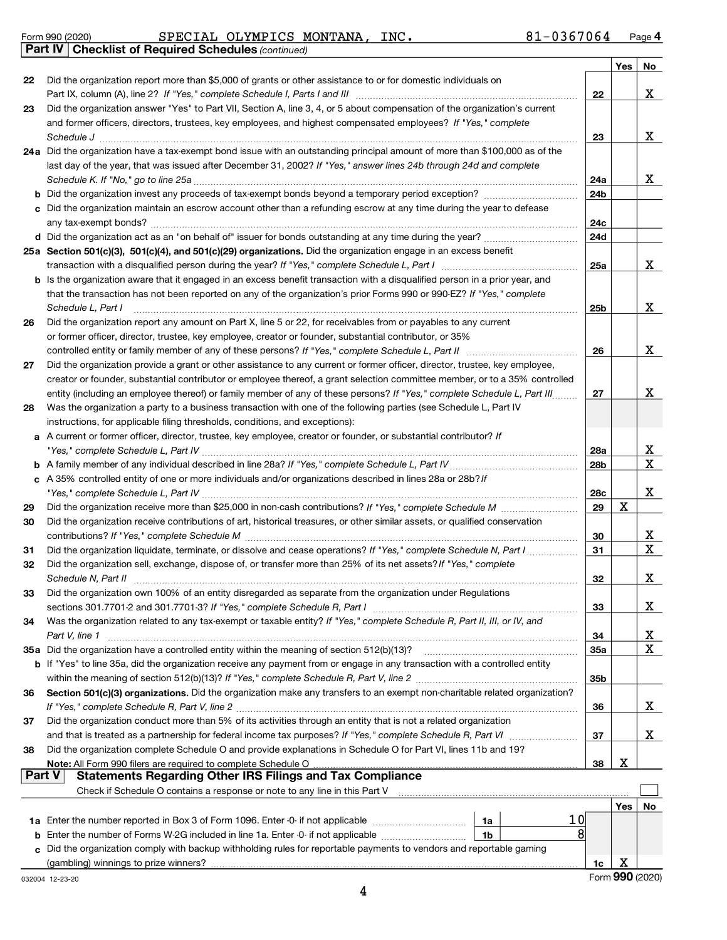|  | Form 990 (2020) |
|--|-----------------|
|  |                 |

#### Part IV | Checklist of Required Schedules (continued) Form 990 (2020) **Page 19 SPECIAL OLYMPICS MONTANA, INC.** 81-0367064 Page

|          |                                                                                                                                                                                                                                                         |                 | Yes | No              |
|----------|---------------------------------------------------------------------------------------------------------------------------------------------------------------------------------------------------------------------------------------------------------|-----------------|-----|-----------------|
| 22       | Did the organization report more than \$5,000 of grants or other assistance to or for domestic individuals on                                                                                                                                           |                 |     |                 |
|          | Part IX, column (A), line 2? If "Yes," complete Schedule I, Parts I and III [11]] [11]] [11] [11] [11] [11] [1                                                                                                                                          | 22              |     | X               |
| 23       | Did the organization answer "Yes" to Part VII, Section A, line 3, 4, or 5 about compensation of the organization's current                                                                                                                              |                 |     |                 |
|          | and former officers, directors, trustees, key employees, and highest compensated employees? If "Yes," complete                                                                                                                                          |                 |     |                 |
|          |                                                                                                                                                                                                                                                         | 23              |     | X               |
|          | 24a Did the organization have a tax-exempt bond issue with an outstanding principal amount of more than \$100,000 as of the                                                                                                                             |                 |     |                 |
|          | last day of the year, that was issued after December 31, 2002? If "Yes," answer lines 24b through 24d and complete                                                                                                                                      | 24a             |     | X               |
|          |                                                                                                                                                                                                                                                         | 24b             |     |                 |
|          | c Did the organization maintain an escrow account other than a refunding escrow at any time during the year to defease                                                                                                                                  |                 |     |                 |
|          |                                                                                                                                                                                                                                                         | 24с             |     |                 |
|          |                                                                                                                                                                                                                                                         | 24d             |     |                 |
|          | 25a Section 501(c)(3), 501(c)(4), and 501(c)(29) organizations. Did the organization engage in an excess benefit                                                                                                                                        |                 |     |                 |
|          |                                                                                                                                                                                                                                                         | 25a             |     | X               |
|          | b Is the organization aware that it engaged in an excess benefit transaction with a disqualified person in a prior year, and                                                                                                                            |                 |     |                 |
|          | that the transaction has not been reported on any of the organization's prior Forms 990 or 990-EZ? If "Yes," complete                                                                                                                                   |                 |     |                 |
|          | Schedule L, Part I                                                                                                                                                                                                                                      | 25b             |     | X               |
| 26       | Did the organization report any amount on Part X, line 5 or 22, for receivables from or payables to any current                                                                                                                                         |                 |     |                 |
|          | or former officer, director, trustee, key employee, creator or founder, substantial contributor, or 35%                                                                                                                                                 |                 |     |                 |
|          | controlled entity or family member of any of these persons? If "Yes," complete Schedule L, Part II                                                                                                                                                      | 26              |     | X               |
| 27       | Did the organization provide a grant or other assistance to any current or former officer, director, trustee, key employee,                                                                                                                             |                 |     |                 |
|          | creator or founder, substantial contributor or employee thereof, a grant selection committee member, or to a 35% controlled<br>entity (including an employee thereof) or family member of any of these persons? If "Yes," complete Schedule L, Part III | 27              |     | X               |
| 28       | Was the organization a party to a business transaction with one of the following parties (see Schedule L, Part IV                                                                                                                                       |                 |     |                 |
|          | instructions, for applicable filing thresholds, conditions, and exceptions):                                                                                                                                                                            |                 |     |                 |
|          | a A current or former officer, director, trustee, key employee, creator or founder, or substantial contributor? If                                                                                                                                      |                 |     |                 |
|          |                                                                                                                                                                                                                                                         | 28a             |     | X               |
|          |                                                                                                                                                                                                                                                         | 28 <sub>b</sub> |     | X               |
|          | c A 35% controlled entity of one or more individuals and/or organizations described in lines 28a or 28b? If                                                                                                                                             |                 |     |                 |
|          |                                                                                                                                                                                                                                                         | 28c             |     | X               |
| 29       |                                                                                                                                                                                                                                                         | 29              | X   |                 |
| 30       | Did the organization receive contributions of art, historical treasures, or other similar assets, or qualified conservation                                                                                                                             |                 |     |                 |
|          |                                                                                                                                                                                                                                                         | 30              |     | X<br>X          |
| 31<br>32 | Did the organization liquidate, terminate, or dissolve and cease operations? If "Yes," complete Schedule N, Part I<br>Did the organization sell, exchange, dispose of, or transfer more than 25% of its net assets? If "Yes," complete                  | 31              |     |                 |
|          |                                                                                                                                                                                                                                                         | 32              |     | X               |
| 33       | Did the organization own 100% of an entity disregarded as separate from the organization under Regulations                                                                                                                                              |                 |     |                 |
|          | sections 301.7701-2 and 301.7701-3? If "Yes," complete Schedule R, Part I                                                                                                                                                                               | 33              |     | x               |
| 34       | Was the organization related to any tax-exempt or taxable entity? If "Yes," complete Schedule R, Part II, III, or IV, and                                                                                                                               |                 |     |                 |
|          | Part V, line 1                                                                                                                                                                                                                                          | 34              |     | x               |
|          | 35a Did the organization have a controlled entity within the meaning of section 512(b)(13)?                                                                                                                                                             | 35a             |     | X               |
|          | b If "Yes" to line 35a, did the organization receive any payment from or engage in any transaction with a controlled entity                                                                                                                             |                 |     |                 |
|          |                                                                                                                                                                                                                                                         | 35b             |     |                 |
| 36       | Section 501(c)(3) organizations. Did the organization make any transfers to an exempt non-charitable related organization?                                                                                                                              |                 |     |                 |
|          |                                                                                                                                                                                                                                                         | 36              |     | x               |
| 37       | Did the organization conduct more than 5% of its activities through an entity that is not a related organization                                                                                                                                        |                 |     |                 |
|          |                                                                                                                                                                                                                                                         | 37              |     | x               |
| 38       | Did the organization complete Schedule O and provide explanations in Schedule O for Part VI, lines 11b and 19?<br>Note: All Form 990 filers are required to complete Schedule O                                                                         | 38              | х   |                 |
| Part V   | <b>Statements Regarding Other IRS Filings and Tax Compliance</b>                                                                                                                                                                                        |                 |     |                 |
|          | Check if Schedule O contains a response or note to any line in this Part V                                                                                                                                                                              |                 |     |                 |
|          |                                                                                                                                                                                                                                                         |                 | Yes | No              |
|          | 10<br>1a                                                                                                                                                                                                                                                |                 |     |                 |
|          | 8<br><b>b</b> Enter the number of Forms W-2G included in line 1a. Enter -0- if not applicable<br>1b                                                                                                                                                     |                 |     |                 |
|          | c Did the organization comply with backup withholding rules for reportable payments to vendors and reportable gaming                                                                                                                                    |                 |     |                 |
|          | (gambling) winnings to prize winners?                                                                                                                                                                                                                   | 1c              | х   |                 |
|          | 032004 12-23-20                                                                                                                                                                                                                                         |                 |     | Form 990 (2020) |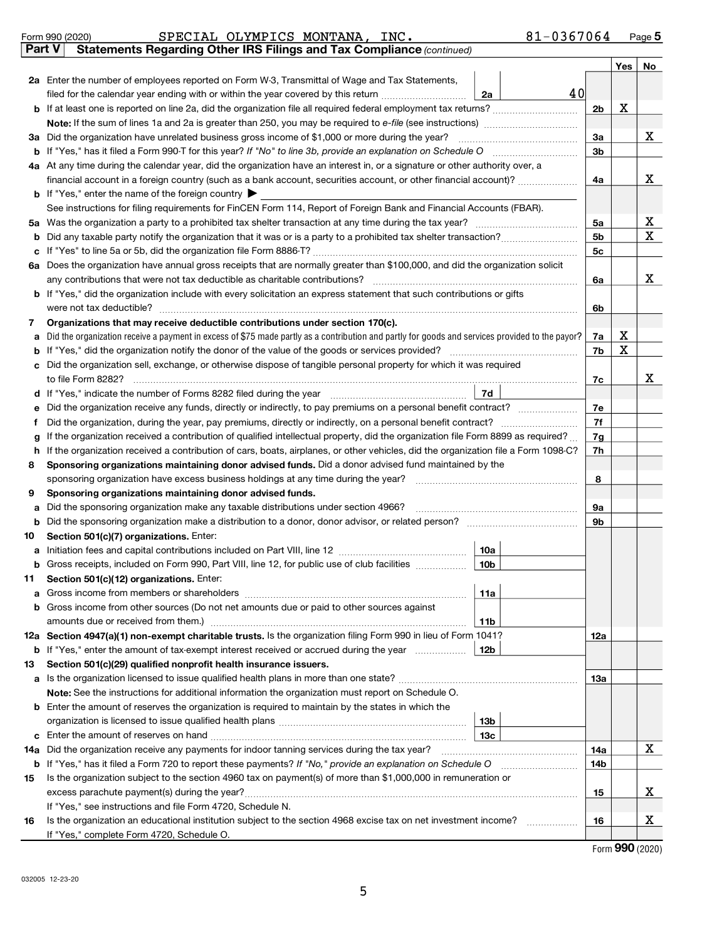|         | SPECIAL OLYMPICS MONTANA, INC.<br>Form 990 (2020)                                                                                               | $81 - 0367064$ |                |     | Page 5 |
|---------|-------------------------------------------------------------------------------------------------------------------------------------------------|----------------|----------------|-----|--------|
|         | Statements Regarding Other IRS Filings and Tax Compliance (continued)<br>Part V                                                                 |                |                |     |        |
|         |                                                                                                                                                 |                |                | Yes | No     |
|         | 2a Enter the number of employees reported on Form W-3, Transmittal of Wage and Tax Statements,                                                  |                |                |     |        |
|         | filed for the calendar year ending with or within the year covered by this return <i>[[[[[[[[[[[[[[]]]]</i> ]]<br>2a                            | 40             |                |     |        |
|         |                                                                                                                                                 |                | 2 <sub>b</sub> | x   |        |
|         |                                                                                                                                                 |                |                |     |        |
|         | 3a Did the organization have unrelated business gross income of \$1,000 or more during the year?                                                |                | 3a             |     | X      |
|         |                                                                                                                                                 |                | 3 <sub>b</sub> |     |        |
|         | 4a At any time during the calendar year, did the organization have an interest in, or a signature or other authority over, a                    |                |                |     |        |
|         | financial account in a foreign country (such as a bank account, securities account, or other financial account)?                                |                | 4a             |     | X      |
|         | <b>b</b> If "Yes," enter the name of the foreign country $\blacktriangleright$                                                                  |                |                |     |        |
|         | See instructions for filing requirements for FinCEN Form 114, Report of Foreign Bank and Financial Accounts (FBAR).                             |                |                |     |        |
|         |                                                                                                                                                 |                | 5a             |     | x      |
| b       |                                                                                                                                                 |                | 5 <sub>b</sub> |     | X      |
| c       |                                                                                                                                                 |                | 5с             |     |        |
|         | 6a Does the organization have annual gross receipts that are normally greater than \$100,000, and did the organization solicit                  |                |                |     |        |
|         | any contributions that were not tax deductible as charitable contributions?                                                                     |                | 6a             |     | X      |
|         | b If "Yes," did the organization include with every solicitation an express statement that such contributions or gifts                          |                |                |     |        |
|         | were not tax deductible?                                                                                                                        |                | 6b             |     |        |
| 7       | Organizations that may receive deductible contributions under section 170(c).                                                                   |                |                |     |        |
| a       | Did the organization receive a payment in excess of \$75 made partly as a contribution and partly for goods and services provided to the payor? |                | 7a             | х   |        |
| b       |                                                                                                                                                 |                | 7b             | X   |        |
| с       | Did the organization sell, exchange, or otherwise dispose of tangible personal property for which it was required                               |                |                |     |        |
|         | to file Form 8282?                                                                                                                              |                | 7c             |     | x      |
| d       | 7d                                                                                                                                              |                |                |     |        |
| е       |                                                                                                                                                 |                | 7e             |     |        |
| f       | Did the organization, during the year, pay premiums, directly or indirectly, on a personal benefit contract?                                    |                | 7f             |     |        |
| g       | If the organization received a contribution of qualified intellectual property, did the organization file Form 8899 as required?                |                | 7g             |     |        |
| h       | If the organization received a contribution of cars, boats, airplanes, or other vehicles, did the organization file a Form 1098-C?              |                | 7h             |     |        |
| 8       | Sponsoring organizations maintaining donor advised funds. Did a donor advised fund maintained by the                                            |                |                |     |        |
|         | sponsoring organization have excess business holdings at any time during the year?                                                              |                | 8              |     |        |
| 9       | Sponsoring organizations maintaining donor advised funds.<br>Did the sponsoring organization make any taxable distributions under section 4966? |                | 9а             |     |        |
| а       |                                                                                                                                                 |                | 9b             |     |        |
| b<br>10 |                                                                                                                                                 |                |                |     |        |
|         | Section 501(c)(7) organizations. Enter:<br>10a                                                                                                  |                |                |     |        |
| a<br>b  | Gross receipts, included on Form 990, Part VIII, line 12, for public use of club facilities<br>10b                                              |                |                |     |        |
| 11      | Section 501(c)(12) organizations. Enter:                                                                                                        |                |                |     |        |
| а       | 11a                                                                                                                                             |                |                |     |        |
| b       | Gross income from other sources (Do not net amounts due or paid to other sources against                                                        |                |                |     |        |
|         | amounts due or received from them.)<br>11b                                                                                                      |                |                |     |        |
|         | 12a Section 4947(a)(1) non-exempt charitable trusts. Is the organization filing Form 990 in lieu of Form 1041?                                  |                | 12a            |     |        |
|         | <b>b</b> If "Yes," enter the amount of tax-exempt interest received or accrued during the year<br>12b                                           |                |                |     |        |
| 13      | Section 501(c)(29) qualified nonprofit health insurance issuers.                                                                                |                |                |     |        |
|         | a Is the organization licensed to issue qualified health plans in more than one state?                                                          |                | 13а            |     |        |
|         | Note: See the instructions for additional information the organization must report on Schedule O.                                               |                |                |     |        |
|         | <b>b</b> Enter the amount of reserves the organization is required to maintain by the states in which the                                       |                |                |     |        |
|         | 13 <sub>b</sub>                                                                                                                                 |                |                |     |        |
| c       | 13с                                                                                                                                             |                |                |     |        |
|         | 14a Did the organization receive any payments for indoor tanning services during the tax year?                                                  |                | 14a            |     | X      |
|         | <b>b</b> If "Yes," has it filed a Form 720 to report these payments? If "No," provide an explanation on Schedule O                              |                | 14b            |     |        |
| 15      | Is the organization subject to the section 4960 tax on payment(s) of more than \$1,000,000 in remuneration or                                   |                |                |     |        |
|         |                                                                                                                                                 |                | 15             |     | x      |
|         | If "Yes," see instructions and file Form 4720, Schedule N.                                                                                      |                |                |     |        |
| 16      | Is the organization an educational institution subject to the section 4968 excise tax on net investment income?                                 |                | 16             |     | х      |
|         | If "Yes," complete Form 4720, Schedule O.                                                                                                       |                |                |     |        |

Form 990 (2020)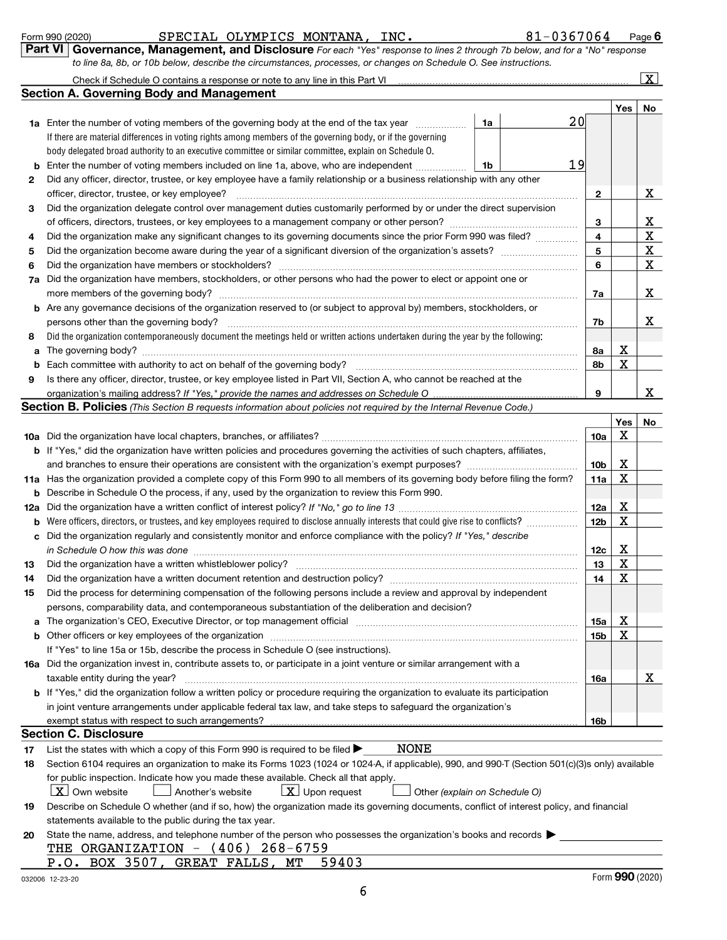|  | Form 990 (2020) |  |
|--|-----------------|--|
|  |                 |  |

### Form 990 (2020) **Page 19 SPECIAL OLYMPICS MONTANA, INC.** 81-0367064 Page

Page 6

Check if Schedule O contains a response or note to any line in this Part VI

| Part VI   Governance, Management, and Disclosure For each "Yes" response to lines 2 through 7b below, and for a "No" response |  |
|-------------------------------------------------------------------------------------------------------------------------------|--|
| to line 8a, 8b, or 10b below, describe the circumstances, processes, or changes on Schedule O. See instructions.              |  |

| Check if Schedule O contains a response or note to any line in this Part VI |  |
|-----------------------------------------------------------------------------|--|
| <b>Section A. Governing Body and Management</b>                             |  |

 $\lfloor x \rfloor$ 

|     |                                                                                                                                                                               |    |    |                 | Yes      | No          |
|-----|-------------------------------------------------------------------------------------------------------------------------------------------------------------------------------|----|----|-----------------|----------|-------------|
|     | 1a Enter the number of voting members of the governing body at the end of the tax year                                                                                        | 1a | 20 |                 |          |             |
|     | If there are material differences in voting rights among members of the governing body, or if the governing                                                                   |    |    |                 |          |             |
|     | body delegated broad authority to an executive committee or similar committee, explain on Schedule O.                                                                         |    |    |                 |          |             |
| b   | Enter the number of voting members included on line 1a, above, who are independent                                                                                            | 1b | 19 |                 |          |             |
| 2   | Did any officer, director, trustee, or key employee have a family relationship or a business relationship with any other                                                      |    |    |                 |          |             |
|     | officer, director, trustee, or key employee?                                                                                                                                  |    |    | $\mathbf{2}$    |          | x           |
| 3   | Did the organization delegate control over management duties customarily performed by or under the direct supervision                                                         |    |    |                 |          |             |
|     |                                                                                                                                                                               |    |    | 3               |          | х           |
| 4   |                                                                                                                                                                               |    |    | 4               |          | $\mathbf X$ |
| 5   |                                                                                                                                                                               |    |    | 5               |          | $\mathbf X$ |
| 6   | Did the organization have members or stockholders?                                                                                                                            |    |    |                 |          | X           |
| 7а  | Did the organization have members, stockholders, or other persons who had the power to elect or appoint one or                                                                |    |    | 6               |          |             |
|     |                                                                                                                                                                               |    |    | 7a              |          | х           |
|     | <b>b</b> Are any governance decisions of the organization reserved to (or subject to approval by) members, stockholders, or                                                   |    |    |                 |          |             |
|     |                                                                                                                                                                               |    |    |                 |          | x           |
|     | persons other than the governing body?<br>Did the organization contemporaneously document the meetings held or written actions undertaken during the year by the following:   |    |    | 7b              |          |             |
| 8   |                                                                                                                                                                               |    |    |                 | х        |             |
| a   |                                                                                                                                                                               |    |    | 8а              | X        |             |
| b   |                                                                                                                                                                               |    |    | 8b              |          |             |
| 9   | Is there any officer, director, trustee, or key employee listed in Part VII, Section A, who cannot be reached at the                                                          |    |    |                 |          |             |
|     |                                                                                                                                                                               |    |    | 9               |          | x           |
|     | Section B. Policies (This Section B requests information about policies not required by the Internal Revenue Code.)                                                           |    |    |                 |          |             |
|     |                                                                                                                                                                               |    |    |                 | Yes<br>X | No          |
|     |                                                                                                                                                                               |    |    | 10a             |          |             |
|     | <b>b</b> If "Yes," did the organization have written policies and procedures governing the activities of such chapters, affiliates,                                           |    |    |                 |          |             |
|     |                                                                                                                                                                               |    |    | 10 <sub>b</sub> | х        |             |
| 11a | Has the organization provided a complete copy of this Form 990 to all members of its governing body before filing the form?                                                   |    |    | 11a             | X        |             |
| b   | Describe in Schedule O the process, if any, used by the organization to review this Form 990.                                                                                 |    |    |                 |          |             |
| 12a |                                                                                                                                                                               |    |    | <b>12a</b>      | х        |             |
| b   | Were officers, directors, or trustees, and key employees required to disclose annually interests that could give rise to conflicts?                                           |    |    | 12 <sub>b</sub> | X        |             |
| c   | Did the organization regularly and consistently monitor and enforce compliance with the policy? If "Yes," describe                                                            |    |    |                 |          |             |
|     | in Schedule O how this was done manufactured and continuum and contact the United Schedule O how this was done                                                                |    |    | 12c             | х        |             |
| 13  | Did the organization have a written whistleblower policy?                                                                                                                     |    |    | 13              | X        |             |
| 14  | Did the organization have a written document retention and destruction policy? [11] manufaction in the organization have a written document retention and destruction policy? |    |    | 14              | X        |             |
| 15  | Did the process for determining compensation of the following persons include a review and approval by independent                                                            |    |    |                 |          |             |
|     | persons, comparability data, and contemporaneous substantiation of the deliberation and decision?                                                                             |    |    |                 |          |             |
|     | a The organization's CEO, Executive Director, or top management official                                                                                                      |    |    | 15a             | х        |             |
|     |                                                                                                                                                                               |    |    | 15b             | X        |             |
|     | If "Yes" to line 15a or 15b, describe the process in Schedule O (see instructions).                                                                                           |    |    |                 |          |             |
|     | 16a Did the organization invest in, contribute assets to, or participate in a joint venture or similar arrangement with a                                                     |    |    |                 |          |             |
|     | taxable entity during the year?                                                                                                                                               |    |    | 16a             |          | х           |
|     | b If "Yes," did the organization follow a written policy or procedure requiring the organization to evaluate its participation                                                |    |    |                 |          |             |
|     | in joint venture arrangements under applicable federal tax law, and take steps to safeguard the organization's                                                                |    |    |                 |          |             |
|     |                                                                                                                                                                               |    |    | 16b             |          |             |
|     | <b>Section C. Disclosure</b>                                                                                                                                                  |    |    |                 |          |             |
| 17  | NONE<br>List the states with which a copy of this Form 990 is required to be filed $\blacktriangleright$                                                                      |    |    |                 |          |             |
| 18  | Section 6104 requires an organization to make its Forms 1023 (1024 or 1024-A, if applicable), 990, and 990-T (Section 501(c)(3)s only) available                              |    |    |                 |          |             |
|     | for public inspection. Indicate how you made these available. Check all that apply.                                                                                           |    |    |                 |          |             |
|     | X Own website<br>$\lfloor x \rfloor$ Upon request<br>Another's website<br>Other (explain on Schedule O)                                                                       |    |    |                 |          |             |
| 19  | Describe on Schedule O whether (and if so, how) the organization made its governing documents, conflict of interest policy, and financial                                     |    |    |                 |          |             |
|     | statements available to the public during the tax year.                                                                                                                       |    |    |                 |          |             |
| 20  | State the name, address, and telephone number of the person who possesses the organization's books and records                                                                |    |    |                 |          |             |
|     | THE ORGANIZATION - (406) 268-6759                                                                                                                                             |    |    |                 |          |             |
|     | P.O. BOX 3507, GREAT FALLS, MT<br>59403                                                                                                                                       |    |    |                 |          |             |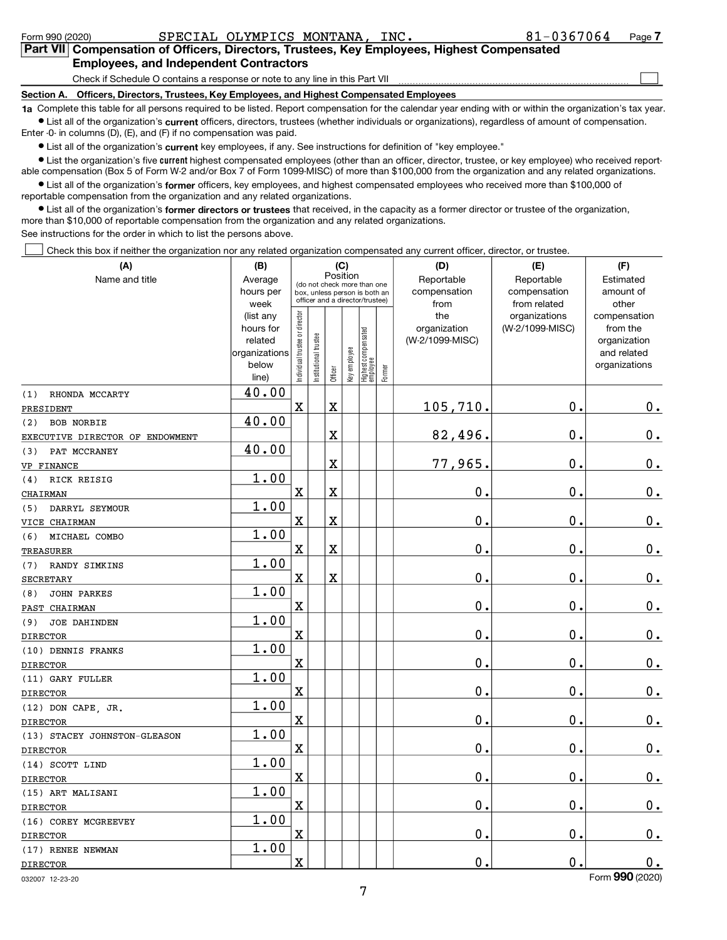| SPECIAL OLYMPICS MONTANA, INC.<br>Form 990 (2020)                                                                                                                                                                           | 81-0367064 | Page 7 |  |  |  |  |  |  |
|-----------------------------------------------------------------------------------------------------------------------------------------------------------------------------------------------------------------------------|------------|--------|--|--|--|--|--|--|
| Part VII Compensation of Officers, Directors, Trustees, Key Employees, Highest Compensated                                                                                                                                  |            |        |  |  |  |  |  |  |
| <b>Employees, and Independent Contractors</b>                                                                                                                                                                               |            |        |  |  |  |  |  |  |
| Check if Schedule O contains a response or note to any line in this Part VII                                                                                                                                                |            |        |  |  |  |  |  |  |
| Section A. Officers, Directors, Trustees, Key Employees, and Highest Compensated Employees                                                                                                                                  |            |        |  |  |  |  |  |  |
| 1a Complete this table for all persons required to be listed. Report compensation for the calendar year ending with or within the organization's tax year.                                                                  |            |        |  |  |  |  |  |  |
| • List all of the organization's current officers, directors, trustees (whether individuals or organizations), regardless of amount of compensation.<br>Enter -0- in columns (D), (E), and (F) if no compensation was paid. |            |        |  |  |  |  |  |  |

 $\bullet$  List all of the organization's current key employees, if any. See instructions for definition of "key employee."

• List the organization's five current highest compensated employees (other than an officer, director, trustee, or key employee) who received reportable compensation (Box 5 of Form W-2 and/or Box 7 of Form 1099-MISC) of more than \$100,000 from the organization and any related organizations.

List all of the organization's former officers, key employees, and highest compensated employees who received more than \$100,000 of reportable compensation from the organization and any related organizations.

• List all of the organization's former directors or trustees that received, in the capacity as a former director or trustee of the organization, more than \$10,000 of reportable compensation from the organization and any related organizations. See instructions for the order in which to list the persons above.

Check this box if neither the organization nor any related organization compensated any current officer, director, or trustee.

| (A)                             | (B)                      |                                |                                 | (C)         |              |                                   |        | (D)              | (E)             | (F)                         |
|---------------------------------|--------------------------|--------------------------------|---------------------------------|-------------|--------------|-----------------------------------|--------|------------------|-----------------|-----------------------------|
| Name and title                  | Average                  |                                | (do not check more than one     |             | Position     |                                   |        | Reportable       | Reportable      | Estimated                   |
|                                 | hours per                |                                | box, unless person is both an   |             |              |                                   |        | compensation     | compensation    | amount of                   |
|                                 | week                     |                                | officer and a director/trustee) |             |              |                                   |        | from             | from related    | other                       |
|                                 | (list any                |                                |                                 |             |              |                                   |        | the              | organizations   | compensation                |
|                                 | hours for                |                                |                                 |             |              |                                   |        | organization     | (W-2/1099-MISC) | from the                    |
|                                 | related<br>organizations |                                |                                 |             |              |                                   |        | (W-2/1099-MISC)  |                 | organization<br>and related |
|                                 | below                    |                                |                                 |             |              |                                   |        |                  |                 | organizations               |
|                                 | line)                    | Individual trustee or director | Institutional trustee           | Officer     | Key employee | Highest compensated<br>  employee | Former |                  |                 |                             |
| (1)<br>RHONDA MCCARTY           | 40.00                    |                                |                                 |             |              |                                   |        |                  |                 |                             |
| PRESIDENT                       |                          | X                              |                                 | $\mathbf X$ |              |                                   |        | 105,710.         | $\mathbf 0$ .   | $0_{.}$                     |
| <b>BOB NORBIE</b><br>(2)        | 40.00                    |                                |                                 |             |              |                                   |        |                  |                 |                             |
| EXECUTIVE DIRECTOR OF ENDOWMENT |                          |                                |                                 | $\mathbf X$ |              |                                   |        | 82,496.          | $\mathbf 0$ .   | 0.                          |
| PAT MCCRANEY<br>(3)             | 40.00                    |                                |                                 |             |              |                                   |        |                  |                 |                             |
| VP FINANCE                      |                          |                                |                                 | X           |              |                                   |        | 77,965.          | 0.              | $0_{.}$                     |
| RICK REISIG<br>(4)              | 1.00                     |                                |                                 |             |              |                                   |        |                  |                 |                             |
| CHAIRMAN                        |                          | $\mathbf X$                    |                                 | $\mathbf X$ |              |                                   |        | $\mathbf 0$ .    | $\mathbf 0$ .   | $\mathbf 0$ .               |
| DARRYL SEYMOUR<br>(5)           | 1.00                     |                                |                                 |             |              |                                   |        |                  |                 |                             |
| VICE CHAIRMAN                   |                          | X                              |                                 | $\mathbf X$ |              |                                   |        | $\mathbf 0$ .    | $\mathbf 0$ .   | $\mathbf 0$ .               |
| MICHAEL COMBO<br>(6)            | 1.00                     |                                |                                 |             |              |                                   |        |                  |                 |                             |
| <b>TREASURER</b>                |                          | X                              |                                 | X           |              |                                   |        | $\mathbf 0$ .    | 0.              | $0_{.}$                     |
| RANDY SIMKINS<br>(7)            | 1.00                     |                                |                                 |             |              |                                   |        |                  |                 |                             |
| <b>SECRETARY</b>                |                          | X                              |                                 | $\rm X$     |              |                                   |        | $\mathbf 0$ .    | $\mathbf 0$ .   | $\mathbf 0$ .               |
| <b>JOHN PARKES</b><br>(8)       | 1.00                     |                                |                                 |             |              |                                   |        |                  |                 |                             |
| PAST CHAIRMAN                   |                          | X                              |                                 |             |              |                                   |        | $\mathbf 0$ .    | $\mathbf 0$ .   | 0.                          |
| <b>JOE DAHINDEN</b><br>(9)      | 1.00                     |                                |                                 |             |              |                                   |        |                  |                 |                             |
| <b>DIRECTOR</b>                 |                          | X                              |                                 |             |              |                                   |        | $\mathbf 0$ .    | $\mathbf 0$ .   | 0.                          |
| (10) DENNIS FRANKS              | 1.00                     |                                |                                 |             |              |                                   |        |                  |                 |                             |
| <b>DIRECTOR</b>                 |                          | X                              |                                 |             |              |                                   |        | $\mathbf 0$      | $\mathbf 0$     | $0_{.}$                     |
| (11) GARY FULLER                | 1.00                     |                                |                                 |             |              |                                   |        |                  |                 |                             |
| <b>DIRECTOR</b>                 |                          | $\mathbf X$                    |                                 |             |              |                                   |        | $\mathbf 0$ .    | 0.              | $0_{\cdot}$                 |
| (12) DON CAPE, JR.              | 1.00                     |                                |                                 |             |              |                                   |        |                  |                 |                             |
| <b>DIRECTOR</b>                 |                          | X                              |                                 |             |              |                                   |        | $\mathbf 0$ .    | 0.              | 0.                          |
| (13) STACEY JOHNSTON-GLEASON    | 1.00                     |                                |                                 |             |              |                                   |        |                  |                 |                             |
| <b>DIRECTOR</b>                 |                          | X                              |                                 |             |              |                                   |        | О.               | 0.              | $\mathbf 0$ .               |
| (14) SCOTT LIND                 | 1.00                     |                                |                                 |             |              |                                   |        |                  |                 |                             |
| <b>DIRECTOR</b>                 |                          | X                              |                                 |             |              |                                   |        | $\overline{0}$ . | $\mathbf 0$ .   | $0_{.}$                     |
| (15) ART MALISANI               | 1.00                     |                                |                                 |             |              |                                   |        |                  |                 |                             |
| <b>DIRECTOR</b>                 |                          | $\mathbf x$                    |                                 |             |              |                                   |        | $\mathbf 0$ .    | $\mathbf 0$ .   | $0_{.}$                     |
| (16) COREY MCGREEVEY            | 1.00                     |                                |                                 |             |              |                                   |        |                  |                 |                             |
| <b>DIRECTOR</b>                 |                          | X                              |                                 |             |              |                                   |        | $\mathbf 0$ .    | $\mathbf 0$ .   | $\mathbf 0$ .               |
| (17) RENEE NEWMAN               | 1.00                     |                                |                                 |             |              |                                   |        |                  |                 |                             |
| <b>DIRECTOR</b>                 |                          | X                              |                                 |             |              |                                   |        | $\mathbf 0$ .    | $\mathbf 0$ .   | 0.<br>$\sim$                |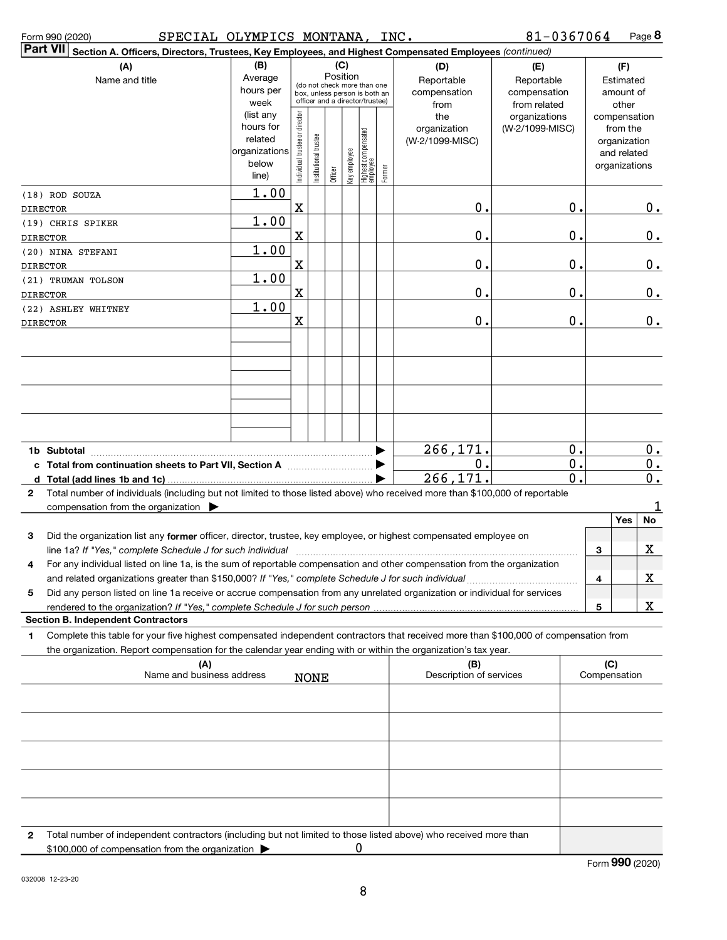|              | SPECIAL OLYMPICS MONTANA, INC.<br>Form 990 (2020)                                                                                                                                                                                 |                        |                                                              |                       |         |                 |                                 |        |                              | 81-0367064                       |  |                          | Page 8        |
|--------------|-----------------------------------------------------------------------------------------------------------------------------------------------------------------------------------------------------------------------------------|------------------------|--------------------------------------------------------------|-----------------------|---------|-----------------|---------------------------------|--------|------------------------------|----------------------------------|--|--------------------------|---------------|
|              | Part VII Section A. Officers, Directors, Trustees, Key Employees, and Highest Compensated Employees (continued)                                                                                                                   |                        |                                                              |                       |         |                 |                                 |        |                              |                                  |  |                          |               |
|              | (A)<br>Name and title                                                                                                                                                                                                             | (B)<br>Average         |                                                              |                       |         | (C)<br>Position |                                 |        | (D)<br>Reportable            | (E)<br>Reportable                |  | (F)<br>Estimated         |               |
|              |                                                                                                                                                                                                                                   | hours per              | (do not check more than one<br>box, unless person is both an |                       |         |                 |                                 |        | compensation<br>compensation |                                  |  | amount of                |               |
|              |                                                                                                                                                                                                                                   | week                   | officer and a director/trustee)                              |                       |         |                 |                                 |        | from                         | from related                     |  | other                    |               |
|              |                                                                                                                                                                                                                                   | (list any<br>hours for | Individual trustee or director                               |                       |         |                 |                                 |        | the<br>organization          | organizations<br>(W-2/1099-MISC) |  | compensation<br>from the |               |
|              |                                                                                                                                                                                                                                   | related                |                                                              |                       |         |                 |                                 |        | (W-2/1099-MISC)              |                                  |  | organization             |               |
|              |                                                                                                                                                                                                                                   | organizations          |                                                              |                       |         |                 |                                 |        |                              |                                  |  | and related              |               |
|              |                                                                                                                                                                                                                                   | below                  |                                                              | Institutional trustee | Officer | Key employee    | Highest compensated<br>employee | Former |                              |                                  |  | organizations            |               |
|              |                                                                                                                                                                                                                                   | line)                  |                                                              |                       |         |                 |                                 |        |                              |                                  |  |                          |               |
|              | (18) ROD SOUZA                                                                                                                                                                                                                    | 1.00                   | X                                                            |                       |         |                 |                                 |        | 0.                           |                                  |  |                          |               |
|              | DIRECTOR                                                                                                                                                                                                                          | 1.00                   |                                                              |                       |         |                 |                                 |        |                              | 0.                               |  |                          | $0_{.}$       |
|              | (19) CHRIS SPIKER                                                                                                                                                                                                                 |                        | X                                                            |                       |         |                 |                                 |        | 0.                           | 0.                               |  |                          | $\mathbf 0$ . |
|              | DIRECTOR<br>(20) NINA STEFANI                                                                                                                                                                                                     | 1.00                   |                                                              |                       |         |                 |                                 |        |                              |                                  |  |                          |               |
|              | <b>DIRECTOR</b>                                                                                                                                                                                                                   |                        | X                                                            |                       |         |                 |                                 |        | 0.                           | 0.                               |  |                          | $0_{.}$       |
|              | (21) TRUMAN TOLSON                                                                                                                                                                                                                | 1.00                   |                                                              |                       |         |                 |                                 |        |                              |                                  |  |                          |               |
|              | <b>DIRECTOR</b>                                                                                                                                                                                                                   |                        | X                                                            |                       |         |                 |                                 |        | 0.                           | 0.                               |  |                          | $\mathbf 0$ . |
|              | (22) ASHLEY WHITNEY                                                                                                                                                                                                               | 1.00                   |                                                              |                       |         |                 |                                 |        |                              |                                  |  |                          |               |
|              | <b>DIRECTOR</b>                                                                                                                                                                                                                   |                        | X                                                            |                       |         |                 |                                 |        | 0.                           | 0.                               |  |                          | $\mathbf 0$ . |
|              |                                                                                                                                                                                                                                   |                        |                                                              |                       |         |                 |                                 |        |                              |                                  |  |                          |               |
|              |                                                                                                                                                                                                                                   |                        |                                                              |                       |         |                 |                                 |        |                              |                                  |  |                          |               |
|              |                                                                                                                                                                                                                                   |                        |                                                              |                       |         |                 |                                 |        |                              |                                  |  |                          |               |
|              |                                                                                                                                                                                                                                   |                        |                                                              |                       |         |                 |                                 |        |                              |                                  |  |                          |               |
|              |                                                                                                                                                                                                                                   |                        |                                                              |                       |         |                 |                                 |        |                              |                                  |  |                          |               |
|              |                                                                                                                                                                                                                                   |                        |                                                              |                       |         |                 |                                 |        |                              |                                  |  |                          |               |
|              |                                                                                                                                                                                                                                   |                        |                                                              |                       |         |                 |                                 |        |                              |                                  |  |                          |               |
|              |                                                                                                                                                                                                                                   |                        |                                                              |                       |         |                 |                                 |        | 266,171.                     | 0.                               |  |                          | $0_{.}$       |
|              |                                                                                                                                                                                                                                   |                        |                                                              |                       |         |                 |                                 |        | 0.                           | 0.                               |  |                          | $\mathbf 0$ . |
|              |                                                                                                                                                                                                                                   |                        |                                                              |                       |         |                 |                                 | ▶      | 266,171.                     | 0.                               |  |                          | $\mathbf 0$ . |
| $\mathbf{2}$ | Total number of individuals (including but not limited to those listed above) who received more than \$100,000 of reportable                                                                                                      |                        |                                                              |                       |         |                 |                                 |        |                              |                                  |  |                          |               |
|              | compensation from the organization $\blacktriangleright$                                                                                                                                                                          |                        |                                                              |                       |         |                 |                                 |        |                              |                                  |  |                          | 1             |
|              |                                                                                                                                                                                                                                   |                        |                                                              |                       |         |                 |                                 |        |                              |                                  |  | Yes                      | No            |
| 3            | Did the organization list any former officer, director, trustee, key employee, or highest compensated employee on                                                                                                                 |                        |                                                              |                       |         |                 |                                 |        |                              |                                  |  |                          |               |
|              |                                                                                                                                                                                                                                   |                        |                                                              |                       |         |                 |                                 |        |                              |                                  |  | 3                        | X             |
| 4            | For any individual listed on line 1a, is the sum of reportable compensation and other compensation from the organization                                                                                                          |                        |                                                              |                       |         |                 |                                 |        |                              |                                  |  |                          |               |
|              | and related organizations greater than \$150,000? If "Yes," complete Schedule J for such individual<br>Did any person listed on line 1a receive or accrue compensation from any unrelated organization or individual for services |                        |                                                              |                       |         |                 |                                 |        |                              |                                  |  | 4                        | x             |
| 5            |                                                                                                                                                                                                                                   |                        |                                                              |                       |         |                 |                                 |        |                              |                                  |  | 5                        | X             |
|              | <b>Section B. Independent Contractors</b>                                                                                                                                                                                         |                        |                                                              |                       |         |                 |                                 |        |                              |                                  |  |                          |               |
| 1            | Complete this table for your five highest compensated independent contractors that received more than \$100,000 of compensation from                                                                                              |                        |                                                              |                       |         |                 |                                 |        |                              |                                  |  |                          |               |
|              | the organization. Report compensation for the calendar year ending with or within the organization's tax year.                                                                                                                    |                        |                                                              |                       |         |                 |                                 |        |                              |                                  |  |                          |               |
|              | (A)                                                                                                                                                                                                                               |                        |                                                              |                       |         |                 |                                 |        | (B)                          |                                  |  | (C)                      |               |
|              | Name and business address                                                                                                                                                                                                         |                        |                                                              | <b>NONE</b>           |         |                 |                                 |        | Description of services      |                                  |  | Compensation             |               |
|              |                                                                                                                                                                                                                                   |                        |                                                              |                       |         |                 |                                 |        |                              |                                  |  |                          |               |
|              |                                                                                                                                                                                                                                   |                        |                                                              |                       |         |                 |                                 |        |                              |                                  |  |                          |               |
|              |                                                                                                                                                                                                                                   |                        |                                                              |                       |         |                 |                                 |        |                              |                                  |  |                          |               |
|              |                                                                                                                                                                                                                                   |                        |                                                              |                       |         |                 |                                 |        |                              |                                  |  |                          |               |
|              |                                                                                                                                                                                                                                   |                        |                                                              |                       |         |                 |                                 |        |                              |                                  |  |                          |               |
|              |                                                                                                                                                                                                                                   |                        |                                                              |                       |         |                 |                                 |        |                              |                                  |  |                          |               |
|              |                                                                                                                                                                                                                                   |                        |                                                              |                       |         |                 |                                 |        |                              |                                  |  |                          |               |
|              |                                                                                                                                                                                                                                   |                        |                                                              |                       |         |                 |                                 |        |                              |                                  |  |                          |               |
|              |                                                                                                                                                                                                                                   |                        |                                                              |                       |         |                 |                                 |        |                              |                                  |  |                          |               |
| 2            | Total number of independent contractors (including but not limited to those listed above) who received more than                                                                                                                  |                        |                                                              |                       |         |                 |                                 |        |                              |                                  |  |                          |               |
|              | \$100,000 of compensation from the organization >                                                                                                                                                                                 |                        |                                                              |                       |         |                 | 0                               |        |                              |                                  |  |                          |               |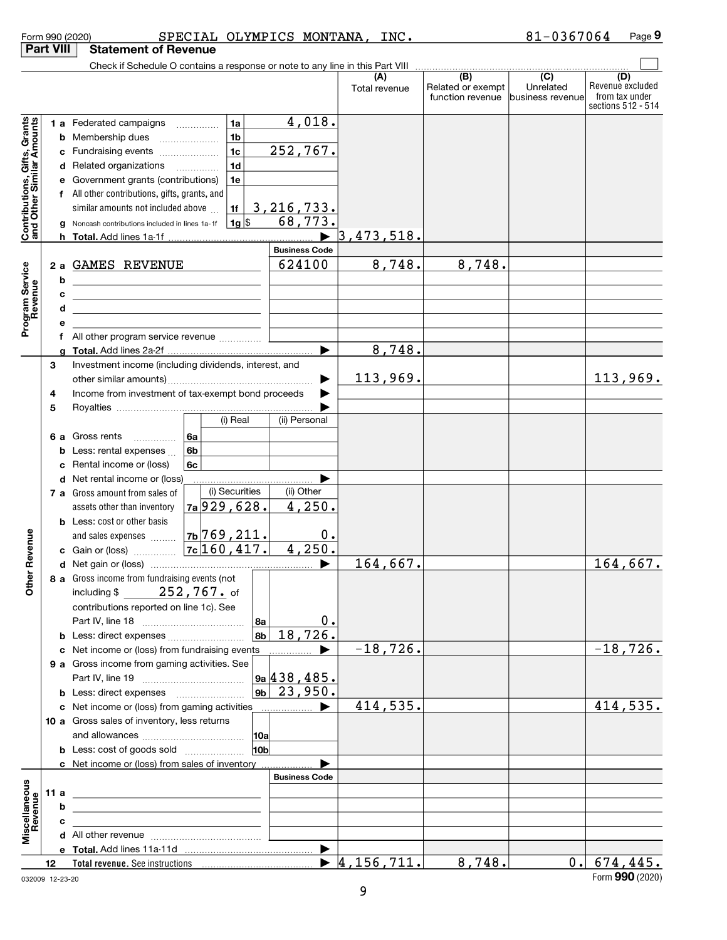|                                                           |    |   | SPECIAL OLYMPICS MONTANA, INC.<br>Form 990 (2020)                                                                                                                                                                                                                                                    |                       |                                  |                                   | 81-0367064         | Page 9                  |
|-----------------------------------------------------------|----|---|------------------------------------------------------------------------------------------------------------------------------------------------------------------------------------------------------------------------------------------------------------------------------------------------------|-----------------------|----------------------------------|-----------------------------------|--------------------|-------------------------|
| <b>Part VIII</b>                                          |    |   | <b>Statement of Revenue</b>                                                                                                                                                                                                                                                                          |                       |                                  |                                   |                    |                         |
|                                                           |    |   | Check if Schedule O contains a response or note to any line in this Part VIII                                                                                                                                                                                                                        |                       |                                  |                                   |                    |                         |
|                                                           |    |   |                                                                                                                                                                                                                                                                                                      |                       | (A)<br>Total revenue             | (B)<br>Related or exempt          | (C)<br>Unrelated   | (D)<br>Revenue excluded |
|                                                           |    |   |                                                                                                                                                                                                                                                                                                      |                       |                                  | function revenue business revenue |                    | from tax under          |
|                                                           |    |   |                                                                                                                                                                                                                                                                                                      |                       |                                  |                                   | sections 512 - 514 |                         |
| Contributions, Gifts, Grants<br>and Other Similar Amounts |    |   | 1a<br>1 a Federated campaigns                                                                                                                                                                                                                                                                        | 4,018.                |                                  |                                   |                    |                         |
|                                                           |    |   | 1 <sub>b</sub><br><b>b</b> Membership dues                                                                                                                                                                                                                                                           |                       |                                  |                                   |                    |                         |
|                                                           |    |   | 1 <sub>c</sub><br>c Fundraising events                                                                                                                                                                                                                                                               | 252,767.              |                                  |                                   |                    |                         |
|                                                           |    |   | 1 <sub>d</sub><br>d Related organizations                                                                                                                                                                                                                                                            |                       |                                  |                                   |                    |                         |
|                                                           |    |   | e Government grants (contributions)<br>1e                                                                                                                                                                                                                                                            |                       |                                  |                                   |                    |                         |
|                                                           |    |   | f All other contributions, gifts, grants, and                                                                                                                                                                                                                                                        |                       |                                  |                                   |                    |                         |
|                                                           |    |   | similar amounts not included above<br>1f                                                                                                                                                                                                                                                             | 3, 216, 733.          |                                  |                                   |                    |                         |
|                                                           |    |   | <b>g</b> Noncash contributions included in lines 1a-1f $\vert$ 1g $\vert$ \$                                                                                                                                                                                                                         | 68,773.               |                                  |                                   |                    |                         |
|                                                           |    |   |                                                                                                                                                                                                                                                                                                      |                       | 3,473,518.                       |                                   |                    |                         |
|                                                           |    |   |                                                                                                                                                                                                                                                                                                      | <b>Business Code</b>  |                                  |                                   |                    |                         |
|                                                           |    |   | 2 a GAMES REVENUE                                                                                                                                                                                                                                                                                    | 624100                | 8,748.                           | 8,748.                            |                    |                         |
|                                                           |    | b |                                                                                                                                                                                                                                                                                                      |                       |                                  |                                   |                    |                         |
|                                                           |    | c |                                                                                                                                                                                                                                                                                                      |                       |                                  |                                   |                    |                         |
|                                                           |    | d |                                                                                                                                                                                                                                                                                                      |                       |                                  |                                   |                    |                         |
| Program Service<br>Revenue                                |    |   |                                                                                                                                                                                                                                                                                                      |                       |                                  |                                   |                    |                         |
|                                                           |    |   |                                                                                                                                                                                                                                                                                                      |                       |                                  |                                   |                    |                         |
|                                                           |    |   |                                                                                                                                                                                                                                                                                                      |                       | 8,748.                           |                                   |                    |                         |
|                                                           | 3  |   | Investment income (including dividends, interest, and                                                                                                                                                                                                                                                |                       |                                  |                                   |                    |                         |
|                                                           |    |   |                                                                                                                                                                                                                                                                                                      | ▶                     | 113,969.                         |                                   |                    | 113,969.                |
|                                                           | 4  |   | Income from investment of tax-exempt bond proceeds                                                                                                                                                                                                                                                   |                       |                                  |                                   |                    |                         |
|                                                           | 5  |   |                                                                                                                                                                                                                                                                                                      |                       |                                  |                                   |                    |                         |
|                                                           |    |   | (i) Real                                                                                                                                                                                                                                                                                             | (ii) Personal         |                                  |                                   |                    |                         |
|                                                           |    |   | 6 a Gross rents<br>6a<br>$\overline{\phantom{a}}$                                                                                                                                                                                                                                                    |                       |                                  |                                   |                    |                         |
|                                                           |    |   | <b>b</b> Less: rental expenses $\ldots$<br>6b                                                                                                                                                                                                                                                        |                       |                                  |                                   |                    |                         |
|                                                           |    |   | c Rental income or (loss)<br>6c                                                                                                                                                                                                                                                                      |                       |                                  |                                   |                    |                         |
|                                                           |    |   | d Net rental income or (loss)                                                                                                                                                                                                                                                                        |                       |                                  |                                   |                    |                         |
|                                                           |    |   | (i) Securities<br><b>7 a</b> Gross amount from sales of                                                                                                                                                                                                                                              | (ii) Other            |                                  |                                   |                    |                         |
|                                                           |    |   | $7a$ 929, 628.<br>assets other than inventory                                                                                                                                                                                                                                                        | 4,250.                |                                  |                                   |                    |                         |
|                                                           |    |   | <b>b</b> Less: cost or other basis                                                                                                                                                                                                                                                                   |                       |                                  |                                   |                    |                         |
|                                                           |    |   | $7b$ 769, 211.<br>and sales expenses                                                                                                                                                                                                                                                                 | 0.                    |                                  |                                   |                    |                         |
| evenue                                                    |    |   |                                                                                                                                                                                                                                                                                                      | 4,250.                |                                  |                                   |                    |                         |
|                                                           |    |   |                                                                                                                                                                                                                                                                                                      |                       | 164,667.                         |                                   |                    | 164, 667.               |
| Other R                                                   |    |   | 8 a Gross income from fundraising events (not                                                                                                                                                                                                                                                        |                       |                                  |                                   |                    |                         |
|                                                           |    |   | 252,767. of<br>including $$$                                                                                                                                                                                                                                                                         |                       |                                  |                                   |                    |                         |
|                                                           |    |   | contributions reported on line 1c). See                                                                                                                                                                                                                                                              |                       |                                  |                                   |                    |                         |
|                                                           |    |   | ∣8a                                                                                                                                                                                                                                                                                                  | 0.                    |                                  |                                   |                    |                         |
|                                                           |    |   | $ {\bf a}_{\bf b} $                                                                                                                                                                                                                                                                                  | 18,726.               |                                  |                                   |                    |                         |
|                                                           |    |   |                                                                                                                                                                                                                                                                                                      |                       | $-18,726.$                       |                                   |                    | $-18,726.$              |
|                                                           |    |   | c Net income or (loss) from fundraising events                                                                                                                                                                                                                                                       | $\blacktriangleright$ |                                  |                                   |                    |                         |
|                                                           |    |   | 9 a Gross income from gaming activities. See                                                                                                                                                                                                                                                         | 9a 438, 485.          |                                  |                                   |                    |                         |
|                                                           |    |   |                                                                                                                                                                                                                                                                                                      |                       |                                  |                                   |                    |                         |
|                                                           |    |   |                                                                                                                                                                                                                                                                                                      | $ 9b $ 23,950.        |                                  |                                   |                    |                         |
|                                                           |    |   | c Net income or (loss) from gaming activities                                                                                                                                                                                                                                                        | ▶                     | 414,535.                         |                                   |                    | 414,535.                |
|                                                           |    |   | 10 a Gross sales of inventory, less returns                                                                                                                                                                                                                                                          |                       |                                  |                                   |                    |                         |
|                                                           |    |   |                                                                                                                                                                                                                                                                                                      |                       |                                  |                                   |                    |                         |
|                                                           |    |   | 10 <sub>b</sub><br><b>b</b> Less: cost of goods sold                                                                                                                                                                                                                                                 |                       |                                  |                                   |                    |                         |
|                                                           |    |   | c Net income or (loss) from sales of inventory                                                                                                                                                                                                                                                       | <b>Business Code</b>  |                                  |                                   |                    |                         |
|                                                           |    |   |                                                                                                                                                                                                                                                                                                      |                       |                                  |                                   |                    |                         |
| Miscellaneous<br>Revenue                                  |    |   | 11 a $\frac{1}{2}$ a $\frac{1}{2}$ a $\frac{1}{2}$ a $\frac{1}{2}$ a $\frac{1}{2}$ a $\frac{1}{2}$ a $\frac{1}{2}$ a $\frac{1}{2}$ a $\frac{1}{2}$ a $\frac{1}{2}$ a $\frac{1}{2}$ a $\frac{1}{2}$ a $\frac{1}{2}$ a $\frac{1}{2}$ a $\frac{1}{2}$ a $\frac{1}{2}$ a $\frac{1}{2}$ a $\frac{1}{2}$ a |                       |                                  |                                   |                    |                         |
|                                                           |    | b | <u> 1980 - Jan Stein Stein Stein Stein Stein Stein Stein Stein Stein Stein Stein Stein Stein Stein Stein Stein S</u>                                                                                                                                                                                 |                       |                                  |                                   |                    |                         |
|                                                           |    | c |                                                                                                                                                                                                                                                                                                      |                       |                                  |                                   |                    |                         |
|                                                           |    |   |                                                                                                                                                                                                                                                                                                      |                       |                                  |                                   |                    |                         |
|                                                           |    |   |                                                                                                                                                                                                                                                                                                      | $\blacktriangleright$ |                                  |                                   |                    |                         |
|                                                           | 12 |   |                                                                                                                                                                                                                                                                                                      |                       | $\blacktriangleright$ 4,156,711. | 8,748.                            |                    | $0.$ 674, 445.          |

032009 12-23-20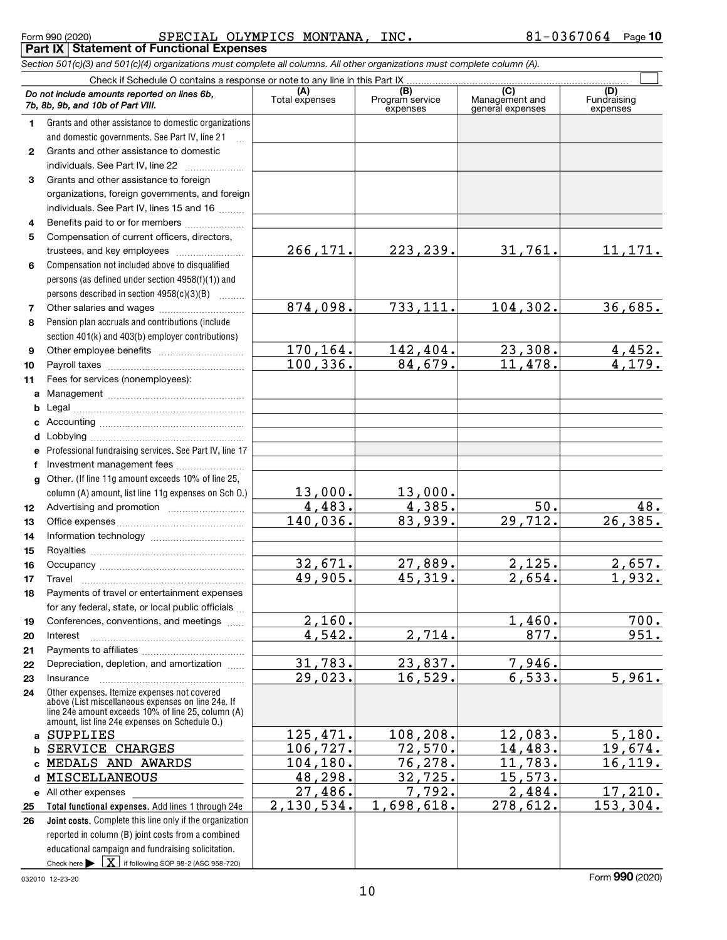Check here  $\blacktriangleright$   $\boxed{\textbf{X}}$  if following SOP 98-2 (ASC 958-720) Total functional expenses. Add lines 1 through 24e Joint costs. Complete this line only if the organization (A) (B) (C) (C) (B) (C) (B) (C) (D)<br>Total expenses Program service Management and Fundrai 1  $\mathfrak{p}$ 3 4 5 6 7 8 9 10 11 a Management ~~~~~~~~~~~~~~~~ b c d e f g 12 13 14 15 16 17 18 19 20 21 22 23 24 a b c MEDALS AND AWARDS 104,180. 76,278. 11,783. 16,119. d MISCELLANEOUS 48,298. 32,725. 15,573. e All other expenses 25 26 Section 501(c)(3) and 501(c)(4) organizations must complete all columns. All other organizations must complete column (A). Grants and other assistance to domestic organizations and domestic governments. See Part IV, line 21 Compensation not included above to disqualified persons (as defined under section 4958(f)(1)) and persons described in section  $4958(c)(3)(B)$  ......... Pension plan accruals and contributions (include section 401(k) and 403(b) employer contributions) Professional fundraising services. See Part IV, line 17 Other. (If line 11g amount exceeds 10% of line 25, column (A) amount, list line 11g expenses on Sch O.) Other expenses. Itemize expenses not covered above (List miscellaneous expenses on line 24e. If line 24e amount exceeds 10% of line 25, column (A) amount, list line 24e expenses on Schedule O.) reported in column (B) joint costs from a combined educational campaign and fundraising solicitation. Form 990 (2020) **Page SPECIAL OLYMPICS MONTANA, INC.** 81-0367064 Page Check if Schedule O contains a response or note to any line in this Part IX expenses Management and general expenses Fundraising expenses ~<br>~~ Grants and other assistance to domestic individuals. See Part IV, line 22 ~~~~~~~ Grants and other assistance to foreign organizations, foreign governments, and foreign individuals. See Part IV, lines 15 and 16  $\ldots$ Benefits paid to or for members .................... Compensation of current officers, directors, trustees, and key employees ....................... Other salaries and wages ~~~~~~~~~~ Other employee benefits ~~~~~~~~~~ Payroll taxes ~~~~~~~~~~~~~~~~ Fees for services (nonemployees): Legal ~~~~~~~~~~~~~~~~~~~~ Accounting ~~~~~~~~~~~~~~~~~ Lobbying ~~~~~~~~~~~~~~~~~~ Investment management fees ........................ Advertising and promotion *www.community.com* Office expenses ~~~~~~~~~~~~~~~ Information technology ~~~~~~~~~~~ Royalties ~~~~~~~~~~~~~~~~~~ Occupancy ~~~~~~~~~~~~~~~~~ Travel ~~~~~~~~~~~~~~~~~~~ Payments of travel or entertainment expenses for any federal, state, or local public officials Conferences, conventions, and meetings ...... Interest ~~~~~~~~~~~~~~~~~~ Payments to affiliates ~~~~~~~~~~~~ Depreciation, depletion, and amortization ...... Insurance ~~~~~~~~~~~~~~~~~ Do not include amounts reported on lines 6b, 7b, 8b, 9b, and 10b of Part VIII. Part IX Statement of Functional Expenses  $\mathcal{L}(\mathcal{A})$ 266,171. 223,239. 31,761. 11,171. 874,098. 733,111. 104,302. 36,685.  $170, 164.$   $142, 404.$   $23, 308.$   $4, 452.$ 100,336. 84,679. 11,478. 4,179. 13,000. 13,000. 4,483. 4,385. 50. 48. 140,036. 83,939. 29,712. 26,385. 32,671. 27,889. 2,125. 2,657. 49,905. 45,319. 2,654. 1,932.  $2,160.$   $1,460.$  700. 4,542. 2,714. 877. 951. 31,783. 23,837. 7,946. 29,023. 16,529. 6,533. 5,961. SUPPLIES 125,471. 108,208. 12,083. 5,180. SUPPLIES<br>
SERVICE CHARGES 106,727. 72,570. 14,483. 19,674.  $\frac{1}{27,486}$ ,  $\frac{32,725}{7,792}$ ,  $\frac{15,573}{2,484}$ ,  $\frac{27,210}{7,210}$ 2,130,534. 1,698,618. 278,612. 153,304.

032010 12-23-20

Form 990 (2020)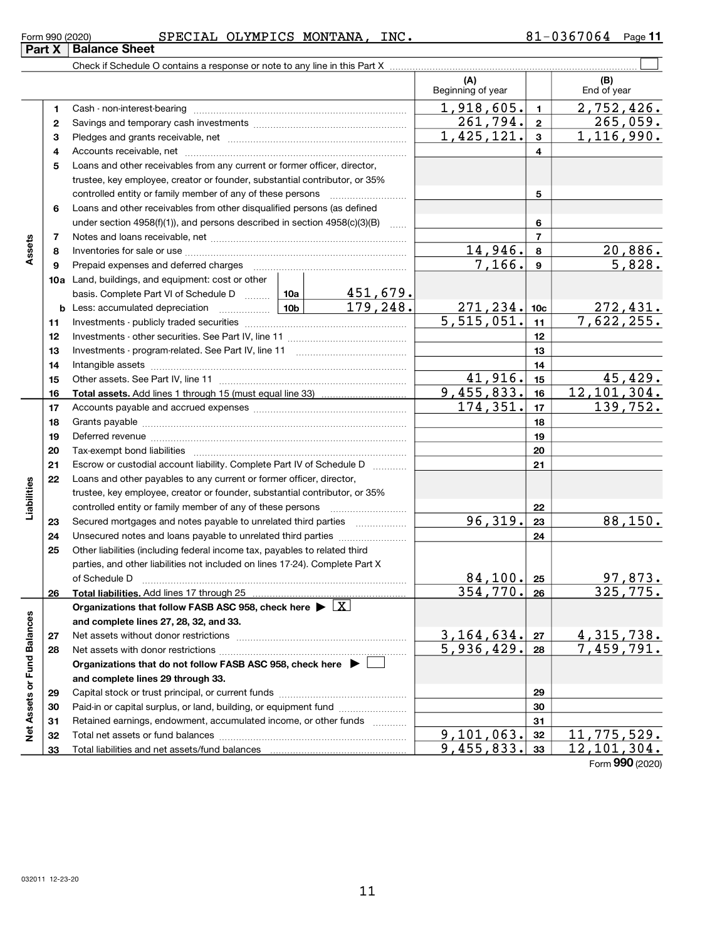| Form 990 (2020) |  | SPEC<br>IAI | OLYMPICS | <b>MONTANA</b> | INC | 7064<br>חי | Page |
|-----------------|--|-------------|----------|----------------|-----|------------|------|
| __              |  |             |          |                |     |            |      |

#### $(A)$   $\qquad \qquad$   $\qquad \qquad$   $(B)$ 1 2 3 4 5 6 7 8 9 10a Land, buildings, and equipment: cost or other 11 12 13 14 15 16 17 18 19 20 21 22 23 24 25 26 27 28 29 30 31 32 33 1 2 3 4 5 6 7 8 9 10c 11 12 13 14 15 16 17 18 19 20 21 22 23 24 25 26 **b** Less: accumulated depreciation ................... 10a 10b Assets Total assets. Add lines 1 through 15 (must equal line 33) Liabilities controlled entity or family member of any of these persons ~~~~~~~~~ Total liabilities. Add lines 17 through 25 Organizations that follow FASB ASC 958, check here  $\blacktriangleright\lfloor \text{\textnormal{X}} \rfloor$ and complete lines 27, 28, 32, and 33. 27 28 Organizations that do not follow FASB ASC 958, check here  $\;\blacktriangleright\;\square\;$ and complete lines 29 through 33. 29 30 31 32 and complete lines 27, 28, 32, and 33.<br>
27 Net assets without donor restrictions<br>
28 Net assets with donor restrictions<br>
28 Organizations that do not follow FASB ASC 958, check here<br>
29 Organizations that do not follow FAS Check if Schedule O contains a response or note to any line in this Part X (A) (B)<br>Beginning of year End of year Cash - non-interest-bearing ~~~~~~~~~~~~~~~~~~~~~~~~~ Savings and temporary cash investments *www.community.community.com* Pledges and grants receivable, net ~~~~~~~~~~~~~~~~~~~~~ Accounts receivable, net ~~~~~~~~~~~~~~~~~~~~~~~~~~ Loans and other receivables from any current or former officer, director, trustee, key employee, creator or founder, substantial contributor, or 35% controlled entity or family member of any of these persons ~~~~~~~~~ Loans and other receivables from other disqualified persons (as defined under section  $4958(f)(1)$ , and persons described in section  $4958(c)(3)(B)$ Notes and loans receivable, net **with the contract of the contract of the contract of the contract of the contra** Inventories for sale or use ~~~~~~~~~~~~~~~~~~~~~~~~~~ Prepaid expenses and deferred charges ~~~~~~~~~~~~~~~~~~ basis. Complete Part VI of Schedule D ........ Investments - publicly traded securities ~~~~~~~~~~~~~~~~~~~ Investments - other securities. See Part IV, line 11 ~~~~~~~~~~~~~~ Investments - program-related. See Part IV, line 11 [2000] [2000] [2000] [2000] [2000] [2000] [2000] [2000] [2 Intangible assets ~~~~~~~~~~~~~~~~~~~~~~~~~~~~~~ Other assets. See Part IV, line 11 ~~~~~~~~~~~~~~~~~~~~~~ Accounts payable and accrued expenses *www.community.community.com* Grants payable <u>mand contract and the contract of the series of the series of the series of the series of the se</u> Deferred revenue <u>manual communications are construed</u> Tax-exempt bond liabilities ~~~~~~~~~~~~~~~~~~~~~~~~~ Escrow or custodial account liability. Complete Part IV of Schedule D [ \\timm\] Loans and other payables to any current or former officer, director, trustee, key employee, creator or founder, substantial contributor, or 35% Secured mortgages and notes payable to unrelated third parties  $\ldots$  ................. Unsecured notes and loans payable to unrelated third parties ~~~~~~~~ Other liabilities (including federal income tax, payables to related third parties, and other liabilities not included on lines 17-24). Complete Part X of Schedule D ~~~~~~~~~~~~~~~~~~~~~~~~~~~~~~~ Net assets without donor restrictions ~~~~~~~~~~~~~~~~~~~~ Net assets with donor restrictions ~~~~~~~~~~~~~~~~~~~~~~ Capital stock or trust principal, or current funds ~~~~~~~~~~~~~~~ Paid-in or capital surplus, or land, building, or equipment fund *witterstanding* Retained earnings, endowment, accumulated income, or other funds *www.com* Total net assets or fund balances ~~~~~~~~~~~~~~~~~~~~~~ Total liabilities and net assets/fund balances  $\mathcal{L}(\mathcal{A})$  $1,918,605.$  1 2,752,426.  $261,794.$  2  $265,059.$  $1,425,121. | 3 | 1,116,990.$  $14,946$ ,  $8$  20,886.  $7,166$ .  $9$  5,828. 451,679.  $179,248.$  271,  $234.$  10c 272,  $431.$  $5,515,051.$  11 7,622,255.  $41,916.$   $15$   $45,429.$ 9,455,833. 16 12,101,304.<br>174,351. 17 139,752. 139,752.  $96,319. |23|$  88,150. 84,100. 25 97,873. 354,770. 325,775.  $3,164,634. |z_7|$  4, 315, 738.  $5,936,429. |28 | 7,459,791.$ 9,101,063. 32 11,775,529. 9,455,833.  $33 \mid 12,101,304$ .

Form 990 (2020)

Part X Balance Sheet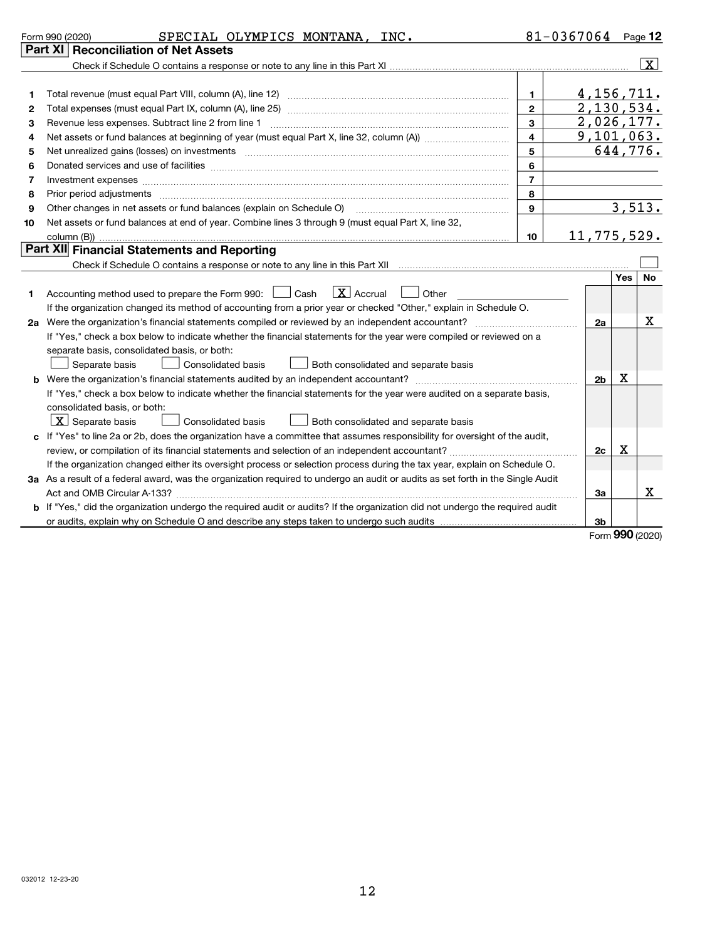|    | SPECIAL OLYMPICS MONTANA, INC.<br>Form 990 (2020)                                                                                                                                                                                   |                | $81 - 0367064$ Page 12     |                 |                     |
|----|-------------------------------------------------------------------------------------------------------------------------------------------------------------------------------------------------------------------------------------|----------------|----------------------------|-----------------|---------------------|
|    | Part XI   Reconciliation of Net Assets                                                                                                                                                                                              |                |                            |                 |                     |
|    |                                                                                                                                                                                                                                     |                |                            |                 | $\lfloor x \rfloor$ |
|    |                                                                                                                                                                                                                                     |                |                            |                 |                     |
| 1  |                                                                                                                                                                                                                                     | $\mathbf 1$    | 4, 156, 711.<br>2,130,534. |                 |                     |
| 2  |                                                                                                                                                                                                                                     | $\overline{2}$ |                            |                 |                     |
| З  |                                                                                                                                                                                                                                     | $\mathbf{3}$   | 2,026,177.                 |                 |                     |
| 4  |                                                                                                                                                                                                                                     | $\overline{4}$ | 9,101,063.                 |                 |                     |
| 5  |                                                                                                                                                                                                                                     | 5              |                            | 644,776.        |                     |
| 6  |                                                                                                                                                                                                                                     | 6              |                            |                 |                     |
| 7  |                                                                                                                                                                                                                                     | $\overline{7}$ |                            |                 |                     |
| 8  | Prior period adjustments www.communication.communication.com/news/communications/communications/communications                                                                                                                      | 8              |                            |                 |                     |
| 9  | Other changes in net assets or fund balances (explain on Schedule O)                                                                                                                                                                | $\mathbf{9}$   |                            | 3,513.          |                     |
| 10 | Net assets or fund balances at end of year. Combine lines 3 through 9 (must equal Part X, line 32,                                                                                                                                  |                |                            |                 |                     |
|    |                                                                                                                                                                                                                                     | 10             | 11,775,529.                |                 |                     |
|    | Part XII Financial Statements and Reporting                                                                                                                                                                                         |                |                            |                 |                     |
|    |                                                                                                                                                                                                                                     |                |                            |                 |                     |
| 1  | $\lfloor \mathbf{X} \rfloor$ Accrual<br>Accounting method used to prepare the Form 990: <u>I</u> Cash<br>Other<br>If the organization changed its method of accounting from a prior year or checked "Other," explain in Schedule O. |                |                            |                 |                     |
|    |                                                                                                                                                                                                                                     |                | 2a                         |                 | X                   |
|    | If "Yes," check a box below to indicate whether the financial statements for the year were compiled or reviewed on a                                                                                                                |                |                            |                 |                     |
|    | separate basis, consolidated basis, or both:                                                                                                                                                                                        |                |                            |                 |                     |
|    | Separate basis<br>Consolidated basis<br>Both consolidated and separate basis                                                                                                                                                        |                |                            |                 |                     |
|    |                                                                                                                                                                                                                                     |                | 2 <sub>b</sub>             | X               |                     |
|    | If "Yes," check a box below to indicate whether the financial statements for the year were audited on a separate basis,                                                                                                             |                |                            |                 |                     |
|    | consolidated basis, or both:                                                                                                                                                                                                        |                |                            |                 |                     |
|    | $\lfloor x \rfloor$ Separate basis<br><b>Consolidated basis</b><br><b>Both consolidated and separate basis</b>                                                                                                                      |                |                            |                 |                     |
|    | c If "Yes" to line 2a or 2b, does the organization have a committee that assumes responsibility for oversight of the audit,                                                                                                         |                |                            |                 |                     |
|    |                                                                                                                                                                                                                                     |                | 2c                         | X               |                     |
|    | If the organization changed either its oversight process or selection process during the tax year, explain on Schedule O.                                                                                                           |                |                            |                 |                     |
|    | 3a As a result of a federal award, was the organization required to undergo an audit or audits as set forth in the Single Audit                                                                                                     |                |                            |                 |                     |
|    |                                                                                                                                                                                                                                     |                | За                         |                 | X                   |
|    | b If "Yes," did the organization undergo the required audit or audits? If the organization did not undergo the required audit                                                                                                       |                |                            |                 |                     |
|    |                                                                                                                                                                                                                                     |                | 3b                         |                 |                     |
|    |                                                                                                                                                                                                                                     |                |                            | Form 990 (2020) |                     |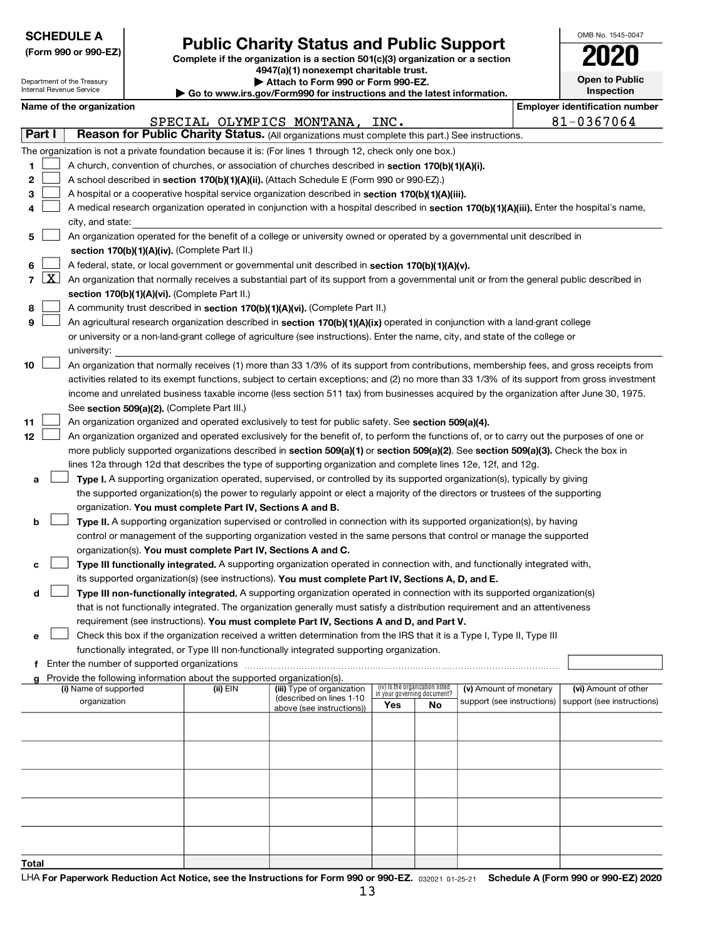|              |                                                                                                                                                                                                    | <b>SCHEDULE A</b>                                      |  |                                                                        |                                                                                                                                                                                                                                               |     |                                                                |                            |  | OMB No. 1545-0047                     |  |
|--------------|----------------------------------------------------------------------------------------------------------------------------------------------------------------------------------------------------|--------------------------------------------------------|--|------------------------------------------------------------------------|-----------------------------------------------------------------------------------------------------------------------------------------------------------------------------------------------------------------------------------------------|-----|----------------------------------------------------------------|----------------------------|--|---------------------------------------|--|
|              | <b>Public Charity Status and Public Support</b><br>(Form 990 or 990-EZ)<br>Complete if the organization is a section 501(c)(3) organization or a section<br>4947(a)(1) nonexempt charitable trust. |                                                        |  |                                                                        |                                                                                                                                                                                                                                               |     |                                                                |                            |  |                                       |  |
|              |                                                                                                                                                                                                    |                                                        |  |                                                                        |                                                                                                                                                                                                                                               |     |                                                                |                            |  |                                       |  |
|              |                                                                                                                                                                                                    | Department of the Treasury<br>Internal Revenue Service |  |                                                                        | Attach to Form 990 or Form 990-EZ.                                                                                                                                                                                                            |     |                                                                |                            |  | Open to Public                        |  |
|              |                                                                                                                                                                                                    |                                                        |  |                                                                        | Go to www.irs.gov/Form990 for instructions and the latest information.                                                                                                                                                                        |     |                                                                |                            |  | Inspection                            |  |
|              |                                                                                                                                                                                                    | Name of the organization                               |  |                                                                        |                                                                                                                                                                                                                                               |     |                                                                |                            |  | <b>Employer identification number</b> |  |
| Part I       |                                                                                                                                                                                                    |                                                        |  |                                                                        | SPECIAL OLYMPICS MONTANA, INC.<br>Reason for Public Charity Status. (All organizations must complete this part.) See instructions.                                                                                                            |     |                                                                |                            |  | 81-0367064                            |  |
|              |                                                                                                                                                                                                    |                                                        |  |                                                                        | The organization is not a private foundation because it is: (For lines 1 through 12, check only one box.)                                                                                                                                     |     |                                                                |                            |  |                                       |  |
| 1            |                                                                                                                                                                                                    |                                                        |  |                                                                        | A church, convention of churches, or association of churches described in section 170(b)(1)(A)(i).                                                                                                                                            |     |                                                                |                            |  |                                       |  |
| 2            |                                                                                                                                                                                                    |                                                        |  |                                                                        | A school described in section 170(b)(1)(A)(ii). (Attach Schedule E (Form 990 or 990-EZ).)                                                                                                                                                     |     |                                                                |                            |  |                                       |  |
| з            |                                                                                                                                                                                                    |                                                        |  |                                                                        | A hospital or a cooperative hospital service organization described in section 170(b)(1)(A)(iii).                                                                                                                                             |     |                                                                |                            |  |                                       |  |
|              |                                                                                                                                                                                                    |                                                        |  |                                                                        | A medical research organization operated in conjunction with a hospital described in section 170(b)(1)(A)(iii). Enter the hospital's name,                                                                                                    |     |                                                                |                            |  |                                       |  |
|              | city, and state:                                                                                                                                                                                   |                                                        |  |                                                                        |                                                                                                                                                                                                                                               |     |                                                                |                            |  |                                       |  |
| 5            |                                                                                                                                                                                                    |                                                        |  |                                                                        | An organization operated for the benefit of a college or university owned or operated by a governmental unit described in                                                                                                                     |     |                                                                |                            |  |                                       |  |
|              |                                                                                                                                                                                                    |                                                        |  | section 170(b)(1)(A)(iv). (Complete Part II.)                          |                                                                                                                                                                                                                                               |     |                                                                |                            |  |                                       |  |
| 6            |                                                                                                                                                                                                    |                                                        |  |                                                                        | A federal, state, or local government or governmental unit described in section 170(b)(1)(A)(v).                                                                                                                                              |     |                                                                |                            |  |                                       |  |
| 7            | $\lfloor x \rfloor$                                                                                                                                                                                |                                                        |  |                                                                        | An organization that normally receives a substantial part of its support from a governmental unit or from the general public described in                                                                                                     |     |                                                                |                            |  |                                       |  |
| 8            |                                                                                                                                                                                                    |                                                        |  | section 170(b)(1)(A)(vi). (Complete Part II.)                          | A community trust described in section 170(b)(1)(A)(vi). (Complete Part II.)                                                                                                                                                                  |     |                                                                |                            |  |                                       |  |
| 9            |                                                                                                                                                                                                    |                                                        |  |                                                                        | An agricultural research organization described in section 170(b)(1)(A)(ix) operated in conjunction with a land-grant college                                                                                                                 |     |                                                                |                            |  |                                       |  |
|              |                                                                                                                                                                                                    |                                                        |  |                                                                        | or university or a non-land-grant college of agriculture (see instructions). Enter the name, city, and state of the college or                                                                                                                |     |                                                                |                            |  |                                       |  |
|              |                                                                                                                                                                                                    | university:                                            |  |                                                                        |                                                                                                                                                                                                                                               |     |                                                                |                            |  |                                       |  |
| 10           |                                                                                                                                                                                                    |                                                        |  |                                                                        | An organization that normally receives (1) more than 33 1/3% of its support from contributions, membership fees, and gross receipts from                                                                                                      |     |                                                                |                            |  |                                       |  |
|              |                                                                                                                                                                                                    |                                                        |  |                                                                        | activities related to its exempt functions, subject to certain exceptions; and (2) no more than 33 1/3% of its support from gross investment                                                                                                  |     |                                                                |                            |  |                                       |  |
|              |                                                                                                                                                                                                    |                                                        |  |                                                                        | income and unrelated business taxable income (less section 511 tax) from businesses acquired by the organization after June 30, 1975.                                                                                                         |     |                                                                |                            |  |                                       |  |
|              |                                                                                                                                                                                                    |                                                        |  | See section 509(a)(2). (Complete Part III.)                            |                                                                                                                                                                                                                                               |     |                                                                |                            |  |                                       |  |
| 11           |                                                                                                                                                                                                    |                                                        |  |                                                                        | An organization organized and operated exclusively to test for public safety. See section 509(a)(4).                                                                                                                                          |     |                                                                |                            |  |                                       |  |
| 12           |                                                                                                                                                                                                    |                                                        |  |                                                                        | An organization organized and operated exclusively for the benefit of, to perform the functions of, or to carry out the purposes of one or                                                                                                    |     |                                                                |                            |  |                                       |  |
|              |                                                                                                                                                                                                    |                                                        |  |                                                                        | more publicly supported organizations described in section 509(a)(1) or section 509(a)(2). See section 509(a)(3). Check the box in                                                                                                            |     |                                                                |                            |  |                                       |  |
| a            |                                                                                                                                                                                                    |                                                        |  |                                                                        | lines 12a through 12d that describes the type of supporting organization and complete lines 12e, 12f, and 12g.<br>Type I. A supporting organization operated, supervised, or controlled by its supported organization(s), typically by giving |     |                                                                |                            |  |                                       |  |
|              |                                                                                                                                                                                                    |                                                        |  |                                                                        | the supported organization(s) the power to regularly appoint or elect a majority of the directors or trustees of the supporting                                                                                                               |     |                                                                |                            |  |                                       |  |
|              |                                                                                                                                                                                                    |                                                        |  | organization. You must complete Part IV, Sections A and B.             |                                                                                                                                                                                                                                               |     |                                                                |                            |  |                                       |  |
| b            |                                                                                                                                                                                                    |                                                        |  |                                                                        | Type II. A supporting organization supervised or controlled in connection with its supported organization(s), by having                                                                                                                       |     |                                                                |                            |  |                                       |  |
|              |                                                                                                                                                                                                    |                                                        |  |                                                                        | control or management of the supporting organization vested in the same persons that control or manage the supported                                                                                                                          |     |                                                                |                            |  |                                       |  |
|              |                                                                                                                                                                                                    |                                                        |  | organization(s). You must complete Part IV, Sections A and C.          |                                                                                                                                                                                                                                               |     |                                                                |                            |  |                                       |  |
| с            |                                                                                                                                                                                                    |                                                        |  |                                                                        | Type III functionally integrated. A supporting organization operated in connection with, and functionally integrated with,                                                                                                                    |     |                                                                |                            |  |                                       |  |
|              |                                                                                                                                                                                                    |                                                        |  |                                                                        | its supported organization(s) (see instructions). You must complete Part IV, Sections A, D, and E.                                                                                                                                            |     |                                                                |                            |  |                                       |  |
| d            |                                                                                                                                                                                                    |                                                        |  |                                                                        | Type III non-functionally integrated. A supporting organization operated in connection with its supported organization(s)                                                                                                                     |     |                                                                |                            |  |                                       |  |
|              |                                                                                                                                                                                                    |                                                        |  |                                                                        | that is not functionally integrated. The organization generally must satisfy a distribution requirement and an attentiveness                                                                                                                  |     |                                                                |                            |  |                                       |  |
|              |                                                                                                                                                                                                    |                                                        |  |                                                                        | requirement (see instructions). You must complete Part IV, Sections A and D, and Part V.<br>Check this box if the organization received a written determination from the IRS that it is a Type I, Type II, Type III                           |     |                                                                |                            |  |                                       |  |
| е            |                                                                                                                                                                                                    |                                                        |  |                                                                        | functionally integrated, or Type III non-functionally integrated supporting organization.                                                                                                                                                     |     |                                                                |                            |  |                                       |  |
|              |                                                                                                                                                                                                    |                                                        |  |                                                                        |                                                                                                                                                                                                                                               |     |                                                                |                            |  |                                       |  |
|              |                                                                                                                                                                                                    |                                                        |  | Provide the following information about the supported organization(s). |                                                                                                                                                                                                                                               |     |                                                                |                            |  |                                       |  |
|              |                                                                                                                                                                                                    | (i) Name of supported                                  |  | (ii) EIN                                                               | (iii) Type of organization<br>(described on lines 1-10                                                                                                                                                                                        |     | (iv) Is the organization listed<br>in your governing document? | (v) Amount of monetary     |  | (vi) Amount of other                  |  |
|              |                                                                                                                                                                                                    | organization                                           |  |                                                                        | above (see instructions))                                                                                                                                                                                                                     | Yes | No                                                             | support (see instructions) |  | support (see instructions)            |  |
|              |                                                                                                                                                                                                    |                                                        |  |                                                                        |                                                                                                                                                                                                                                               |     |                                                                |                            |  |                                       |  |
|              |                                                                                                                                                                                                    |                                                        |  |                                                                        |                                                                                                                                                                                                                                               |     |                                                                |                            |  |                                       |  |
|              |                                                                                                                                                                                                    |                                                        |  |                                                                        |                                                                                                                                                                                                                                               |     |                                                                |                            |  |                                       |  |
|              |                                                                                                                                                                                                    |                                                        |  |                                                                        |                                                                                                                                                                                                                                               |     |                                                                |                            |  |                                       |  |
|              |                                                                                                                                                                                                    |                                                        |  |                                                                        |                                                                                                                                                                                                                                               |     |                                                                |                            |  |                                       |  |
|              |                                                                                                                                                                                                    |                                                        |  |                                                                        |                                                                                                                                                                                                                                               |     |                                                                |                            |  |                                       |  |
|              |                                                                                                                                                                                                    |                                                        |  |                                                                        |                                                                                                                                                                                                                                               |     |                                                                |                            |  |                                       |  |
|              |                                                                                                                                                                                                    |                                                        |  |                                                                        |                                                                                                                                                                                                                                               |     |                                                                |                            |  |                                       |  |
|              |                                                                                                                                                                                                    |                                                        |  |                                                                        |                                                                                                                                                                                                                                               |     |                                                                |                            |  |                                       |  |
| <u>Total</u> |                                                                                                                                                                                                    |                                                        |  |                                                                        |                                                                                                                                                                                                                                               |     |                                                                |                            |  |                                       |  |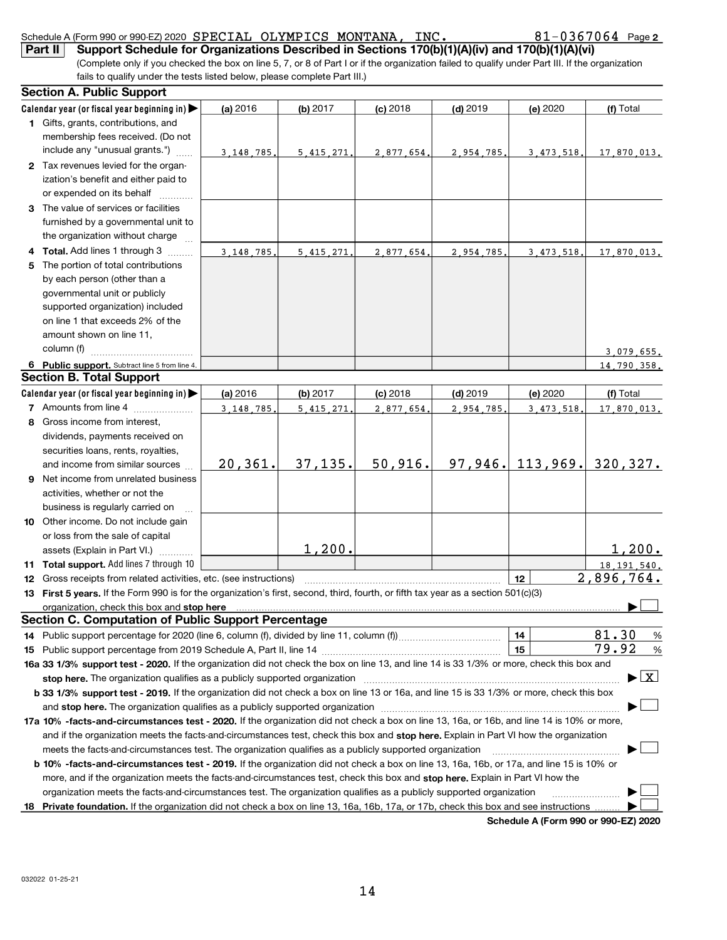|     | Support Schedule for Organizations Described in Sections 170(b)(1)(A)(iv) and 170(b)(1)(A)(vi)<br>Part II                                                                                                                      |             |              |            |            |                                      |                                           |
|-----|--------------------------------------------------------------------------------------------------------------------------------------------------------------------------------------------------------------------------------|-------------|--------------|------------|------------|--------------------------------------|-------------------------------------------|
|     | (Complete only if you checked the box on line 5, 7, or 8 of Part I or if the organization failed to qualify under Part III. If the organization                                                                                |             |              |            |            |                                      |                                           |
|     | fails to qualify under the tests listed below, please complete Part III.)                                                                                                                                                      |             |              |            |            |                                      |                                           |
|     | <b>Section A. Public Support</b>                                                                                                                                                                                               |             |              |            |            |                                      |                                           |
|     | Calendar year (or fiscal year beginning in)                                                                                                                                                                                    | (a) 2016    | (b) $2017$   | $(c)$ 2018 | $(d)$ 2019 | (e) 2020                             | (f) Total                                 |
|     | 1 Gifts, grants, contributions, and                                                                                                                                                                                            |             |              |            |            |                                      |                                           |
|     | membership fees received. (Do not                                                                                                                                                                                              |             |              |            |            |                                      |                                           |
|     | include any "unusual grants.")                                                                                                                                                                                                 | 3.148.785.  | 5, 415, 271. | 2,877,654. | 2,954,785, | 3.473.518.                           | 17,870,013.                               |
|     | 2 Tax revenues levied for the organ-                                                                                                                                                                                           |             |              |            |            |                                      |                                           |
|     | ization's benefit and either paid to                                                                                                                                                                                           |             |              |            |            |                                      |                                           |
|     | or expended on its behalf                                                                                                                                                                                                      |             |              |            |            |                                      |                                           |
|     | 3 The value of services or facilities                                                                                                                                                                                          |             |              |            |            |                                      |                                           |
|     | furnished by a governmental unit to                                                                                                                                                                                            |             |              |            |            |                                      |                                           |
|     | the organization without charge                                                                                                                                                                                                |             |              |            |            |                                      |                                           |
|     | Total. Add lines 1 through 3                                                                                                                                                                                                   | 3, 148, 785 | 5.415.271.   | 2.877.654. | 2,954,785  | 3.473.518.                           | 17,870,013.                               |
| 5   | The portion of total contributions                                                                                                                                                                                             |             |              |            |            |                                      |                                           |
|     | by each person (other than a                                                                                                                                                                                                   |             |              |            |            |                                      |                                           |
|     | governmental unit or publicly                                                                                                                                                                                                  |             |              |            |            |                                      |                                           |
|     | supported organization) included                                                                                                                                                                                               |             |              |            |            |                                      |                                           |
|     | on line 1 that exceeds 2% of the                                                                                                                                                                                               |             |              |            |            |                                      |                                           |
|     | amount shown on line 11,                                                                                                                                                                                                       |             |              |            |            |                                      |                                           |
|     | column (f)                                                                                                                                                                                                                     |             |              |            |            |                                      | 3,079,655.                                |
|     | 6 Public support. Subtract line 5 from line 4.                                                                                                                                                                                 |             |              |            |            |                                      | 14.790.358.                               |
|     | <b>Section B. Total Support</b>                                                                                                                                                                                                |             |              |            |            |                                      |                                           |
|     | Calendar year (or fiscal year beginning in)                                                                                                                                                                                    | (a) 2016    | (b) 2017     | $(c)$ 2018 | $(d)$ 2019 | (e) 2020                             | (f) Total                                 |
|     | 7 Amounts from line 4                                                                                                                                                                                                          | 3.148.785   | 5.415.271    | 2.877.654. | 2,954,785  | 3.473.518.                           | 17.870.013.                               |
| 8   | Gross income from interest,                                                                                                                                                                                                    |             |              |            |            |                                      |                                           |
|     | dividends, payments received on                                                                                                                                                                                                |             |              |            |            |                                      |                                           |
|     | securities loans, rents, royalties,                                                                                                                                                                                            |             |              |            |            |                                      |                                           |
|     | and income from similar sources                                                                                                                                                                                                | 20, 361.    | 37, 135.     | 50,916.    |            | $97,946.$ 113,969.                   | 320,327.                                  |
| 9   | Net income from unrelated business                                                                                                                                                                                             |             |              |            |            |                                      |                                           |
|     | activities, whether or not the                                                                                                                                                                                                 |             |              |            |            |                                      |                                           |
|     | business is regularly carried on                                                                                                                                                                                               |             |              |            |            |                                      |                                           |
|     | 10 Other income. Do not include gain                                                                                                                                                                                           |             |              |            |            |                                      |                                           |
|     | or loss from the sale of capital                                                                                                                                                                                               |             | 1,200.       |            |            |                                      | <u>1,200.</u>                             |
|     | assets (Explain in Part VI.)<br>11 Total support. Add lines 7 through 10                                                                                                                                                       |             |              |            |            |                                      |                                           |
|     | 12 Gross receipts from related activities, etc. (see instructions) manufactured contains and contained and contained activities, etc. (see instructions)                                                                       |             |              |            |            | 12                                   | 18, 191, 540.<br><u>2,896,764.</u>        |
| 13  | First 5 years. If the Form 990 is for the organization's first, second, third, fourth, or fifth tax year as a section 501(c)(3)                                                                                                |             |              |            |            |                                      |                                           |
|     | organization, check this box and stop here manufactured and according to the state of the state of the state of the state of the state of the state of the state of the state of the state of the state of the state of the st |             |              |            |            |                                      |                                           |
|     | Section C. Computation of Public Support Percentage                                                                                                                                                                            |             |              |            |            |                                      |                                           |
| 14. |                                                                                                                                                                                                                                |             |              |            |            | 14                                   | 81.30<br>%                                |
| 15  |                                                                                                                                                                                                                                |             |              |            |            | 15                                   | 79.92<br>%                                |
|     | 16a 33 1/3% support test - 2020. If the organization did not check the box on line 13, and line 14 is 33 1/3% or more, check this box and                                                                                      |             |              |            |            |                                      |                                           |
|     | stop here. The organization qualifies as a publicly supported organization manufaction manufacture content and the support of the state of the state of the state of the state of the state of the state of the state of the s |             |              |            |            |                                      | $\blacktriangleright$ $\lfloor x \rfloor$ |
|     | b 33 1/3% support test - 2019. If the organization did not check a box on line 13 or 16a, and line 15 is 33 1/3% or more, check this box                                                                                       |             |              |            |            |                                      |                                           |
|     | and stop here. The organization qualifies as a publicly supported organization manufaction and stop here. The organization                                                                                                     |             |              |            |            |                                      |                                           |
|     | 17a 10% -facts-and-circumstances test - 2020. If the organization did not check a box on line 13, 16a, or 16b, and line 14 is 10% or more,                                                                                     |             |              |            |            |                                      |                                           |
|     | and if the organization meets the facts-and-circumstances test, check this box and stop here. Explain in Part VI how the organization                                                                                          |             |              |            |            |                                      |                                           |
|     | meets the facts-and-circumstances test. The organization qualifies as a publicly supported organization                                                                                                                        |             |              |            |            |                                      |                                           |
|     | <b>b 10%</b> -facts-and-circumstances test - 2019. If the organization did not check a box on line 13, 16a, 16b, or 17a, and line 15 is 10% or                                                                                 |             |              |            |            |                                      |                                           |
|     | more, and if the organization meets the facts-and-circumstances test, check this box and stop here. Explain in Part VI how the                                                                                                 |             |              |            |            |                                      |                                           |
|     | organization meets the facts-and-circumstances test. The organization qualifies as a publicly supported organization                                                                                                           |             |              |            |            |                                      |                                           |
|     | 18 Private foundation. If the organization did not check a box on line 13, 16a, 16b, 17a, or 17b, check this box and see instructions                                                                                          |             |              |            |            |                                      |                                           |
|     |                                                                                                                                                                                                                                |             |              |            |            | Schedule A (Form 990 or 990-EZ) 2020 |                                           |

Schedule A (Form 990 or 990-EZ) 2020 SPECIAL OLYMPICS MONTANA, INC.  $81-0367064$  Page 2

SPECIAL OLYMPICS MONTANA, INC. 81-0367064

032022 01-25-21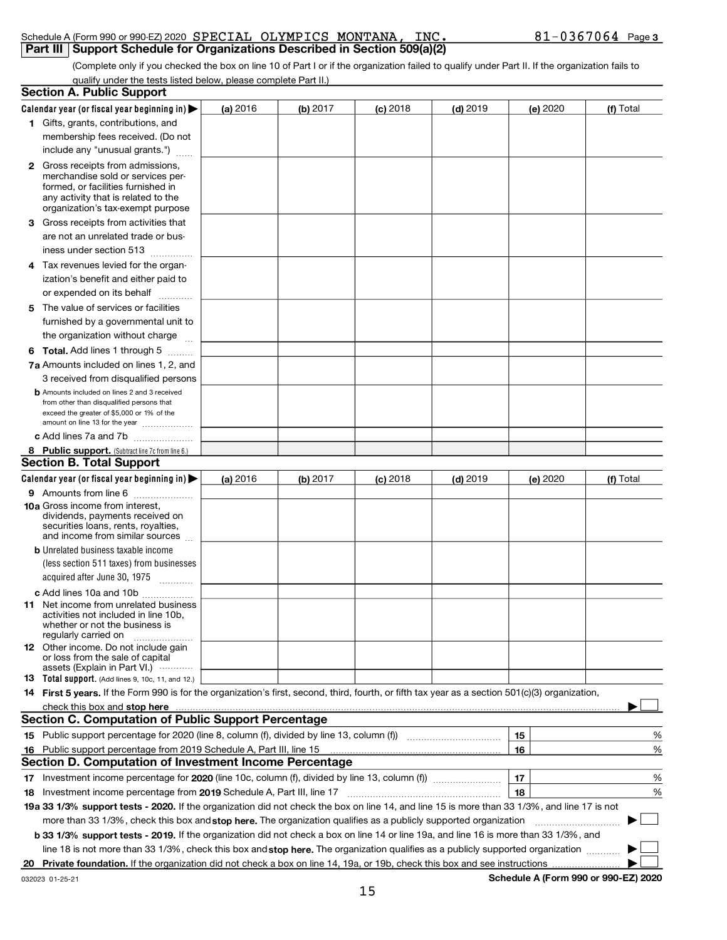#### Schedule A (Form 990 or 990-EZ) 2020 SPECIAL OLYMPICS MONTANA , INC • 81–0367064 Page .<br>| Part III | Support Schedule for Organizations Described in Section 509(a)(2) SPECIAL OLYMPICS MONTANA, INC. 81-0367064

|    | (Complete only if you checked the box on line 10 of Part I or if the organization failed to qualify under Part II. If the organization fails to                                                                                                                          |            |          |            |            |            |           |
|----|--------------------------------------------------------------------------------------------------------------------------------------------------------------------------------------------------------------------------------------------------------------------------|------------|----------|------------|------------|------------|-----------|
|    | qualify under the tests listed below, please complete Part II.)<br><b>Section A. Public Support</b>                                                                                                                                                                      |            |          |            |            |            |           |
|    |                                                                                                                                                                                                                                                                          |            |          |            |            |            |           |
|    | Calendar year (or fiscal year beginning in) $\blacktriangleright$<br>1 Gifts, grants, contributions, and                                                                                                                                                                 | (a) 2016   | (b) 2017 | $(c)$ 2018 | $(d)$ 2019 | (e) 2020   | (f) Total |
|    | membership fees received. (Do not                                                                                                                                                                                                                                        |            |          |            |            |            |           |
|    | include any "unusual grants.")                                                                                                                                                                                                                                           |            |          |            |            |            |           |
|    | <b>2</b> Gross receipts from admissions,                                                                                                                                                                                                                                 |            |          |            |            |            |           |
|    | merchandise sold or services per-                                                                                                                                                                                                                                        |            |          |            |            |            |           |
|    | formed, or facilities furnished in                                                                                                                                                                                                                                       |            |          |            |            |            |           |
|    | any activity that is related to the<br>organization's tax-exempt purpose                                                                                                                                                                                                 |            |          |            |            |            |           |
|    | 3 Gross receipts from activities that                                                                                                                                                                                                                                    |            |          |            |            |            |           |
|    | are not an unrelated trade or bus-                                                                                                                                                                                                                                       |            |          |            |            |            |           |
|    | iness under section 513                                                                                                                                                                                                                                                  |            |          |            |            |            |           |
|    | 4 Tax revenues levied for the organ-                                                                                                                                                                                                                                     |            |          |            |            |            |           |
|    | ization's benefit and either paid to                                                                                                                                                                                                                                     |            |          |            |            |            |           |
|    | or expended on its behalf                                                                                                                                                                                                                                                |            |          |            |            |            |           |
|    | 5 The value of services or facilities                                                                                                                                                                                                                                    |            |          |            |            |            |           |
|    | furnished by a governmental unit to                                                                                                                                                                                                                                      |            |          |            |            |            |           |
|    | the organization without charge                                                                                                                                                                                                                                          |            |          |            |            |            |           |
|    | <b>6 Total.</b> Add lines 1 through 5                                                                                                                                                                                                                                    |            |          |            |            |            |           |
|    | 7a Amounts included on lines 1, 2, and                                                                                                                                                                                                                                   |            |          |            |            |            |           |
|    | 3 received from disqualified persons                                                                                                                                                                                                                                     |            |          |            |            |            |           |
|    | <b>b</b> Amounts included on lines 2 and 3 received                                                                                                                                                                                                                      |            |          |            |            |            |           |
|    | from other than disqualified persons that<br>exceed the greater of \$5,000 or 1% of the                                                                                                                                                                                  |            |          |            |            |            |           |
|    | amount on line 13 for the year                                                                                                                                                                                                                                           |            |          |            |            |            |           |
|    | c Add lines 7a and 7b                                                                                                                                                                                                                                                    |            |          |            |            |            |           |
|    | 8 Public support. (Subtract line 7c from line 6.)                                                                                                                                                                                                                        |            |          |            |            |            |           |
|    | <b>Section B. Total Support</b>                                                                                                                                                                                                                                          |            |          |            |            |            |           |
|    |                                                                                                                                                                                                                                                                          |            |          |            |            |            |           |
|    | Calendar year (or fiscal year beginning in)                                                                                                                                                                                                                              | (a) $2016$ | (b) 2017 | $(c)$ 2018 | $(d)$ 2019 | (e) $2020$ | (f) Total |
|    | 9 Amounts from line 6                                                                                                                                                                                                                                                    |            |          |            |            |            |           |
|    | <b>10a</b> Gross income from interest,                                                                                                                                                                                                                                   |            |          |            |            |            |           |
|    | dividends, payments received on                                                                                                                                                                                                                                          |            |          |            |            |            |           |
|    | securities loans, rents, royalties,<br>and income from similar sources                                                                                                                                                                                                   |            |          |            |            |            |           |
|    | <b>b</b> Unrelated business taxable income                                                                                                                                                                                                                               |            |          |            |            |            |           |
|    | (less section 511 taxes) from businesses                                                                                                                                                                                                                                 |            |          |            |            |            |           |
|    | acquired after June 30, 1975<br>.                                                                                                                                                                                                                                        |            |          |            |            |            |           |
|    | c Add lines 10a and 10b                                                                                                                                                                                                                                                  |            |          |            |            |            |           |
|    | <b>11</b> Net income from unrelated business                                                                                                                                                                                                                             |            |          |            |            |            |           |
|    | activities not included in line 10b,<br>whether or not the business is                                                                                                                                                                                                   |            |          |            |            |            |           |
|    | regularly carried on                                                                                                                                                                                                                                                     |            |          |            |            |            |           |
|    | 12 Other income. Do not include gain<br>or loss from the sale of capital                                                                                                                                                                                                 |            |          |            |            |            |           |
|    | assets (Explain in Part VI.)                                                                                                                                                                                                                                             |            |          |            |            |            |           |
|    | 13 Total support. (Add lines 9, 10c, 11, and 12.)                                                                                                                                                                                                                        |            |          |            |            |            |           |
|    | 14 First 5 years. If the Form 990 is for the organization's first, second, third, fourth, or fifth tax year as a section 501(c)(3) organization,                                                                                                                         |            |          |            |            |            |           |
|    | check this box and stop here manufactured and content to the state of the state of the state of the state of the state of the state of the state of the state of the state of the state of the state of the state of the state                                           |            |          |            |            |            |           |
|    | <b>Section C. Computation of Public Support Percentage</b>                                                                                                                                                                                                               |            |          |            |            |            |           |
|    |                                                                                                                                                                                                                                                                          |            |          |            |            | 15         | %         |
| 16 | Public support percentage from 2019 Schedule A, Part III, line 15                                                                                                                                                                                                        |            |          |            |            | 16         | %         |
|    | Section D. Computation of Investment Income Percentage                                                                                                                                                                                                                   |            |          |            |            |            |           |
|    |                                                                                                                                                                                                                                                                          |            |          |            |            | 17         | %         |
| 18 |                                                                                                                                                                                                                                                                          |            |          |            |            | 18         | %         |
|    | 19a 33 1/3% support tests - 2020. If the organization did not check the box on line 14, and line 15 is more than 33 1/3%, and line 17 is not                                                                                                                             |            |          |            |            |            |           |
|    | more than 33 1/3%, check this box and stop here. The organization qualifies as a publicly supported organization <i>marroummarroum</i>                                                                                                                                   |            |          |            |            |            |           |
|    | b 33 1/3% support tests - 2019. If the organization did not check a box on line 14 or line 19a, and line 16 is more than 33 1/3%, and<br>line 18 is not more than 33 1/3%, check this box and stop here. The organization qualifies as a publicly supported organization |            |          |            |            |            |           |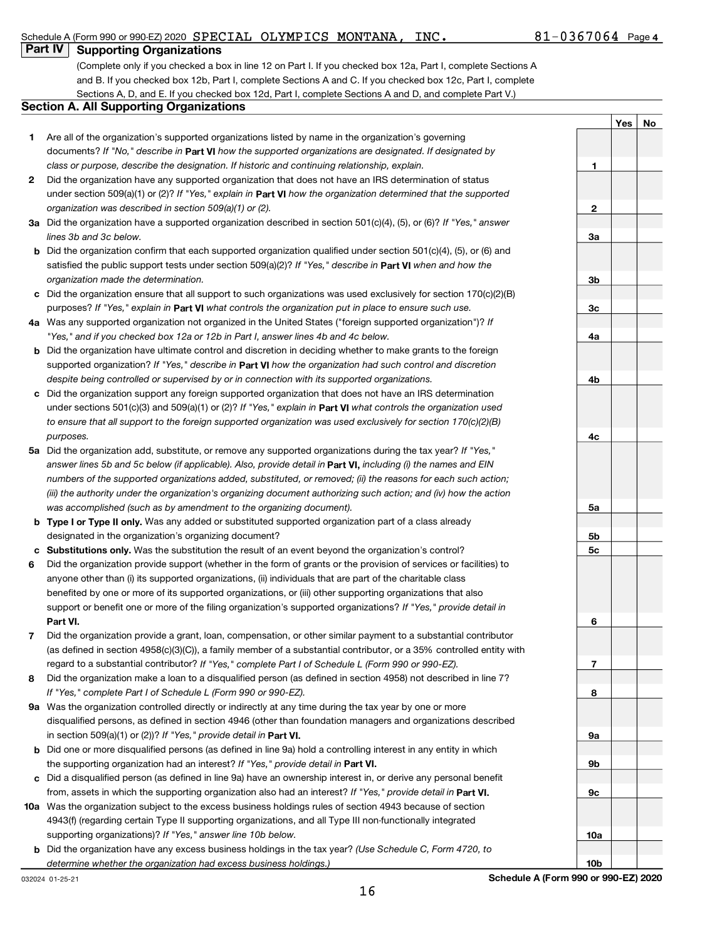### Schedule A (Form 990 or 990-EZ) 2020 SPECIAL OLYMPICS MONTANA, INC.  $81-0367064$  Page

### **Part IV Supporting Organizations**

(Complete only if you checked a box in line 12 on Part I. If you checked box 12a, Part I, complete Sections A and B. If you checked box 12b, Part I, complete Sections A and C. If you checked box 12c, Part I, complete Sections A, D, and E. If you checked box 12d, Part I, complete Sections A and D, and complete Part V.)

Schedule A (Form 990 or 990-EZ) 2020

10a

10b

|              |                                                                                                                        |           | Yes | No |
|--------------|------------------------------------------------------------------------------------------------------------------------|-----------|-----|----|
|              | Are all of the organization's supported organizations listed by name in the organization's governing                   |           |     |    |
| 1.           | documents? If "No," describe in Part VI how the supported organizations are designated. If designated by               |           |     |    |
|              | class or purpose, describe the designation. If historic and continuing relationship, explain.                          | 1         |     |    |
|              |                                                                                                                        |           |     |    |
| $\mathbf{2}$ | Did the organization have any supported organization that does not have an IRS determination of status                 |           |     |    |
|              | under section 509(a)(1) or (2)? If "Yes," explain in <b>Part VI</b> how the organization determined that the supported |           |     |    |
|              | organization was described in section 509(a)(1) or (2).                                                                | 2         |     |    |
|              | 3a Did the organization have a supported organization described in section $501(c)(4)$ , (5), or (6)? If "Yes," answer |           |     |    |
|              | lines 3b and 3c below.                                                                                                 | 3a        |     |    |
| b            | Did the organization confirm that each supported organization qualified under section 501(c)(4), (5), or (6) and       |           |     |    |
|              | satisfied the public support tests under section 509(a)(2)? If "Yes," describe in Part VI when and how the             |           |     |    |
|              | organization made the determination.                                                                                   | 3b        |     |    |
|              | Did the organization ensure that all support to such organizations was used exclusively for section 170(c)(2)(B)       |           |     |    |
|              | purposes? If "Yes," explain in Part VI what controls the organization put in place to ensure such use.                 | 3c        |     |    |
|              | 4a Was any supported organization not organized in the United States ("foreign supported organization")? If            |           |     |    |
|              | "Yes," and if you checked box 12a or 12b in Part I, answer lines 4b and 4c below.                                      | 4a        |     |    |
| b            | Did the organization have ultimate control and discretion in deciding whether to make grants to the foreign            |           |     |    |
|              | supported organization? If "Yes," describe in Part VI how the organization had such control and discretion             |           |     |    |
|              | despite being controlled or supervised by or in connection with its supported organizations.                           | 4b        |     |    |
|              | Did the organization support any foreign supported organization that does not have an IRS determination                |           |     |    |
|              | under sections 501(c)(3) and 509(a)(1) or (2)? If "Yes," explain in <b>Part VI</b> what controls the organization used |           |     |    |
|              | to ensure that all support to the foreign supported organization was used exclusively for section $170(c)(2)(B)$       |           |     |    |
|              | purposes.                                                                                                              | 4с        |     |    |
|              | 5a Did the organization add, substitute, or remove any supported organizations during the tax year? If "Yes,"          |           |     |    |
|              | answer lines 5b and 5c below (if applicable). Also, provide detail in <b>Part VI</b> , including (i) the names and EIN |           |     |    |
|              | numbers of the supported organizations added, substituted, or removed; (ii) the reasons for each such action;          |           |     |    |
|              | (iii) the authority under the organization's organizing document authorizing such action; and (iv) how the action      |           |     |    |
|              | was accomplished (such as by amendment to the organizing document).                                                    | 5a        |     |    |
| b            | Type I or Type II only. Was any added or substituted supported organization part of a class already                    |           |     |    |
|              | designated in the organization's organizing document?                                                                  | 5b        |     |    |
|              | Substitutions only. Was the substitution the result of an event beyond the organization's control?                     | 5c        |     |    |
| 6            | Did the organization provide support (whether in the form of grants or the provision of services or facilities) to     |           |     |    |
|              | anyone other than (i) its supported organizations, (ii) individuals that are part of the charitable class              |           |     |    |
|              | benefited by one or more of its supported organizations, or (iii) other supporting organizations that also             |           |     |    |
|              |                                                                                                                        |           |     |    |
|              | support or benefit one or more of the filing organization's supported organizations? If "Yes," provide detail in       |           |     |    |
|              | Part VI.                                                                                                               | 6         |     |    |
|              | Did the organization provide a grant, loan, compensation, or other similar payment to a substantial contributor        |           |     |    |
|              | (as defined in section 4958(c)(3)(C)), a family member of a substantial contributor, or a 35% controlled entity with   |           |     |    |
|              | regard to a substantial contributor? If "Yes," complete Part I of Schedule L (Form 990 or 990-EZ).                     | 7         |     |    |
| 8            | Did the organization make a loan to a disqualified person (as defined in section 4958) not described in line 7?        |           |     |    |
|              | If "Yes," complete Part I of Schedule L (Form 990 or 990-EZ).                                                          | 8         |     |    |
|              | 9a Was the organization controlled directly or indirectly at any time during the tax year by one or more               |           |     |    |
|              | disqualified persons, as defined in section 4946 (other than foundation managers and organizations described           |           |     |    |
|              | in section 509(a)(1) or (2))? If "Yes," provide detail in Part VI.                                                     | <b>9a</b> |     |    |
| b            | Did one or more disqualified persons (as defined in line 9a) hold a controlling interest in any entity in which        |           |     |    |
|              | the supporting organization had an interest? If "Yes," provide detail in Part VI.                                      | 9b        |     |    |
| c            | Did a disqualified person (as defined in line 9a) have an ownership interest in, or derive any personal benefit        |           |     |    |
|              | from, assets in which the supporting organization also had an interest? If "Yes," provide detail in Part VI.           | 9с        |     |    |
|              | 10a Was the organization subject to the excess business holdings rules of section 4943 because of section              |           |     |    |
|              | 4943(f) (regarding certain Type II supporting organizations, and all Type III non-functionally integrated              |           |     |    |

**b** Did the organization have any excess business holdings in the tax year? (Use Schedule C, Form 4720, to

supporting organizations)? If "Yes," answer line 10b below.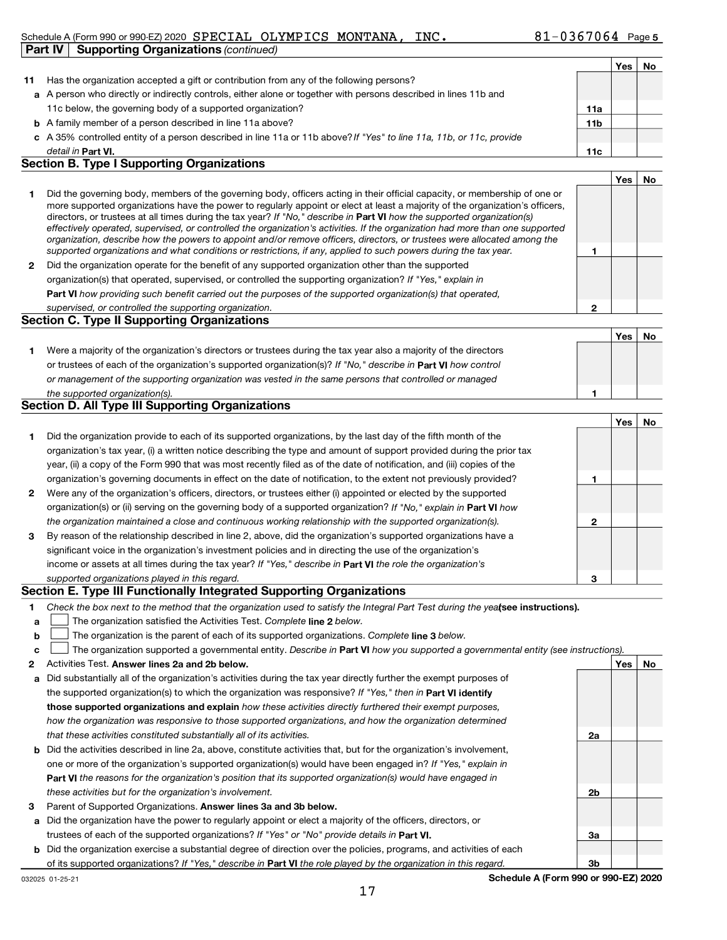#### Schedule A (Form 990 or 990-EZ) 2020 SPECIAL OLYMPICS MONTANA, INC.  $81-0367064$  Page. Part  $IV \mid$  Supporting Organizations (continued)

|    |                                                                                                                      |                 | Yes | No |
|----|----------------------------------------------------------------------------------------------------------------------|-----------------|-----|----|
| 11 | Has the organization accepted a gift or contribution from any of the following persons?                              |                 |     |    |
|    | a A person who directly or indirectly controls, either alone or together with persons described in lines 11b and     |                 |     |    |
|    | 11c below, the governing body of a supported organization?                                                           | 11a             |     |    |
|    | <b>b</b> A family member of a person described in line 11a above?                                                    | 11 <sub>b</sub> |     |    |
|    | c A 35% controlled entity of a person described in line 11a or 11b above? If "Yes" to line 11a, 11b, or 11c, provide |                 |     |    |
|    | detail in Part VI.                                                                                                   | 11c             |     |    |

#### Section B. Type I Supporting Organizations

|                                                                                                                                                                                                                                                                                                                                                                                                                                                                                                                                                                                                                                                             |   | Yes             |  |
|-------------------------------------------------------------------------------------------------------------------------------------------------------------------------------------------------------------------------------------------------------------------------------------------------------------------------------------------------------------------------------------------------------------------------------------------------------------------------------------------------------------------------------------------------------------------------------------------------------------------------------------------------------------|---|-----------------|--|
| Did the governing body, members of the governing body, officers acting in their official capacity, or membership of one or<br>more supported organizations have the power to regularly appoint or elect at least a majority of the organization's officers,<br>directors, or trustees at all times during the tax year? If "No," describe in <b>Part VI</b> how the supported organization(s)<br>effectively operated, supervised, or controlled the organization's activities. If the organization had more than one supported<br>organization, describe how the powers to appoint and/or remove officers, directors, or trustees were allocated among the |   |                 |  |
| supported organizations and what conditions or restrictions, if any, applied to such powers during the tax year.                                                                                                                                                                                                                                                                                                                                                                                                                                                                                                                                            |   |                 |  |
| Did the organization operate for the benefit of any supported organization other than the supported                                                                                                                                                                                                                                                                                                                                                                                                                                                                                                                                                         |   |                 |  |
| organization(s) that operated, supervised, or controlled the supporting organization? If "Yes," explain in                                                                                                                                                                                                                                                                                                                                                                                                                                                                                                                                                  |   |                 |  |
| Part VI how providing such benefit carried out the purposes of the supported organization(s) that operated,                                                                                                                                                                                                                                                                                                                                                                                                                                                                                                                                                 |   |                 |  |
| supervised, or controlled the supporting organization.                                                                                                                                                                                                                                                                                                                                                                                                                                                                                                                                                                                                      | 0 |                 |  |
| <b>Section C. Type II Supporting Organizations</b>                                                                                                                                                                                                                                                                                                                                                                                                                                                                                                                                                                                                          |   |                 |  |
|                                                                                                                                                                                                                                                                                                                                                                                                                                                                                                                                                                                                                                                             |   | $\cdot$ $\cdot$ |  |

|                                                                                                                  | Yes | No |
|------------------------------------------------------------------------------------------------------------------|-----|----|
| Were a majority of the organization's directors or trustees during the tax year also a majority of the directors |     |    |
| or trustees of each of the organization's supported organization(s)? If "No," describe in Part VI how control    |     |    |
| or management of the supporting organization was vested in the same persons that controlled or managed           |     |    |
| the supported organization(s).                                                                                   |     |    |

#### Section D. All Type III Supporting Organizations

|              |                                                                                                                           |   | Yes | No |
|--------------|---------------------------------------------------------------------------------------------------------------------------|---|-----|----|
| 1.           | Did the organization provide to each of its supported organizations, by the last day of the fifth month of the            |   |     |    |
|              | organization's tax year, (i) a written notice describing the type and amount of support provided during the prior tax     |   |     |    |
|              | year, (ii) a copy of the Form 990 that was most recently filed as of the date of notification, and (iii) copies of the    |   |     |    |
|              | organization's governing documents in effect on the date of notification, to the extent not previously provided?          |   |     |    |
| $\mathbf{2}$ | Were any of the organization's officers, directors, or trustees either (i) appointed or elected by the supported          |   |     |    |
|              | organization(s) or (ii) serving on the governing body of a supported organization? If "No," explain in <b>Part VI</b> how |   |     |    |
|              | the organization maintained a close and continuous working relationship with the supported organization(s).               | 2 |     |    |
| 3            | By reason of the relationship described in line 2, above, did the organization's supported organizations have a           |   |     |    |
|              | significant voice in the organization's investment policies and in directing the use of the organization's                |   |     |    |
|              | income or assets at all times during the tax year? If "Yes," describe in <b>Part VI</b> the role the organization's       |   |     |    |
|              | supported organizations played in this regard.                                                                            | з |     |    |

#### Section E. Type III Functionally Integrated Supporting Organizations

- 1 Check the box next to the method that the organization used to satisfy the Integral Part Test during the yealsee instructions).
- a The organization satisfied the Activities Test. Complete line 2 below.
- b The organization is the parent of each of its supported organizations. Complete line 3 below.
- c The organization supported a governmental entity. Describe in Part VI how you supported a governmental entity (see instructions).
- $\overline{2}$ Activities Test. Answer lines 2a and 2b below. And the state of the state of the state of the No of the No of the No
- a Did substantially all of the organization's activities during the tax year directly further the exempt purposes of the supported organization(s) to which the organization was responsive? If "Yes," then in Part VI identify those supported organizations and explain how these activities directly furthered their exempt purposes, how the organization was responsive to those supported organizations, and how the organization determined that these activities constituted substantially all of its activities.
- b Did the activities described in line 2a, above, constitute activities that, but for the organization's involvement, Part VI the reasons for the organization's position that its supported organization(s) would have engaged in one or more of the organization's supported organization(s) would have been engaged in? If "Yes," explain in these activities but for the organization's involvement.
- 3 Parent of Supported Organizations. Answer lines 3a and 3b below.
- a Did the organization have the power to regularly appoint or elect a majority of the officers, directors, or trustees of each of the supported organizations? If "Yes" or "No" provide details in Part VI.
- b Did the organization exercise a substantial degree of direction over the policies, programs, and activities of each of its supported organizations? If "Yes," describe in Part VI the role played by the organization in this regard.

2a

2b

3a

3b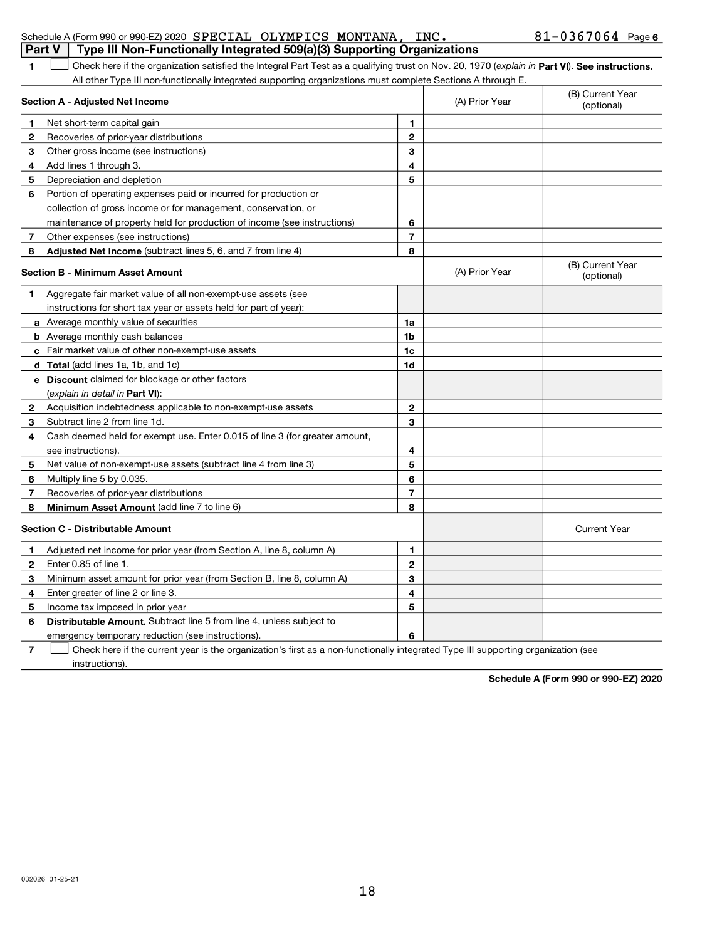|    | Schedule A (Form 990 or 990-EZ) 2020 SPECIAL OLYMPICS MONTANA, INC.                                                                            |                |                | $81 - 0367064$ Page 6          |
|----|------------------------------------------------------------------------------------------------------------------------------------------------|----------------|----------------|--------------------------------|
|    | Type III Non-Functionally Integrated 509(a)(3) Supporting Organizations<br><b>Part V</b>                                                       |                |                |                                |
| 1. | Check here if the organization satisfied the Integral Part Test as a qualifying trust on Nov. 20, 1970 (explain in Part VI). See instructions. |                |                |                                |
|    | All other Type III non-functionally integrated supporting organizations must complete Sections A through E.                                    |                |                | (B) Current Year               |
|    | <b>Section A - Adjusted Net Income</b>                                                                                                         |                | (A) Prior Year | (optional)                     |
| 1  | Net short-term capital gain                                                                                                                    | 1              |                |                                |
| 2  | Recoveries of prior-year distributions                                                                                                         | $\mathbf 2$    |                |                                |
| з  | Other gross income (see instructions)                                                                                                          | 3              |                |                                |
| 4  | Add lines 1 through 3.                                                                                                                         | 4              |                |                                |
| 5  | Depreciation and depletion                                                                                                                     | 5              |                |                                |
| 6  | Portion of operating expenses paid or incurred for production or                                                                               |                |                |                                |
|    | collection of gross income or for management, conservation, or                                                                                 |                |                |                                |
|    | maintenance of property held for production of income (see instructions)                                                                       | 6              |                |                                |
| 7  | Other expenses (see instructions)                                                                                                              | 7              |                |                                |
| 8  | Adjusted Net Income (subtract lines 5, 6, and 7 from line 4)                                                                                   | 8              |                |                                |
|    | <b>Section B - Minimum Asset Amount</b>                                                                                                        |                | (A) Prior Year | (B) Current Year<br>(optional) |
| 1. | Aggregate fair market value of all non-exempt-use assets (see                                                                                  |                |                |                                |
|    | instructions for short tax year or assets held for part of year):                                                                              |                |                |                                |
|    | a Average monthly value of securities                                                                                                          | 1a             |                |                                |
|    | <b>b</b> Average monthly cash balances                                                                                                         | 1b             |                |                                |
|    | c Fair market value of other non-exempt-use assets                                                                                             | 1c             |                |                                |
|    | d Total (add lines 1a, 1b, and 1c)                                                                                                             | 1d             |                |                                |
|    | e Discount claimed for blockage or other factors                                                                                               |                |                |                                |
|    | (explain in detail in <b>Part VI</b> ):                                                                                                        |                |                |                                |
| 2  | Acquisition indebtedness applicable to non-exempt-use assets                                                                                   | 2              |                |                                |
| 3  | Subtract line 2 from line 1d.                                                                                                                  | 3              |                |                                |
| 4  | Cash deemed held for exempt use. Enter 0.015 of line 3 (for greater amount,                                                                    |                |                |                                |
|    | see instructions).                                                                                                                             | 4              |                |                                |
| 5  | Net value of non-exempt-use assets (subtract line 4 from line 3)                                                                               | 5              |                |                                |
| 6  | Multiply line 5 by 0.035.                                                                                                                      | 6              |                |                                |
| 7  | Recoveries of prior-year distributions                                                                                                         | $\overline{7}$ |                |                                |
| 8  | Minimum Asset Amount (add line 7 to line 6)                                                                                                    | 8              |                |                                |
|    | <b>Section C - Distributable Amount</b>                                                                                                        |                |                | <b>Current Year</b>            |
|    | Adjusted net income for prior year (from Section A, line 8, column A)                                                                          | 1              |                |                                |
| 2  | Enter 0.85 of line 1.                                                                                                                          | 2              |                |                                |
| 3  | Minimum asset amount for prior year (from Section B, line 8, column A)                                                                         | 3              |                |                                |
| 4  | Enter greater of line 2 or line 3.                                                                                                             | 4              |                |                                |
| 5  | Income tax imposed in prior year                                                                                                               | 5              |                |                                |
| 6  | Distributable Amount. Subtract line 5 from line 4, unless subject to                                                                           |                |                |                                |
|    | emergency temporary reduction (see instructions).                                                                                              | 6              |                |                                |
| 7  | Check here if the current year is the organization's first as a non-functionally integrated Type III supporting organization (see              |                |                |                                |
|    | instructions).                                                                                                                                 |                |                |                                |

Schedule A (Form 990 or 990-EZ) 2020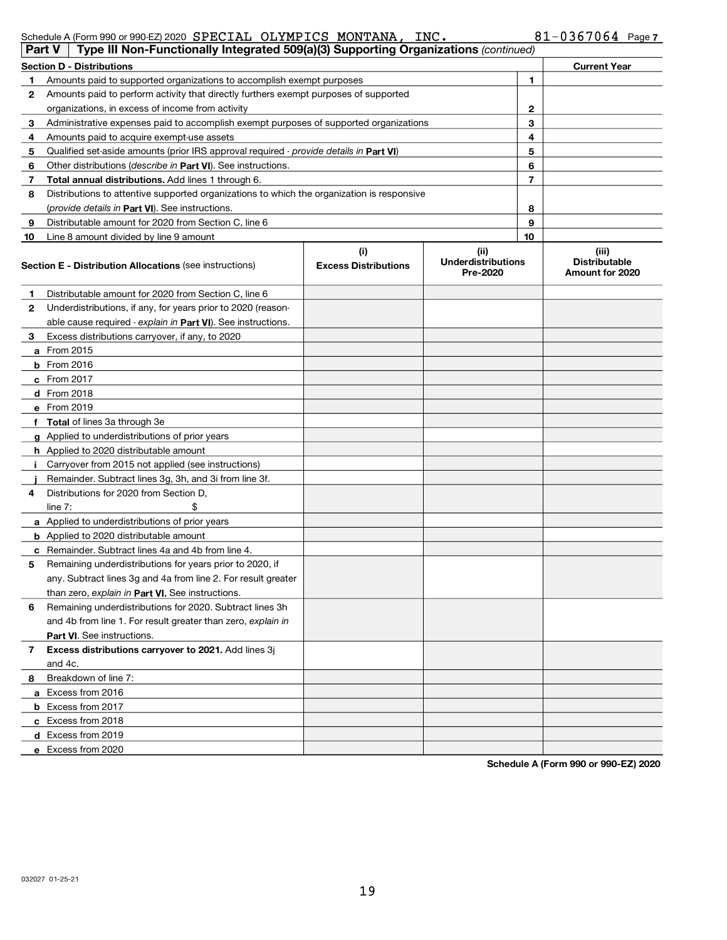| Schedule A (Form 990 or 990-EZ) 2020 SPECIAL OLYMPICS MONTANA, INC. |  | $81 - 0367064$ Page 7 |
|---------------------------------------------------------------------|--|-----------------------|
|---------------------------------------------------------------------|--|-----------------------|

| Type III Non-Functionally Integrated 509(a)(3) Supporting Organizations (continued)<br>Part V |                                                                                            |                                    |                                                       |    |                                                  |  |  |  |  |
|-----------------------------------------------------------------------------------------------|--------------------------------------------------------------------------------------------|------------------------------------|-------------------------------------------------------|----|--------------------------------------------------|--|--|--|--|
|                                                                                               | <b>Section D - Distributions</b><br><b>Current Year</b>                                    |                                    |                                                       |    |                                                  |  |  |  |  |
| 1                                                                                             | Amounts paid to supported organizations to accomplish exempt purposes                      |                                    |                                                       | 1  |                                                  |  |  |  |  |
| 2                                                                                             | Amounts paid to perform activity that directly furthers exempt purposes of supported       |                                    |                                                       |    |                                                  |  |  |  |  |
|                                                                                               | organizations, in excess of income from activity                                           |                                    | 2                                                     |    |                                                  |  |  |  |  |
| 3                                                                                             | Administrative expenses paid to accomplish exempt purposes of supported organizations      |                                    |                                                       | З  |                                                  |  |  |  |  |
| 4                                                                                             | Amounts paid to acquire exempt-use assets                                                  |                                    |                                                       | 4  |                                                  |  |  |  |  |
| 5                                                                                             | Qualified set-aside amounts (prior IRS approval required - provide details in Part VI)     |                                    |                                                       | 5  |                                                  |  |  |  |  |
| 6                                                                                             | Other distributions ( <i>describe in Part VI</i> ). See instructions.                      |                                    |                                                       | 6  |                                                  |  |  |  |  |
| 7                                                                                             | Total annual distributions. Add lines 1 through 6.                                         |                                    |                                                       | 7  |                                                  |  |  |  |  |
| 8                                                                                             | Distributions to attentive supported organizations to which the organization is responsive |                                    |                                                       |    |                                                  |  |  |  |  |
|                                                                                               | (provide details in Part VI). See instructions.                                            |                                    |                                                       | 8  |                                                  |  |  |  |  |
| 9                                                                                             | Distributable amount for 2020 from Section C, line 6                                       |                                    |                                                       | 9  |                                                  |  |  |  |  |
| 10                                                                                            | Line 8 amount divided by line 9 amount                                                     |                                    |                                                       | 10 |                                                  |  |  |  |  |
|                                                                                               | <b>Section E - Distribution Allocations (see instructions)</b>                             | (i)<br><b>Excess Distributions</b> | (iii)<br><b>Underdistributions</b><br><b>Pre-2020</b> |    | (iii)<br><b>Distributable</b><br>Amount for 2020 |  |  |  |  |
| 1                                                                                             | Distributable amount for 2020 from Section C, line 6                                       |                                    |                                                       |    |                                                  |  |  |  |  |
| 2                                                                                             | Underdistributions, if any, for years prior to 2020 (reason-                               |                                    |                                                       |    |                                                  |  |  |  |  |
|                                                                                               | able cause required - explain in Part VI). See instructions.                               |                                    |                                                       |    |                                                  |  |  |  |  |
| 3                                                                                             | Excess distributions carryover, if any, to 2020                                            |                                    |                                                       |    |                                                  |  |  |  |  |
|                                                                                               | <b>a</b> From 2015                                                                         |                                    |                                                       |    |                                                  |  |  |  |  |
|                                                                                               | $b$ From 2016                                                                              |                                    |                                                       |    |                                                  |  |  |  |  |
|                                                                                               | $c$ From 2017                                                                              |                                    |                                                       |    |                                                  |  |  |  |  |
|                                                                                               | d From 2018                                                                                |                                    |                                                       |    |                                                  |  |  |  |  |
|                                                                                               | e From 2019                                                                                |                                    |                                                       |    |                                                  |  |  |  |  |
|                                                                                               | f Total of lines 3a through 3e                                                             |                                    |                                                       |    |                                                  |  |  |  |  |
|                                                                                               | g Applied to underdistributions of prior years                                             |                                    |                                                       |    |                                                  |  |  |  |  |
|                                                                                               | <b>h</b> Applied to 2020 distributable amount                                              |                                    |                                                       |    |                                                  |  |  |  |  |
| j.                                                                                            | Carryover from 2015 not applied (see instructions)                                         |                                    |                                                       |    |                                                  |  |  |  |  |
|                                                                                               | Remainder. Subtract lines 3g, 3h, and 3i from line 3f.                                     |                                    |                                                       |    |                                                  |  |  |  |  |
| 4                                                                                             | Distributions for 2020 from Section D,                                                     |                                    |                                                       |    |                                                  |  |  |  |  |
|                                                                                               | line $7:$<br>\$                                                                            |                                    |                                                       |    |                                                  |  |  |  |  |
|                                                                                               | <b>a</b> Applied to underdistributions of prior years                                      |                                    |                                                       |    |                                                  |  |  |  |  |
|                                                                                               | <b>b</b> Applied to 2020 distributable amount                                              |                                    |                                                       |    |                                                  |  |  |  |  |
|                                                                                               | c Remainder. Subtract lines 4a and 4b from line 4.                                         |                                    |                                                       |    |                                                  |  |  |  |  |
| 5                                                                                             | Remaining underdistributions for years prior to 2020, if                                   |                                    |                                                       |    |                                                  |  |  |  |  |
|                                                                                               | any. Subtract lines 3g and 4a from line 2. For result greater                              |                                    |                                                       |    |                                                  |  |  |  |  |
|                                                                                               | than zero, explain in Part VI. See instructions.                                           |                                    |                                                       |    |                                                  |  |  |  |  |
| 6                                                                                             | Remaining underdistributions for 2020. Subtract lines 3h                                   |                                    |                                                       |    |                                                  |  |  |  |  |
|                                                                                               | and 4b from line 1. For result greater than zero, explain in                               |                                    |                                                       |    |                                                  |  |  |  |  |
|                                                                                               | Part VI. See instructions.                                                                 |                                    |                                                       |    |                                                  |  |  |  |  |
| 7                                                                                             | Excess distributions carryover to 2021. Add lines 3j                                       |                                    |                                                       |    |                                                  |  |  |  |  |
|                                                                                               | and 4c.                                                                                    |                                    |                                                       |    |                                                  |  |  |  |  |
| 8                                                                                             | Breakdown of line 7:                                                                       |                                    |                                                       |    |                                                  |  |  |  |  |
|                                                                                               | a Excess from 2016                                                                         |                                    |                                                       |    |                                                  |  |  |  |  |
|                                                                                               | <b>b</b> Excess from 2017                                                                  |                                    |                                                       |    |                                                  |  |  |  |  |
|                                                                                               | c Excess from 2018                                                                         |                                    |                                                       |    |                                                  |  |  |  |  |
|                                                                                               | d Excess from 2019                                                                         |                                    |                                                       |    |                                                  |  |  |  |  |
|                                                                                               | e Excess from 2020                                                                         |                                    |                                                       |    |                                                  |  |  |  |  |

Schedule A (Form 990 or 990-EZ) 2020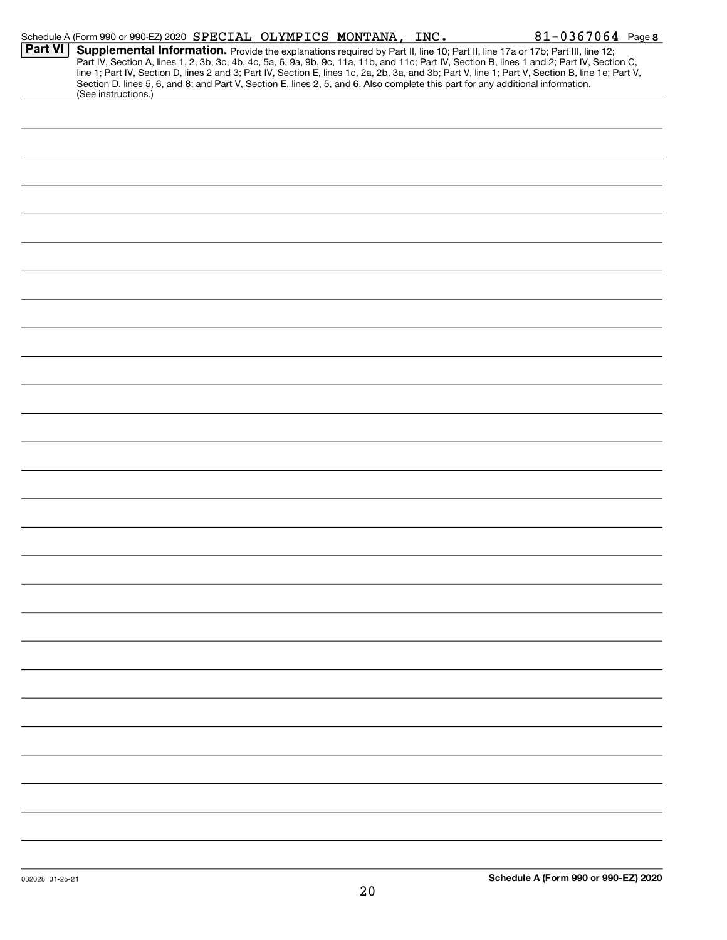|         | Schedule A (Form 990 or 990-EZ) 2020 SPECIAL OLYMPICS MONTANA, INC.                                                                                    |  | 81-0367064 Page 8                                                                                                                                                                                                                                                                                                                                                                                                                 |
|---------|--------------------------------------------------------------------------------------------------------------------------------------------------------|--|-----------------------------------------------------------------------------------------------------------------------------------------------------------------------------------------------------------------------------------------------------------------------------------------------------------------------------------------------------------------------------------------------------------------------------------|
| Part VI | Section D, lines 5, 6, and 8; and Part V, Section E, lines 2, 5, and 6. Also complete this part for any additional information.<br>(See instructions.) |  | Supplemental Information. Provide the explanations required by Part II, line 10; Part II, line 17a or 17b; Part III, line 12;<br>Part IV, Section A, lines 1, 2, 3b, 3c, 4b, 4c, 5a, 6, 9a, 9b, 9c, 11a, 11b, and 11c; Part IV, Section B, lines 1 and 2; Part IV, Section C,<br>line 1; Part IV, Section D, lines 2 and 3; Part IV, Section E, lines 1c, 2a, 2b, 3a, and 3b; Part V, line 1; Part V, Section B, line 1e; Part V, |
|         |                                                                                                                                                        |  |                                                                                                                                                                                                                                                                                                                                                                                                                                   |
|         |                                                                                                                                                        |  |                                                                                                                                                                                                                                                                                                                                                                                                                                   |
|         |                                                                                                                                                        |  |                                                                                                                                                                                                                                                                                                                                                                                                                                   |
|         |                                                                                                                                                        |  |                                                                                                                                                                                                                                                                                                                                                                                                                                   |
|         |                                                                                                                                                        |  |                                                                                                                                                                                                                                                                                                                                                                                                                                   |
|         |                                                                                                                                                        |  |                                                                                                                                                                                                                                                                                                                                                                                                                                   |
|         |                                                                                                                                                        |  |                                                                                                                                                                                                                                                                                                                                                                                                                                   |
|         |                                                                                                                                                        |  |                                                                                                                                                                                                                                                                                                                                                                                                                                   |
|         |                                                                                                                                                        |  |                                                                                                                                                                                                                                                                                                                                                                                                                                   |
|         |                                                                                                                                                        |  |                                                                                                                                                                                                                                                                                                                                                                                                                                   |
|         |                                                                                                                                                        |  |                                                                                                                                                                                                                                                                                                                                                                                                                                   |
|         |                                                                                                                                                        |  |                                                                                                                                                                                                                                                                                                                                                                                                                                   |
|         |                                                                                                                                                        |  |                                                                                                                                                                                                                                                                                                                                                                                                                                   |
|         |                                                                                                                                                        |  |                                                                                                                                                                                                                                                                                                                                                                                                                                   |
|         |                                                                                                                                                        |  |                                                                                                                                                                                                                                                                                                                                                                                                                                   |
|         |                                                                                                                                                        |  |                                                                                                                                                                                                                                                                                                                                                                                                                                   |
|         |                                                                                                                                                        |  |                                                                                                                                                                                                                                                                                                                                                                                                                                   |
|         |                                                                                                                                                        |  |                                                                                                                                                                                                                                                                                                                                                                                                                                   |
|         |                                                                                                                                                        |  |                                                                                                                                                                                                                                                                                                                                                                                                                                   |
|         |                                                                                                                                                        |  |                                                                                                                                                                                                                                                                                                                                                                                                                                   |
|         |                                                                                                                                                        |  |                                                                                                                                                                                                                                                                                                                                                                                                                                   |
|         |                                                                                                                                                        |  |                                                                                                                                                                                                                                                                                                                                                                                                                                   |
|         |                                                                                                                                                        |  |                                                                                                                                                                                                                                                                                                                                                                                                                                   |
|         |                                                                                                                                                        |  |                                                                                                                                                                                                                                                                                                                                                                                                                                   |
|         |                                                                                                                                                        |  |                                                                                                                                                                                                                                                                                                                                                                                                                                   |
|         |                                                                                                                                                        |  |                                                                                                                                                                                                                                                                                                                                                                                                                                   |
|         |                                                                                                                                                        |  |                                                                                                                                                                                                                                                                                                                                                                                                                                   |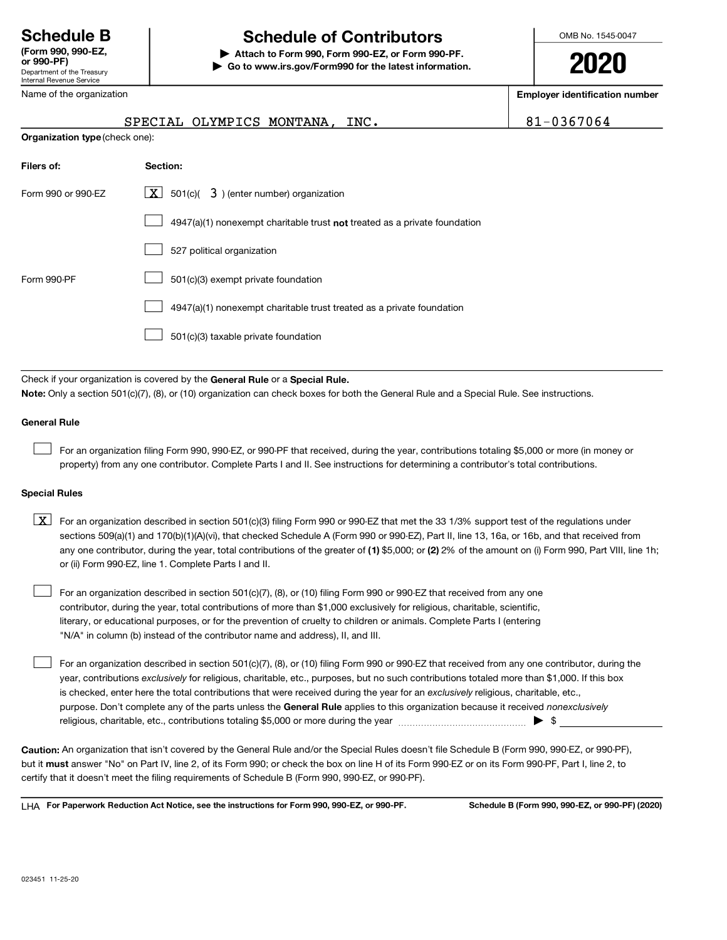#### Department of the Treasury Internal Revenue Service (Form 990, 990-EZ,

## Schedule B The Schedule of Contributors

or 990-PF) | Attach to Form 990, Form 990-EZ, or Form 990-PF. | Go to www.irs.gov/Form990 for the latest information. OMB No. 1545-0047

2020

Name of the organization

Employer identification number

NA. INC. 81-0367064

|                                | SPECIAL OLYMPICS MONTA |  |
|--------------------------------|------------------------|--|
| Organization type (check one): |                        |  |

| Filers of:         | Section:                                                                    |
|--------------------|-----------------------------------------------------------------------------|
| Form 990 or 990-EZ | $\lfloor \mathbf{X} \rfloor$ 501(c)( 3) (enter number) organization         |
|                    | $4947(a)(1)$ nonexempt charitable trust not treated as a private foundation |
|                    | 527 political organization                                                  |
| Form 990-PF        | 501(c)(3) exempt private foundation                                         |
|                    | 4947(a)(1) nonexempt charitable trust treated as a private foundation       |
|                    | 501(c)(3) taxable private foundation                                        |

Check if your organization is covered by the General Rule or a Special Rule.

Note: Only a section 501(c)(7), (8), or (10) organization can check boxes for both the General Rule and a Special Rule. See instructions.

#### General Rule

For an organization filing Form 990, 990-EZ, or 990-PF that received, during the year, contributions totaling \$5,000 or more (in money or property) from any one contributor. Complete Parts I and II. See instructions for determining a contributor's total contributions.

#### Special Rules

any one contributor, during the year, total contributions of the greater of (1) \$5,000; or (2) 2% of the amount on (i) Form 990, Part VIII, line 1h;  $\boxed{\text{X}}$  For an organization described in section 501(c)(3) filing Form 990 or 990-EZ that met the 33 1/3% support test of the regulations under sections 509(a)(1) and 170(b)(1)(A)(vi), that checked Schedule A (Form 990 or 990-EZ), Part II, line 13, 16a, or 16b, and that received from or (ii) Form 990-EZ, line 1. Complete Parts I and II.

For an organization described in section 501(c)(7), (8), or (10) filing Form 990 or 990-EZ that received from any one contributor, during the year, total contributions of more than \$1,000 exclusively for religious, charitable, scientific, literary, or educational purposes, or for the prevention of cruelty to children or animals. Complete Parts I (entering "N/A" in column (b) instead of the contributor name and address), II, and III.  $\mathcal{L}(\mathcal{A})$ 

purpose. Don't complete any of the parts unless the General Rule applies to this organization because it received nonexclusively year, contributions exclusively for religious, charitable, etc., purposes, but no such contributions totaled more than \$1,000. If this box is checked, enter here the total contributions that were received during the year for an exclusively religious, charitable, etc., For an organization described in section 501(c)(7), (8), or (10) filing Form 990 or 990-EZ that received from any one contributor, during the religious, charitable, etc., contributions totaling \$5,000 or more during the year  $\ldots$  $\ldots$  $\ldots$  $\ldots$  $\ldots$  $\ldots$  $\mathcal{L}(\mathcal{A})$ 

Caution: An organization that isn't covered by the General Rule and/or the Special Rules doesn't file Schedule B (Form 990, 990-EZ, or 990-PF), but it **must** answer "No" on Part IV, line 2, of its Form 990; or check the box on line H of its Form 990-EZ or on its Form 990-PF, Part I, line 2, to certify that it doesn't meet the filing requirements of Schedule B (Form 990, 990-EZ, or 990-PF).

LHA For Paperwork Reduction Act Notice, see the instructions for Form 990, 990-EZ, or 990-PF. Schedule B (Form 990, 990-EZ, or 990-PF) (2020)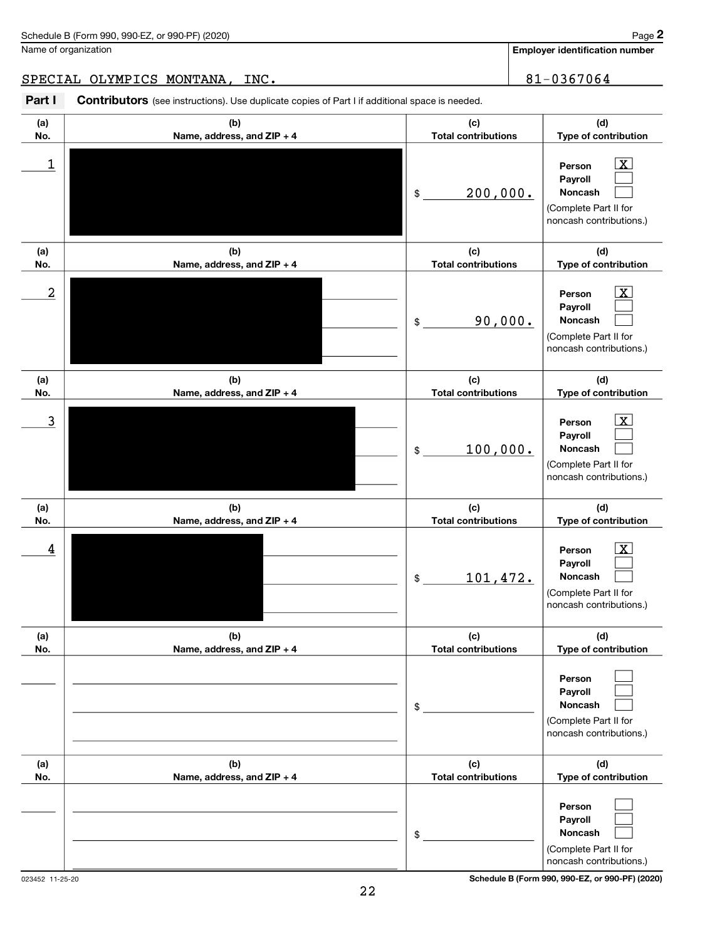Name of organization

Employer identification number

#### SPECIAL OLYMPICS MONTANA, INC. 81-0367064

Part I Contributors (see instructions). Use duplicate copies of Part I if additional space is needed.

| (a)                     | (b)                        | (c)                        | (d)                                                                                                     |
|-------------------------|----------------------------|----------------------------|---------------------------------------------------------------------------------------------------------|
| No.                     | Name, address, and ZIP + 4 | <b>Total contributions</b> | Type of contribution                                                                                    |
| 1                       |                            | 200,000.<br>\$             | $\mathbf{x}$<br>Person<br>Payroll<br>Noncash<br>(Complete Part II for<br>noncash contributions.)        |
| (a)                     | (b)                        | (c)                        | (d)                                                                                                     |
| No.                     | Name, address, and ZIP + 4 | <b>Total contributions</b> | Type of contribution                                                                                    |
| $\overline{\mathbf{c}}$ |                            | 90,000.<br>\$              | $\mathbf{x}$<br>Person<br>Payroll<br><b>Noncash</b><br>(Complete Part II for<br>noncash contributions.) |
| (a)                     | (b)                        | (c)                        | (d)                                                                                                     |
| No.                     | Name, address, and ZIP + 4 | <b>Total contributions</b> | Type of contribution                                                                                    |
| 3                       |                            | 100,000.<br>\$             | $\mathbf{x}$<br>Person<br>Payroll<br><b>Noncash</b><br>(Complete Part II for<br>noncash contributions.) |
| (a)                     | (b)                        | (c)                        | (d)                                                                                                     |
| No.                     | Name, address, and ZIP + 4 | <b>Total contributions</b> | Type of contribution                                                                                    |
| 4                       |                            | 101,472.<br>\$             | $\mathbf x$<br>Person<br>Payroll<br><b>Noncash</b><br>(Complete Part II for<br>noncash contributions.)  |
| (a)                     | (b)                        | (c)                        | (d)                                                                                                     |
| No.                     | Name, address, and ZIP + 4 | <b>Total contributions</b> | Type of contribution                                                                                    |
|                         |                            | \$                         | Person<br>Payroll<br><b>Noncash</b><br>(Complete Part II for<br>noncash contributions.)                 |
| (a)                     | (b)                        | (c)                        | (d)                                                                                                     |
| No.                     | Name, address, and ZIP + 4 | <b>Total contributions</b> | Type of contribution                                                                                    |
|                         |                            | \$                         | Person<br>Payroll<br>Noncash<br>(Complete Part II for<br>noncash contributions.)                        |

023452 11-25-20 Schedule B (Form 990, 990-EZ, or 990-PF) (2020)

Page 2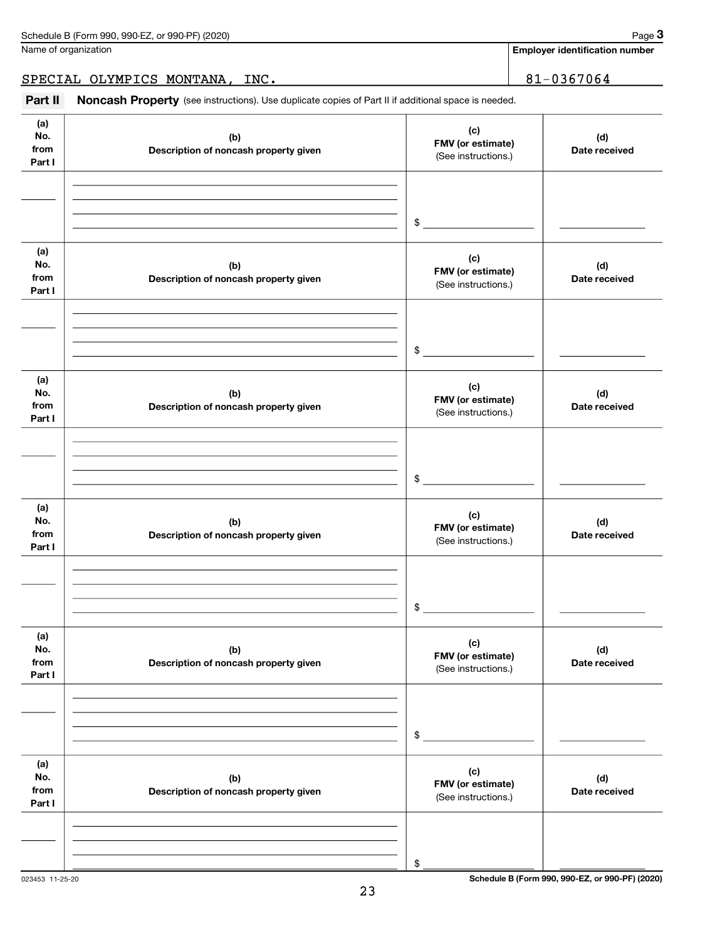Name of organization

Employer identification number

### SPECIAL OLYMPICS MONTANA, INC. 31-0367064

Part II Noncash Property (see instructions). Use duplicate copies of Part II if additional space is needed.

| (a)<br>No.<br>from<br>Part I | (b)<br>Description of noncash property given | (c)<br>FMV (or estimate)<br>(See instructions.) | (d)<br>Date received |
|------------------------------|----------------------------------------------|-------------------------------------------------|----------------------|
|                              |                                              | $\frac{1}{2}$                                   |                      |
| (a)<br>No.<br>from<br>Part I | (b)<br>Description of noncash property given | (c)<br>FMV (or estimate)<br>(See instructions.) | (d)<br>Date received |
|                              |                                              | $\mathfrak s$                                   |                      |
| (a)<br>No.<br>from<br>Part I | (b)<br>Description of noncash property given | (c)<br>FMV (or estimate)<br>(See instructions.) | (d)<br>Date received |
|                              |                                              | $\mathfrak s$                                   |                      |
| (a)<br>No.<br>from<br>Part I | (b)<br>Description of noncash property given | (c)<br>FMV (or estimate)<br>(See instructions.) | (d)<br>Date received |
|                              |                                              | $\sim$                                          |                      |
| (a)<br>No.<br>from<br>Part I | (b)<br>Description of noncash property given | (c)<br>FMV (or estimate)<br>(See instructions.) | (d)<br>Date received |
|                              |                                              | \$                                              |                      |
| (a)<br>No.<br>from<br>Part I | (b)<br>Description of noncash property given | (c)<br>FMV (or estimate)<br>(See instructions.) | (d)<br>Date received |
|                              |                                              | \$                                              |                      |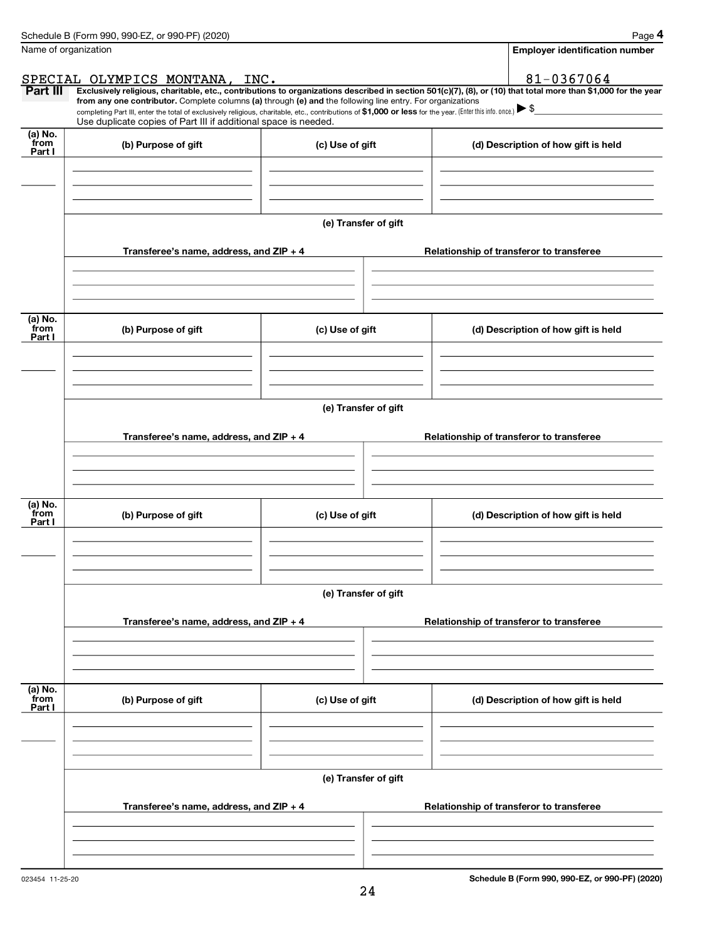|                           | Schedule B (Form 990, 990-EZ, or 990-PF) (2020)                                                                                                                                                                                                                                                 |                      | Page 4                                                                                                                                                         |  |  |  |
|---------------------------|-------------------------------------------------------------------------------------------------------------------------------------------------------------------------------------------------------------------------------------------------------------------------------------------------|----------------------|----------------------------------------------------------------------------------------------------------------------------------------------------------------|--|--|--|
| Name of organization      |                                                                                                                                                                                                                                                                                                 |                      | <b>Employer identification number</b>                                                                                                                          |  |  |  |
|                           | SPECIAL OLYMPICS MONTANA, INC.                                                                                                                                                                                                                                                                  |                      | 81-0367064                                                                                                                                                     |  |  |  |
| Part III                  |                                                                                                                                                                                                                                                                                                 |                      | Exclusively religious, charitable, etc., contributions to organizations described in section 501(c)(7), (8), or (10) that total more than \$1,000 for the year |  |  |  |
|                           | from any one contributor. Complete columns (a) through (e) and the following line entry. For organizations<br>completing Part III, enter the total of exclusively religious, charitable, etc., contributions of \$1,000 or less for the year. (Enter this info. once.) $\blacktriangleright$ \$ |                      |                                                                                                                                                                |  |  |  |
|                           | Use duplicate copies of Part III if additional space is needed.                                                                                                                                                                                                                                 |                      |                                                                                                                                                                |  |  |  |
| (a) No.<br>from<br>Part I | (b) Purpose of gift                                                                                                                                                                                                                                                                             | (c) Use of gift      | (d) Description of how gift is held                                                                                                                            |  |  |  |
|                           |                                                                                                                                                                                                                                                                                                 |                      |                                                                                                                                                                |  |  |  |
|                           |                                                                                                                                                                                                                                                                                                 | (e) Transfer of gift |                                                                                                                                                                |  |  |  |
|                           | Transferee's name, address, and ZIP + 4                                                                                                                                                                                                                                                         |                      | Relationship of transferor to transferee                                                                                                                       |  |  |  |
|                           |                                                                                                                                                                                                                                                                                                 |                      |                                                                                                                                                                |  |  |  |
| (a) No.<br>from<br>Part I | (b) Purpose of gift                                                                                                                                                                                                                                                                             | (c) Use of gift      | (d) Description of how gift is held                                                                                                                            |  |  |  |
|                           |                                                                                                                                                                                                                                                                                                 |                      |                                                                                                                                                                |  |  |  |
|                           | (e) Transfer of gift                                                                                                                                                                                                                                                                            |                      |                                                                                                                                                                |  |  |  |
|                           | Transferee's name, address, and $ZIP + 4$                                                                                                                                                                                                                                                       |                      | Relationship of transferor to transferee                                                                                                                       |  |  |  |
|                           |                                                                                                                                                                                                                                                                                                 |                      |                                                                                                                                                                |  |  |  |
|                           |                                                                                                                                                                                                                                                                                                 |                      |                                                                                                                                                                |  |  |  |
| (a) No.<br>from<br>Part I | (b) Purpose of gift                                                                                                                                                                                                                                                                             | (c) Use of gift      | (d) Description of how gift is held                                                                                                                            |  |  |  |
|                           |                                                                                                                                                                                                                                                                                                 | (e) Transfer of gift |                                                                                                                                                                |  |  |  |
|                           | Transferee's name, address, and ZIP + 4                                                                                                                                                                                                                                                         |                      | Relationship of transferor to transferee                                                                                                                       |  |  |  |
| (a) No.<br>from           |                                                                                                                                                                                                                                                                                                 |                      |                                                                                                                                                                |  |  |  |
| Part I                    | (b) Purpose of gift                                                                                                                                                                                                                                                                             | (c) Use of gift      | (d) Description of how gift is held                                                                                                                            |  |  |  |
|                           |                                                                                                                                                                                                                                                                                                 | (e) Transfer of gift |                                                                                                                                                                |  |  |  |
|                           | Transferee's name, address, and ZIP + 4                                                                                                                                                                                                                                                         |                      | Relationship of transferor to transferee                                                                                                                       |  |  |  |
|                           |                                                                                                                                                                                                                                                                                                 |                      |                                                                                                                                                                |  |  |  |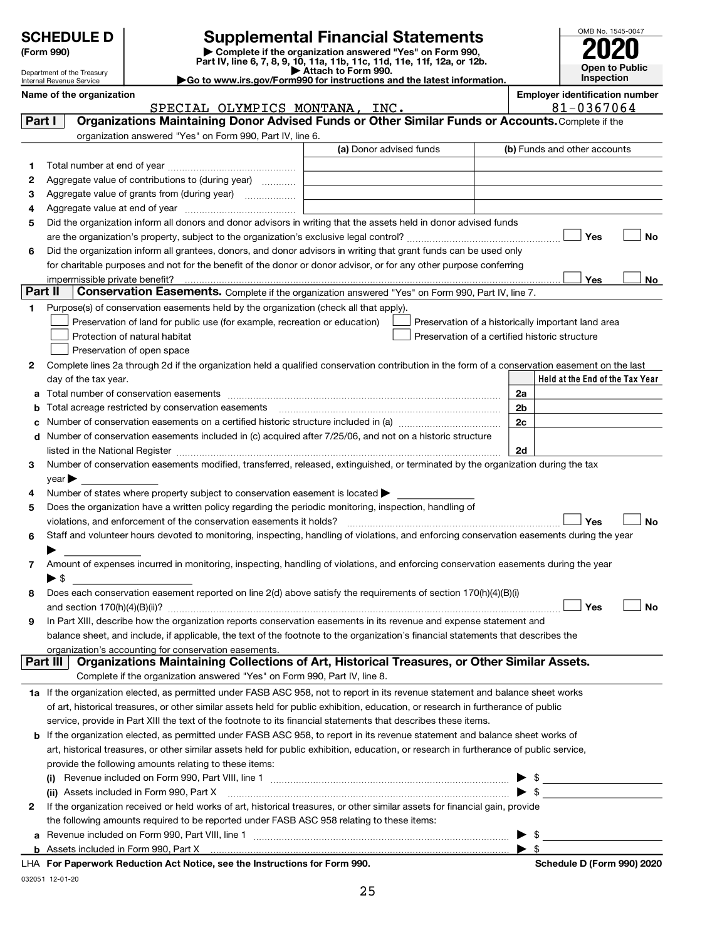| <b>Supplemental Financial Statements</b><br><b>SCHEDULE D</b><br>Complete if the organization answered "Yes" on Form 990,<br>(Form 990)<br>Part IV, line 6, 7, 8, 9, 10, 11a, 11b, 11c, 11d, 11e, 11f, 12a, or 12b.<br>Attach to Form 990.<br>Department of the Treasury<br>$\blacktriangleright$ Go to www.irs.gov/Form990 for instructions and the latest information.<br>Internal Revenue Service |                                                                                                                  |                                                                                                                                                                                                                                | OMB No. 1545-0047<br>Open to Public<br><b>Inspection</b>                                                                                                                                                                                            |                |  |                                                    |
|------------------------------------------------------------------------------------------------------------------------------------------------------------------------------------------------------------------------------------------------------------------------------------------------------------------------------------------------------------------------------------------------------|------------------------------------------------------------------------------------------------------------------|--------------------------------------------------------------------------------------------------------------------------------------------------------------------------------------------------------------------------------|-----------------------------------------------------------------------------------------------------------------------------------------------------------------------------------------------------------------------------------------------------|----------------|--|----------------------------------------------------|
|                                                                                                                                                                                                                                                                                                                                                                                                      | Name of the organization                                                                                         |                                                                                                                                                                                                                                |                                                                                                                                                                                                                                                     |                |  | <b>Employer identification number</b>              |
|                                                                                                                                                                                                                                                                                                                                                                                                      |                                                                                                                  | SPECIAL OLYMPICS MONTANA, INC.                                                                                                                                                                                                 |                                                                                                                                                                                                                                                     |                |  | 81-0367064                                         |
| Part I                                                                                                                                                                                                                                                                                                                                                                                               |                                                                                                                  |                                                                                                                                                                                                                                | Organizations Maintaining Donor Advised Funds or Other Similar Funds or Accounts. Complete if the                                                                                                                                                   |                |  |                                                    |
|                                                                                                                                                                                                                                                                                                                                                                                                      |                                                                                                                  | organization answered "Yes" on Form 990, Part IV, line 6.                                                                                                                                                                      |                                                                                                                                                                                                                                                     |                |  |                                                    |
|                                                                                                                                                                                                                                                                                                                                                                                                      |                                                                                                                  |                                                                                                                                                                                                                                | (a) Donor advised funds                                                                                                                                                                                                                             |                |  | (b) Funds and other accounts                       |
| 1                                                                                                                                                                                                                                                                                                                                                                                                    |                                                                                                                  |                                                                                                                                                                                                                                |                                                                                                                                                                                                                                                     |                |  |                                                    |
| 2                                                                                                                                                                                                                                                                                                                                                                                                    |                                                                                                                  | Aggregate value of contributions to (during year)                                                                                                                                                                              |                                                                                                                                                                                                                                                     |                |  |                                                    |
| з                                                                                                                                                                                                                                                                                                                                                                                                    |                                                                                                                  |                                                                                                                                                                                                                                |                                                                                                                                                                                                                                                     |                |  |                                                    |
| 4                                                                                                                                                                                                                                                                                                                                                                                                    |                                                                                                                  |                                                                                                                                                                                                                                |                                                                                                                                                                                                                                                     |                |  |                                                    |
| 5                                                                                                                                                                                                                                                                                                                                                                                                    | Did the organization inform all donors and donor advisors in writing that the assets held in donor advised funds |                                                                                                                                                                                                                                |                                                                                                                                                                                                                                                     |                |  |                                                    |
| 6                                                                                                                                                                                                                                                                                                                                                                                                    |                                                                                                                  |                                                                                                                                                                                                                                | Did the organization inform all grantees, donors, and donor advisors in writing that grant funds can be used only                                                                                                                                   |                |  | Yes<br>No                                          |
|                                                                                                                                                                                                                                                                                                                                                                                                      |                                                                                                                  |                                                                                                                                                                                                                                | for charitable purposes and not for the benefit of the donor or donor advisor, or for any other purpose conferring                                                                                                                                  |                |  |                                                    |
|                                                                                                                                                                                                                                                                                                                                                                                                      |                                                                                                                  |                                                                                                                                                                                                                                |                                                                                                                                                                                                                                                     |                |  | <b>Yes</b><br>No.                                  |
| Part II                                                                                                                                                                                                                                                                                                                                                                                              |                                                                                                                  |                                                                                                                                                                                                                                | Conservation Easements. Complete if the organization answered "Yes" on Form 990, Part IV, line 7.                                                                                                                                                   |                |  |                                                    |
| 1                                                                                                                                                                                                                                                                                                                                                                                                    |                                                                                                                  | Purpose(s) of conservation easements held by the organization (check all that apply).                                                                                                                                          |                                                                                                                                                                                                                                                     |                |  |                                                    |
|                                                                                                                                                                                                                                                                                                                                                                                                      |                                                                                                                  | Preservation of land for public use (for example, recreation or education)                                                                                                                                                     |                                                                                                                                                                                                                                                     |                |  | Preservation of a historically important land area |
|                                                                                                                                                                                                                                                                                                                                                                                                      |                                                                                                                  | Protection of natural habitat                                                                                                                                                                                                  | Preservation of a certified historic structure                                                                                                                                                                                                      |                |  |                                                    |
|                                                                                                                                                                                                                                                                                                                                                                                                      |                                                                                                                  | Preservation of open space                                                                                                                                                                                                     |                                                                                                                                                                                                                                                     |                |  |                                                    |
| 2                                                                                                                                                                                                                                                                                                                                                                                                    |                                                                                                                  |                                                                                                                                                                                                                                | Complete lines 2a through 2d if the organization held a qualified conservation contribution in the form of a conservation easement on the last                                                                                                      |                |  |                                                    |
|                                                                                                                                                                                                                                                                                                                                                                                                      | day of the tax year.                                                                                             |                                                                                                                                                                                                                                |                                                                                                                                                                                                                                                     |                |  | Held at the End of the Tax Year                    |
|                                                                                                                                                                                                                                                                                                                                                                                                      |                                                                                                                  |                                                                                                                                                                                                                                |                                                                                                                                                                                                                                                     | 2a             |  |                                                    |
|                                                                                                                                                                                                                                                                                                                                                                                                      |                                                                                                                  | Total acreage restricted by conservation easements                                                                                                                                                                             |                                                                                                                                                                                                                                                     | 2 <sub>b</sub> |  |                                                    |
|                                                                                                                                                                                                                                                                                                                                                                                                      |                                                                                                                  |                                                                                                                                                                                                                                |                                                                                                                                                                                                                                                     | 2c             |  |                                                    |
|                                                                                                                                                                                                                                                                                                                                                                                                      |                                                                                                                  |                                                                                                                                                                                                                                | Number of conservation easements included in (c) acquired after 7/25/06, and not on a historic structure                                                                                                                                            |                |  |                                                    |
|                                                                                                                                                                                                                                                                                                                                                                                                      |                                                                                                                  | listed in the National Register [1111] is the National Register [111] is the Mational Marian Register [11] is the National Register [11] is the Mational Mathematical Mathematical Mathematical Mathematical Mathematical Math |                                                                                                                                                                                                                                                     | 2d             |  |                                                    |
| 3                                                                                                                                                                                                                                                                                                                                                                                                    |                                                                                                                  |                                                                                                                                                                                                                                | Number of conservation easements modified, transferred, released, extinguished, or terminated by the organization during the tax                                                                                                                    |                |  |                                                    |
| 4                                                                                                                                                                                                                                                                                                                                                                                                    | $\vee$ ear $\blacktriangleright$                                                                                 | Number of states where property subject to conservation easement is located $\blacktriangleright$                                                                                                                              |                                                                                                                                                                                                                                                     |                |  |                                                    |
| 5                                                                                                                                                                                                                                                                                                                                                                                                    |                                                                                                                  | Does the organization have a written policy regarding the periodic monitoring, inspection, handling of                                                                                                                         |                                                                                                                                                                                                                                                     |                |  |                                                    |
|                                                                                                                                                                                                                                                                                                                                                                                                      |                                                                                                                  | violations, and enforcement of the conservation easements it holds?                                                                                                                                                            |                                                                                                                                                                                                                                                     |                |  | Yes<br>No                                          |
| 6                                                                                                                                                                                                                                                                                                                                                                                                    |                                                                                                                  |                                                                                                                                                                                                                                | Staff and volunteer hours devoted to monitoring, inspecting, handling of violations, and enforcing conservation easements during the year                                                                                                           |                |  |                                                    |
|                                                                                                                                                                                                                                                                                                                                                                                                      |                                                                                                                  |                                                                                                                                                                                                                                |                                                                                                                                                                                                                                                     |                |  |                                                    |
| 7                                                                                                                                                                                                                                                                                                                                                                                                    |                                                                                                                  |                                                                                                                                                                                                                                | Amount of expenses incurred in monitoring, inspecting, handling of violations, and enforcing conservation easements during the year                                                                                                                 |                |  |                                                    |
|                                                                                                                                                                                                                                                                                                                                                                                                      | $\blacktriangleright$ \$                                                                                         |                                                                                                                                                                                                                                |                                                                                                                                                                                                                                                     |                |  |                                                    |
| 8                                                                                                                                                                                                                                                                                                                                                                                                    |                                                                                                                  |                                                                                                                                                                                                                                | Does each conservation easement reported on line 2(d) above satisfy the requirements of section 170(h)(4)(B)(i)                                                                                                                                     |                |  |                                                    |
|                                                                                                                                                                                                                                                                                                                                                                                                      |                                                                                                                  |                                                                                                                                                                                                                                |                                                                                                                                                                                                                                                     |                |  | Yes<br>No                                          |
| 9                                                                                                                                                                                                                                                                                                                                                                                                    |                                                                                                                  |                                                                                                                                                                                                                                | In Part XIII, describe how the organization reports conservation easements in its revenue and expense statement and                                                                                                                                 |                |  |                                                    |
|                                                                                                                                                                                                                                                                                                                                                                                                      |                                                                                                                  |                                                                                                                                                                                                                                | balance sheet, and include, if applicable, the text of the footnote to the organization's financial statements that describes the                                                                                                                   |                |  |                                                    |
|                                                                                                                                                                                                                                                                                                                                                                                                      |                                                                                                                  | organization's accounting for conservation easements.                                                                                                                                                                          |                                                                                                                                                                                                                                                     |                |  |                                                    |
|                                                                                                                                                                                                                                                                                                                                                                                                      | Part III                                                                                                         |                                                                                                                                                                                                                                | Organizations Maintaining Collections of Art, Historical Treasures, or Other Similar Assets.                                                                                                                                                        |                |  |                                                    |
|                                                                                                                                                                                                                                                                                                                                                                                                      |                                                                                                                  | Complete if the organization answered "Yes" on Form 990, Part IV, line 8.                                                                                                                                                      |                                                                                                                                                                                                                                                     |                |  |                                                    |
|                                                                                                                                                                                                                                                                                                                                                                                                      |                                                                                                                  |                                                                                                                                                                                                                                | 1a If the organization elected, as permitted under FASB ASC 958, not to report in its revenue statement and balance sheet works                                                                                                                     |                |  |                                                    |
|                                                                                                                                                                                                                                                                                                                                                                                                      |                                                                                                                  |                                                                                                                                                                                                                                | of art, historical treasures, or other similar assets held for public exhibition, education, or research in furtherance of public<br>service, provide in Part XIII the text of the footnote to its financial statements that describes these items. |                |  |                                                    |
|                                                                                                                                                                                                                                                                                                                                                                                                      |                                                                                                                  |                                                                                                                                                                                                                                | If the organization elected, as permitted under FASB ASC 958, to report in its revenue statement and balance sheet works of                                                                                                                         |                |  |                                                    |
| b                                                                                                                                                                                                                                                                                                                                                                                                    |                                                                                                                  |                                                                                                                                                                                                                                | art, historical treasures, or other similar assets held for public exhibition, education, or research in furtherance of public service,                                                                                                             |                |  |                                                    |
|                                                                                                                                                                                                                                                                                                                                                                                                      |                                                                                                                  | provide the following amounts relating to these items:                                                                                                                                                                         |                                                                                                                                                                                                                                                     |                |  |                                                    |
|                                                                                                                                                                                                                                                                                                                                                                                                      |                                                                                                                  |                                                                                                                                                                                                                                |                                                                                                                                                                                                                                                     |                |  |                                                    |
|                                                                                                                                                                                                                                                                                                                                                                                                      |                                                                                                                  | (ii) Assets included in Form 990, Part X                                                                                                                                                                                       | $\blacksquare$                                                                                                                                                                                                                                      |                |  |                                                    |
| 2                                                                                                                                                                                                                                                                                                                                                                                                    |                                                                                                                  |                                                                                                                                                                                                                                | If the organization received or held works of art, historical treasures, or other similar assets for financial gain, provide                                                                                                                        |                |  |                                                    |
|                                                                                                                                                                                                                                                                                                                                                                                                      |                                                                                                                  | the following amounts required to be reported under FASB ASC 958 relating to these items:                                                                                                                                      |                                                                                                                                                                                                                                                     |                |  |                                                    |
| а                                                                                                                                                                                                                                                                                                                                                                                                    |                                                                                                                  |                                                                                                                                                                                                                                |                                                                                                                                                                                                                                                     |                |  |                                                    |
|                                                                                                                                                                                                                                                                                                                                                                                                      |                                                                                                                  |                                                                                                                                                                                                                                |                                                                                                                                                                                                                                                     |                |  |                                                    |
|                                                                                                                                                                                                                                                                                                                                                                                                      |                                                                                                                  | LHA For Paperwork Reduction Act Notice, see the Instructions for Form 990.                                                                                                                                                     |                                                                                                                                                                                                                                                     |                |  | Schedule D (Form 990) 2020                         |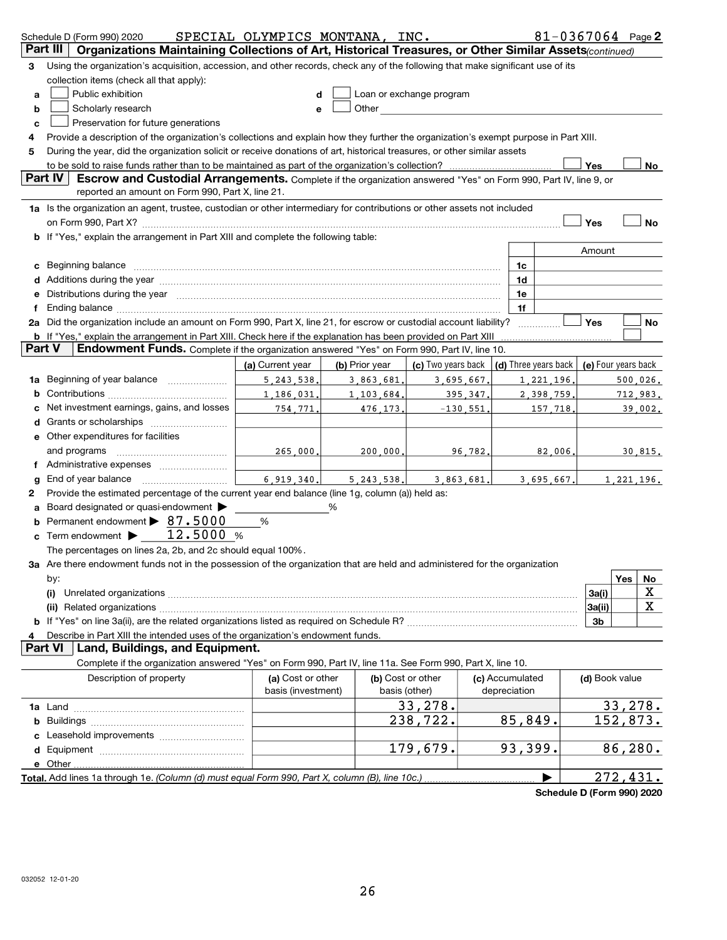|        | 81-0367064 Page 2<br>SPECIAL OLYMPICS MONTANA, INC.<br>Schedule D (Form 990) 2020                                                                                                                                                           |                        |                |                                                                                                                                                                                                                                |                      |                          |  |  |  |  |  |
|--------|---------------------------------------------------------------------------------------------------------------------------------------------------------------------------------------------------------------------------------------------|------------------------|----------------|--------------------------------------------------------------------------------------------------------------------------------------------------------------------------------------------------------------------------------|----------------------|--------------------------|--|--|--|--|--|
|        | Part III<br>Organizations Maintaining Collections of Art, Historical Treasures, or Other Similar Assets(continued)                                                                                                                          |                        |                |                                                                                                                                                                                                                                |                      |                          |  |  |  |  |  |
| з      | Using the organization's acquisition, accession, and other records, check any of the following that make significant use of its                                                                                                             |                        |                |                                                                                                                                                                                                                                |                      |                          |  |  |  |  |  |
|        | collection items (check all that apply):                                                                                                                                                                                                    |                        |                |                                                                                                                                                                                                                                |                      |                          |  |  |  |  |  |
| а      | Public exhibition                                                                                                                                                                                                                           | d                      |                | Loan or exchange program                                                                                                                                                                                                       |                      |                          |  |  |  |  |  |
| b      | Scholarly research                                                                                                                                                                                                                          | е                      |                | Other and the control of the control of the control of the control of the control of the control of the control of the control of the control of the control of the control of the control of the control of the control of th |                      |                          |  |  |  |  |  |
| с      | Preservation for future generations                                                                                                                                                                                                         |                        |                |                                                                                                                                                                                                                                |                      |                          |  |  |  |  |  |
| 4      | Provide a description of the organization's collections and explain how they further the organization's exempt purpose in Part XIII.                                                                                                        |                        |                |                                                                                                                                                                                                                                |                      |                          |  |  |  |  |  |
| 5      | During the year, did the organization solicit or receive donations of art, historical treasures, or other similar assets                                                                                                                    |                        |                |                                                                                                                                                                                                                                |                      |                          |  |  |  |  |  |
|        | Yes<br>No                                                                                                                                                                                                                                   |                        |                |                                                                                                                                                                                                                                |                      |                          |  |  |  |  |  |
|        | Part IV<br>Escrow and Custodial Arrangements. Complete if the organization answered "Yes" on Form 990, Part IV, line 9, or                                                                                                                  |                        |                |                                                                                                                                                                                                                                |                      |                          |  |  |  |  |  |
|        | reported an amount on Form 990, Part X, line 21.                                                                                                                                                                                            |                        |                |                                                                                                                                                                                                                                |                      |                          |  |  |  |  |  |
|        | 1a Is the organization an agent, trustee, custodian or other intermediary for contributions or other assets not included                                                                                                                    |                        |                |                                                                                                                                                                                                                                |                      |                          |  |  |  |  |  |
|        |                                                                                                                                                                                                                                             |                        |                |                                                                                                                                                                                                                                |                      | Yes<br><b>No</b>         |  |  |  |  |  |
|        | b If "Yes," explain the arrangement in Part XIII and complete the following table:                                                                                                                                                          |                        |                |                                                                                                                                                                                                                                |                      |                          |  |  |  |  |  |
|        |                                                                                                                                                                                                                                             |                        |                |                                                                                                                                                                                                                                |                      | Amount                   |  |  |  |  |  |
| c      | Beginning balance measurements and contain a series of the series of the series of the series of the series of                                                                                                                              |                        |                |                                                                                                                                                                                                                                | 1c                   |                          |  |  |  |  |  |
|        | Additions during the year manufactured and an account of the state of the state of the state of the state of the state of the state of the state of the state of the state of the state of the state of the state of the state              |                        |                |                                                                                                                                                                                                                                | 1d                   |                          |  |  |  |  |  |
| е      | Distributions during the year measurement contains and all the year measurement of the state of the state of the state of the state of the state of the state of the state of the state of the state of the state of the state              |                        |                |                                                                                                                                                                                                                                | 1e                   |                          |  |  |  |  |  |
|        |                                                                                                                                                                                                                                             |                        |                |                                                                                                                                                                                                                                | 1f                   |                          |  |  |  |  |  |
|        | 2a Did the organization include an amount on Form 990, Part X, line 21, for escrow or custodial account liability?<br><b>b</b> If "Yes," explain the arrangement in Part XIII. Check here if the explanation has been provided on Part XIII |                        |                |                                                                                                                                                                                                                                | .                    | Yes<br>No                |  |  |  |  |  |
| Part V | Endowment Funds. Complete if the organization answered "Yes" on Form 990, Part IV, line 10.                                                                                                                                                 |                        |                |                                                                                                                                                                                                                                |                      |                          |  |  |  |  |  |
|        |                                                                                                                                                                                                                                             | (a) Current year       | (b) Prior year | (c) Two years back                                                                                                                                                                                                             | (d) Three years back | (e) Four years back      |  |  |  |  |  |
| 1a     |                                                                                                                                                                                                                                             |                        |                |                                                                                                                                                                                                                                | 1,221,196.           |                          |  |  |  |  |  |
|        | Beginning of year balance<br>5.243.538.<br>3,695,667.<br>3,863,681.                                                                                                                                                                         |                        |                |                                                                                                                                                                                                                                |                      | 500,026.<br>2, 398, 759. |  |  |  |  |  |
|        | Net investment earnings, gains, and losses                                                                                                                                                                                                  | 1,186,031.<br>754,771. | 1, 103, 684.   | 395.347.                                                                                                                                                                                                                       |                      | 712,983.<br>157,718.     |  |  |  |  |  |
|        |                                                                                                                                                                                                                                             |                        | 476,173.       | $-130,551$ .                                                                                                                                                                                                                   |                      | 39,002.                  |  |  |  |  |  |
|        | e Other expenditures for facilities                                                                                                                                                                                                         |                        |                |                                                                                                                                                                                                                                |                      |                          |  |  |  |  |  |
|        | and programs                                                                                                                                                                                                                                | 265,000.               | 200,000.       | 96,782.                                                                                                                                                                                                                        |                      | 82,006.<br>30,815.       |  |  |  |  |  |
|        | f Administrative expenses                                                                                                                                                                                                                   |                        |                |                                                                                                                                                                                                                                |                      |                          |  |  |  |  |  |
| g      |                                                                                                                                                                                                                                             | 6.919.340.             | 5, 243, 538.   | 3.863.681.                                                                                                                                                                                                                     |                      | 3,695,667.<br>1,221,196. |  |  |  |  |  |
| 2      | Provide the estimated percentage of the current year end balance (line 1g, column (a)) held as:                                                                                                                                             |                        |                |                                                                                                                                                                                                                                |                      |                          |  |  |  |  |  |
|        | Board designated or quasi-endowment                                                                                                                                                                                                         |                        | %              |                                                                                                                                                                                                                                |                      |                          |  |  |  |  |  |
|        | Permanent endowment > 87.5000                                                                                                                                                                                                               | %                      |                |                                                                                                                                                                                                                                |                      |                          |  |  |  |  |  |
| c      | 12.5000 %<br>Term endowment $\blacktriangleright$                                                                                                                                                                                           |                        |                |                                                                                                                                                                                                                                |                      |                          |  |  |  |  |  |
|        | The percentages on lines 2a, 2b, and 2c should equal 100%.                                                                                                                                                                                  |                        |                |                                                                                                                                                                                                                                |                      |                          |  |  |  |  |  |
|        | 3a Are there endowment funds not in the possession of the organization that are held and administered for the organization                                                                                                                  |                        |                |                                                                                                                                                                                                                                |                      |                          |  |  |  |  |  |
|        | by:                                                                                                                                                                                                                                         |                        |                |                                                                                                                                                                                                                                |                      | Yes<br>No                |  |  |  |  |  |
|        | (i)                                                                                                                                                                                                                                         |                        |                |                                                                                                                                                                                                                                |                      | х<br>3a(i)               |  |  |  |  |  |
|        |                                                                                                                                                                                                                                             |                        |                |                                                                                                                                                                                                                                |                      | X<br>3a(ii)              |  |  |  |  |  |
|        |                                                                                                                                                                                                                                             |                        |                |                                                                                                                                                                                                                                |                      | 3b                       |  |  |  |  |  |
|        | Describe in Part XIII the intended uses of the organization's endowment funds.                                                                                                                                                              |                        |                |                                                                                                                                                                                                                                |                      |                          |  |  |  |  |  |
|        | Land, Buildings, and Equipment.<br><b>Part VI</b>                                                                                                                                                                                           |                        |                |                                                                                                                                                                                                                                |                      |                          |  |  |  |  |  |
|        | Complete if the organization answered "Yes" on Form 990, Part IV, line 11a. See Form 990, Part X, line 10.                                                                                                                                  |                        |                |                                                                                                                                                                                                                                |                      |                          |  |  |  |  |  |
|        | Description of property                                                                                                                                                                                                                     | (a) Cost or other      |                | (b) Cost or other                                                                                                                                                                                                              | (c) Accumulated      | (d) Book value           |  |  |  |  |  |
|        |                                                                                                                                                                                                                                             | basis (investment)     |                | basis (other)                                                                                                                                                                                                                  | depreciation         |                          |  |  |  |  |  |
|        |                                                                                                                                                                                                                                             |                        |                | 33,278.                                                                                                                                                                                                                        |                      | 33,278.                  |  |  |  |  |  |
| b      |                                                                                                                                                                                                                                             |                        |                | 238,722.                                                                                                                                                                                                                       | 85,849.              | 152,873.                 |  |  |  |  |  |
|        |                                                                                                                                                                                                                                             |                        |                |                                                                                                                                                                                                                                |                      |                          |  |  |  |  |  |
|        |                                                                                                                                                                                                                                             |                        |                | 179,679.                                                                                                                                                                                                                       | 93,399.              | 86,280.                  |  |  |  |  |  |
|        | e Other.                                                                                                                                                                                                                                    |                        |                |                                                                                                                                                                                                                                |                      |                          |  |  |  |  |  |
|        | Total. Add lines 1a through 1e. (Column (d) must equal Form 990, Part X, column (B), line 10c.).                                                                                                                                            |                        |                |                                                                                                                                                                                                                                |                      | 272,431.                 |  |  |  |  |  |

Schedule D (Form 990) 2020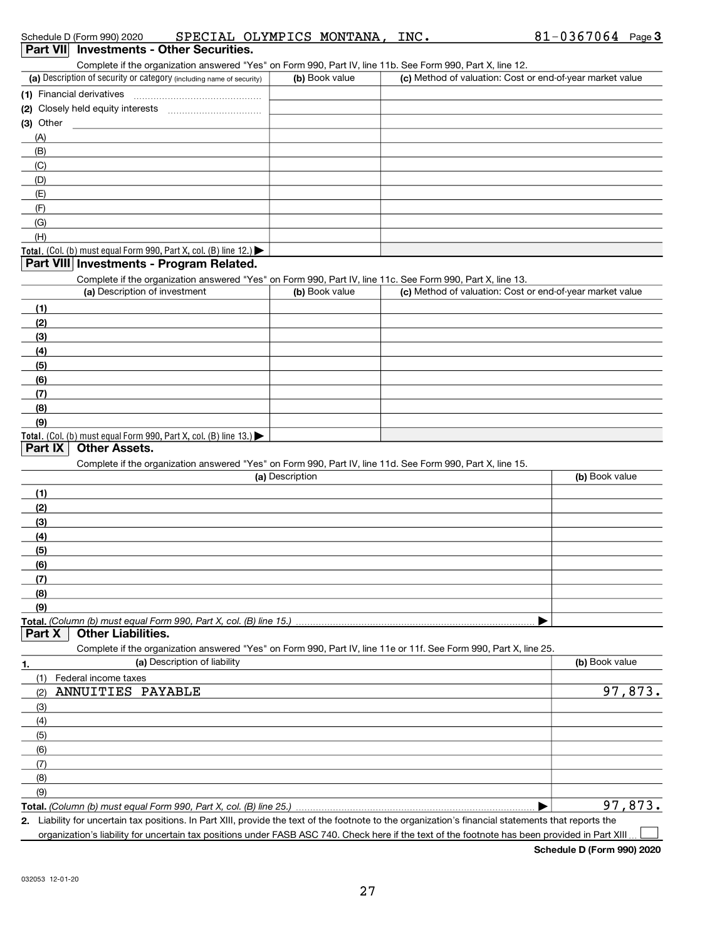Complete if the organization answered "Yes" on Form 990, Part IV, line 11b. See Form 990, Part X, line 12.

| (a) Description of security or category (including name of security) | (b) Book value | (c) Method of valuation: Cost or end-of-year market value |
|----------------------------------------------------------------------|----------------|-----------------------------------------------------------|
| (1) Financial derivatives                                            |                |                                                           |
| (2) Closely held equity interests                                    |                |                                                           |
| $(3)$ Other                                                          |                |                                                           |
| (A)                                                                  |                |                                                           |
| (B)                                                                  |                |                                                           |
| (C)                                                                  |                |                                                           |
| (D)                                                                  |                |                                                           |
| (E)                                                                  |                |                                                           |
| (F)                                                                  |                |                                                           |
| (G)                                                                  |                |                                                           |
| (H)                                                                  |                |                                                           |
| Total. (Col. (b) must equal Form 990, Part X, col. (B) line $12$ .)  |                |                                                           |

#### **Part VIII Investments - Program Related.**

Complete if the organization answered "Yes" on Form 990, Part IV, line 11c. See Form 990, Part X, line 13.

| (a) Description of investment                                       | (b) Book value | (c) Method of valuation: Cost or end-of-year market value |
|---------------------------------------------------------------------|----------------|-----------------------------------------------------------|
| (1)                                                                 |                |                                                           |
| (2)                                                                 |                |                                                           |
| $\frac{1}{2}$                                                       |                |                                                           |
| (4)                                                                 |                |                                                           |
| $\frac{1}{\sqrt{5}}$                                                |                |                                                           |
| (6)                                                                 |                |                                                           |
| (7)                                                                 |                |                                                           |
| (8)                                                                 |                |                                                           |
| (9)                                                                 |                |                                                           |
| Total. (Col. (b) must equal Form 990, Part X, col. (B) line $13.$ ) |                |                                                           |

#### **Part IX | Other Assets.**

Complete if the organization answered "Yes" on Form 990, Part IV, line 11d. See Form 990, Part X, line 15.

| (a) Description | (b) Book value |
|-----------------|----------------|
| (1)             |                |
| (2)             |                |
| (3)             |                |
| (4)             |                |
| (5)             |                |
| (6)             |                |
| (7)             |                |
| (8)             |                |
| (9)             |                |
|                 |                |

#### Part  $X$  Other Liabilities.

Complete if the organization answered "Yes" on Form 990, Part IV, line 11e or 11f. See Form 990, Part X, line 25.

|     | (a) Description of liability                                                                                                                         | (b) Book value |
|-----|------------------------------------------------------------------------------------------------------------------------------------------------------|----------------|
|     | Federal income taxes                                                                                                                                 |                |
| (2) | ANNUITIES PAYABLE                                                                                                                                    | 97,873.        |
| (3) |                                                                                                                                                      |                |
| (4) |                                                                                                                                                      |                |
| (5) |                                                                                                                                                      |                |
| (6) |                                                                                                                                                      |                |
|     |                                                                                                                                                      |                |
| (8) |                                                                                                                                                      |                |
| (9) |                                                                                                                                                      |                |
|     |                                                                                                                                                      | 97,873.        |
|     | 2. Liability for uncertain tax positions. In Part XIII, provide the text of the footnote to the organization's financial statements that reports the |                |

organization's liability for uncertain tax positions under FASB ASC 740. Check here if the text of the footnote has been provided in Part XIII  $\Box$ 

Schedule D (Form 990) 2020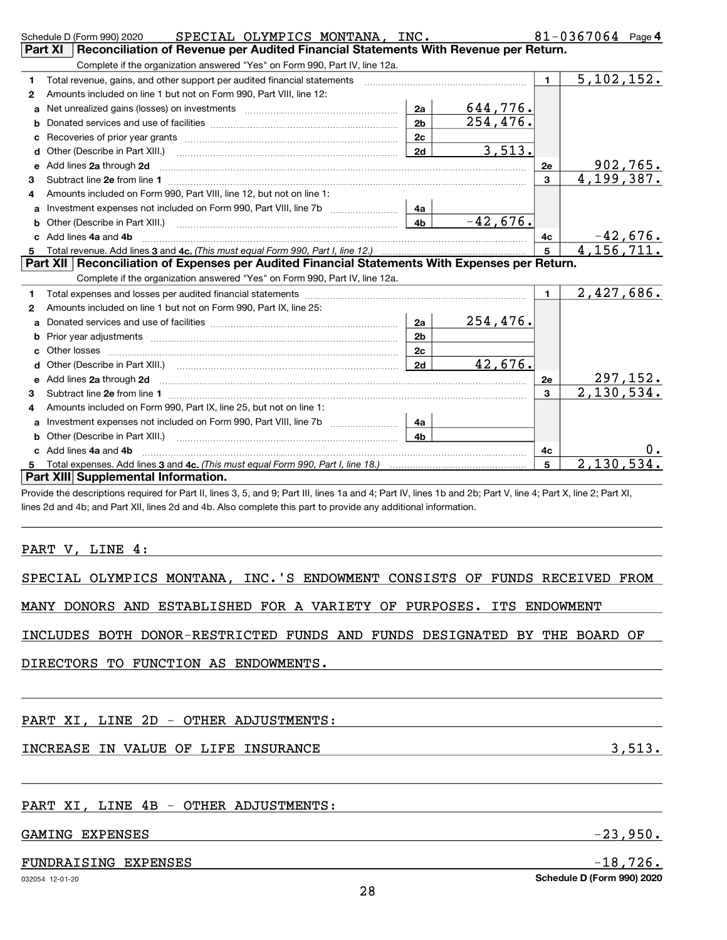|   | SPECIAL OLYMPICS MONTANA, INC.<br>Schedule D (Form 990) 2020                                                                                                                                                                                                                 |                |                                                                                                                |                                     | 81-0367064 Page 4          |  |  |  |  |  |  |
|---|------------------------------------------------------------------------------------------------------------------------------------------------------------------------------------------------------------------------------------------------------------------------------|----------------|----------------------------------------------------------------------------------------------------------------|-------------------------------------|----------------------------|--|--|--|--|--|--|
|   | Reconciliation of Revenue per Audited Financial Statements With Revenue per Return.<br>Part XI                                                                                                                                                                               |                |                                                                                                                |                                     |                            |  |  |  |  |  |  |
|   | Complete if the organization answered "Yes" on Form 990, Part IV, line 12a.                                                                                                                                                                                                  |                |                                                                                                                |                                     |                            |  |  |  |  |  |  |
| 1 | Total revenue, gains, and other support per audited financial statements                                                                                                                                                                                                     |                | and a complete the contract of the complete of the complete of the complete of the complete of the complete of | $\blacksquare$                      | $\overline{5}$ , 102, 152. |  |  |  |  |  |  |
| 2 | Amounts included on line 1 but not on Form 990, Part VIII, line 12:                                                                                                                                                                                                          |                |                                                                                                                |                                     |                            |  |  |  |  |  |  |
| a |                                                                                                                                                                                                                                                                              | 2a             | 644,776.                                                                                                       |                                     |                            |  |  |  |  |  |  |
| b |                                                                                                                                                                                                                                                                              | 2 <sub>b</sub> | 254,476.                                                                                                       |                                     |                            |  |  |  |  |  |  |
| c |                                                                                                                                                                                                                                                                              | 2c             |                                                                                                                |                                     |                            |  |  |  |  |  |  |
| d | Other (Describe in Part XIII.) (2000) (2000) (2000) (2010) (2010) (2010) (2010) (2010) (2010) (2010) (2010) (20                                                                                                                                                              | 2d             | 3,513.                                                                                                         |                                     |                            |  |  |  |  |  |  |
| e | Add lines 2a through 2d                                                                                                                                                                                                                                                      |                |                                                                                                                | 2e                                  | 902,765.                   |  |  |  |  |  |  |
| 3 |                                                                                                                                                                                                                                                                              |                |                                                                                                                | $\mathbf{3}$                        | 4,199,387.                 |  |  |  |  |  |  |
| 4 | Amounts included on Form 990, Part VIII, line 12, but not on line 1:                                                                                                                                                                                                         |                |                                                                                                                |                                     |                            |  |  |  |  |  |  |
| a |                                                                                                                                                                                                                                                                              | 4a             |                                                                                                                |                                     |                            |  |  |  |  |  |  |
| b |                                                                                                                                                                                                                                                                              | 4 <sub>b</sub> | $-42,676.$                                                                                                     |                                     |                            |  |  |  |  |  |  |
|   | c Add lines 4a and 4b                                                                                                                                                                                                                                                        |                |                                                                                                                | 4с                                  | $-42,676.$                 |  |  |  |  |  |  |
| 5 |                                                                                                                                                                                                                                                                              |                |                                                                                                                | 5                                   | 4, 156, 711.               |  |  |  |  |  |  |
|   | Part XII   Reconciliation of Expenses per Audited Financial Statements With Expenses per Return.                                                                                                                                                                             |                |                                                                                                                |                                     |                            |  |  |  |  |  |  |
|   | Complete if the organization answered "Yes" on Form 990, Part IV, line 12a.                                                                                                                                                                                                  |                |                                                                                                                |                                     |                            |  |  |  |  |  |  |
| 1 |                                                                                                                                                                                                                                                                              |                |                                                                                                                | $\mathbf 1$                         | 2,427,686.                 |  |  |  |  |  |  |
| 2 | Amounts included on line 1 but not on Form 990, Part IX, line 25:                                                                                                                                                                                                            |                |                                                                                                                |                                     |                            |  |  |  |  |  |  |
| a |                                                                                                                                                                                                                                                                              | 2a             | <u>254,476.</u>                                                                                                |                                     |                            |  |  |  |  |  |  |
|   |                                                                                                                                                                                                                                                                              | 2 <sub>b</sub> |                                                                                                                |                                     |                            |  |  |  |  |  |  |
|   |                                                                                                                                                                                                                                                                              | 2c             |                                                                                                                |                                     |                            |  |  |  |  |  |  |
|   |                                                                                                                                                                                                                                                                              | <b>2d</b>      | 42,676.                                                                                                        |                                     |                            |  |  |  |  |  |  |
|   | e Add lines 2a through 2d <b>[10]</b> [10] <b>All and Provide 20</b> [10] <b>All and Provide 20</b> [10] <b>All and Provide 20</b> [10] <b>All and Provide 20</b> [10] <b>All and Provide 20</b> [10] <b>All and Provide 20</b> [10] <b>All and Provide 20</b> [10] <b>A</b> |                |                                                                                                                | 2e                                  | 297, 152.                  |  |  |  |  |  |  |
| з |                                                                                                                                                                                                                                                                              |                |                                                                                                                | 3                                   | 2,130,534.                 |  |  |  |  |  |  |
|   | Amounts included on Form 990, Part IX, line 25, but not on line 1:                                                                                                                                                                                                           |                |                                                                                                                |                                     |                            |  |  |  |  |  |  |
|   | Investment expenses not included on Form 990, Part VIII, line 7b                                                                                                                                                                                                             | 4a             |                                                                                                                |                                     |                            |  |  |  |  |  |  |
|   |                                                                                                                                                                                                                                                                              | 4 <sub>h</sub> |                                                                                                                |                                     |                            |  |  |  |  |  |  |
|   | c Add lines 4a and 4b                                                                                                                                                                                                                                                        |                |                                                                                                                | 4c                                  |                            |  |  |  |  |  |  |
|   |                                                                                                                                                                                                                                                                              | 5              | 2,130,534.                                                                                                     |                                     |                            |  |  |  |  |  |  |
| 5 |                                                                                                                                                                                                                                                                              |                |                                                                                                                | Part XIII Supplemental Information. |                            |  |  |  |  |  |  |
|   |                                                                                                                                                                                                                                                                              |                |                                                                                                                |                                     |                            |  |  |  |  |  |  |
|   | Provide the descriptions required for Part II, lines 3, 5, and 9; Part III, lines 1a and 4; Part IV, lines 1b and 2b; Part V, line 4; Part X, line 2; Part XI,                                                                                                               |                |                                                                                                                |                                     |                            |  |  |  |  |  |  |

PART V, LINE 4:

SPECIAL OLYMPICS MONTANA, INC.'S ENDOWMENT CONSISTS OF FUNDS RECEIVED FROM

MANY DONORS AND ESTABLISHED FOR A VARIETY OF PURPOSES. ITS ENDOWMENT

INCLUDES BOTH DONOR-RESTRICTED FUNDS AND FUNDS DESIGNATED BY THE BOARD OF

DIRECTORS TO FUNCTION AS ENDOWMENTS.

### PART XI, LINE 2D - OTHER ADJUSTMENTS:

### INCREASE IN VALUE OF LIFE INSURANCE **3,513.**

#### PART XI, LINE 4B - OTHER ADJUSTMENTS:

#### GAMING EXPENSES  $-23,950$ .

#### FUNDRAISING EXPENSES  $-18,726$ .

Schedule D (Form 990) 2020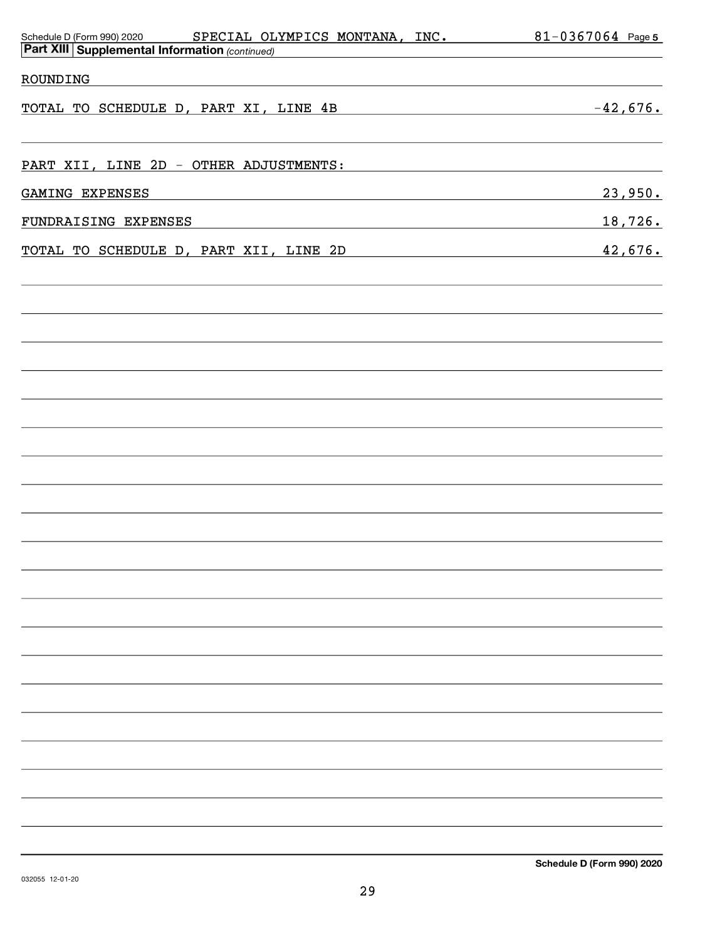| <b>Part XIII Supplemental Information (continued)</b><br>ROUNDING<br>$-42,676.$<br>TOTAL TO SCHEDULE D, PART XI, LINE 4B<br><u> 1989 - Jan Salaman, masjid al-</u> |  |
|--------------------------------------------------------------------------------------------------------------------------------------------------------------------|--|
|                                                                                                                                                                    |  |
|                                                                                                                                                                    |  |
|                                                                                                                                                                    |  |
|                                                                                                                                                                    |  |
| PART XII, LINE 2D - OTHER ADJUSTMENTS:                                                                                                                             |  |
| 23,950.<br>GAMING EXPENSES                                                                                                                                         |  |
| 18,726.<br>FUNDRAISING EXPENSES                                                                                                                                    |  |
| 42,676.<br>TOTAL TO SCHEDULE D, PART XII, LINE 2D                                                                                                                  |  |
|                                                                                                                                                                    |  |
|                                                                                                                                                                    |  |
|                                                                                                                                                                    |  |
|                                                                                                                                                                    |  |
|                                                                                                                                                                    |  |
|                                                                                                                                                                    |  |
|                                                                                                                                                                    |  |
|                                                                                                                                                                    |  |
|                                                                                                                                                                    |  |
|                                                                                                                                                                    |  |
|                                                                                                                                                                    |  |
|                                                                                                                                                                    |  |
|                                                                                                                                                                    |  |
|                                                                                                                                                                    |  |
|                                                                                                                                                                    |  |
|                                                                                                                                                                    |  |
|                                                                                                                                                                    |  |
|                                                                                                                                                                    |  |
|                                                                                                                                                                    |  |
|                                                                                                                                                                    |  |
|                                                                                                                                                                    |  |
|                                                                                                                                                                    |  |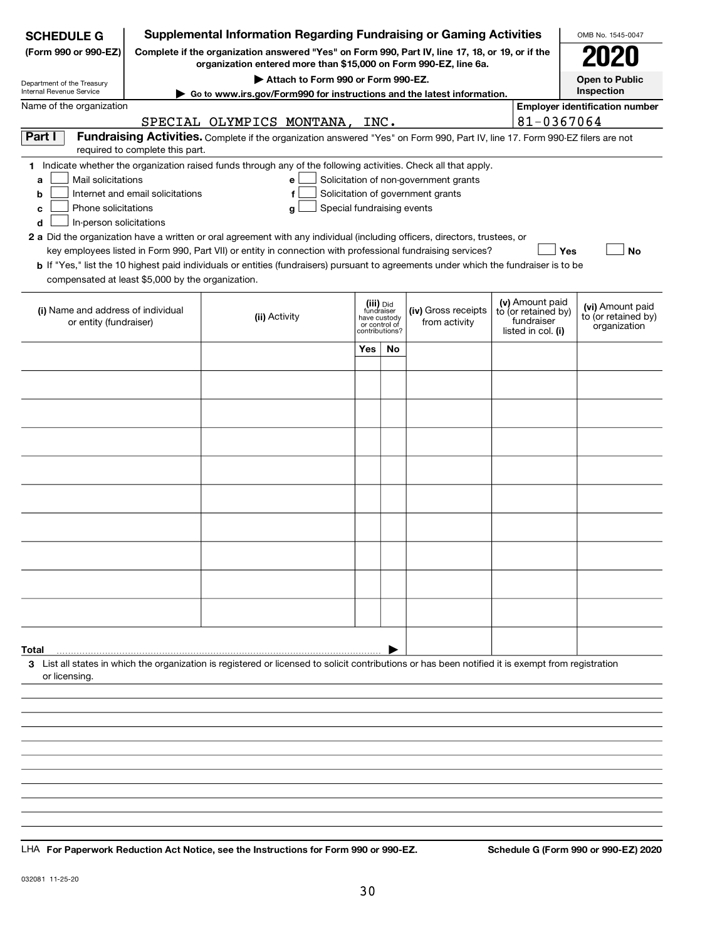| <b>SCHEDULE G</b>                                                                                                                             |                                  | <b>Supplemental Information Regarding Fundraising or Gaming Activities</b>                                                                                                                                                                                                                                                                                                                                                                                                                                                                                |                                                                            |    |                                                                            |                                                                            | OMB No. 1545-0047                                       |
|-----------------------------------------------------------------------------------------------------------------------------------------------|----------------------------------|-----------------------------------------------------------------------------------------------------------------------------------------------------------------------------------------------------------------------------------------------------------------------------------------------------------------------------------------------------------------------------------------------------------------------------------------------------------------------------------------------------------------------------------------------------------|----------------------------------------------------------------------------|----|----------------------------------------------------------------------------|----------------------------------------------------------------------------|---------------------------------------------------------|
| (Form 990 or 990-EZ)                                                                                                                          | 2020                             |                                                                                                                                                                                                                                                                                                                                                                                                                                                                                                                                                           |                                                                            |    |                                                                            |                                                                            |                                                         |
| Department of the Treasury<br>Internal Revenue Service                                                                                        |                                  | Attach to Form 990 or Form 990-EZ.                                                                                                                                                                                                                                                                                                                                                                                                                                                                                                                        |                                                                            |    |                                                                            |                                                                            | <b>Open to Public</b><br>Inspection                     |
| Name of the organization                                                                                                                      |                                  | Go to www.irs.gov/Form990 for instructions and the latest information.                                                                                                                                                                                                                                                                                                                                                                                                                                                                                    |                                                                            |    |                                                                            |                                                                            | <b>Employer identification number</b>                   |
|                                                                                                                                               |                                  | <u>SPECIAL OLYMPICS MONTANA,</u>                                                                                                                                                                                                                                                                                                                                                                                                                                                                                                                          | INC.                                                                       |    |                                                                            | 81-0367064                                                                 |                                                         |
| Part I                                                                                                                                        | required to complete this part.  | Fundraising Activities. Complete if the organization answered "Yes" on Form 990, Part IV, line 17. Form 990-EZ filers are not                                                                                                                                                                                                                                                                                                                                                                                                                             |                                                                            |    |                                                                            |                                                                            |                                                         |
| Mail solicitations<br>a<br>b<br>Phone solicitations<br>c<br>In-person solicitations<br>d<br>compensated at least \$5,000 by the organization. | Internet and email solicitations | 1 Indicate whether the organization raised funds through any of the following activities. Check all that apply.<br>e<br>f<br>Special fundraising events<br>g<br>2 a Did the organization have a written or oral agreement with any individual (including officers, directors, trustees, or<br>key employees listed in Form 990, Part VII) or entity in connection with professional fundraising services?<br><b>b</b> If "Yes," list the 10 highest paid individuals or entities (fundraisers) pursuant to agreements under which the fundraiser is to be |                                                                            |    | Solicitation of non-government grants<br>Solicitation of government grants |                                                                            | <b>Yes</b><br><b>No</b>                                 |
| (i) Name and address of individual<br>or entity (fundraiser)                                                                                  |                                  | (ii) Activity                                                                                                                                                                                                                                                                                                                                                                                                                                                                                                                                             | (iii) Did<br>fundraiser<br>have custody<br>or control of<br>contributions? |    | (iv) Gross receipts<br>from activity                                       | (v) Amount paid<br>to (or retained by)<br>fundraiser<br>listed in col. (i) | (vi) Amount paid<br>to (or retained by)<br>organization |
|                                                                                                                                               |                                  |                                                                                                                                                                                                                                                                                                                                                                                                                                                                                                                                                           | <b>Yes</b>                                                                 | No |                                                                            |                                                                            |                                                         |
|                                                                                                                                               |                                  |                                                                                                                                                                                                                                                                                                                                                                                                                                                                                                                                                           |                                                                            |    |                                                                            |                                                                            |                                                         |
|                                                                                                                                               |                                  |                                                                                                                                                                                                                                                                                                                                                                                                                                                                                                                                                           |                                                                            |    |                                                                            |                                                                            |                                                         |
|                                                                                                                                               |                                  |                                                                                                                                                                                                                                                                                                                                                                                                                                                                                                                                                           |                                                                            |    |                                                                            |                                                                            |                                                         |
|                                                                                                                                               |                                  |                                                                                                                                                                                                                                                                                                                                                                                                                                                                                                                                                           |                                                                            |    |                                                                            |                                                                            |                                                         |
|                                                                                                                                               |                                  |                                                                                                                                                                                                                                                                                                                                                                                                                                                                                                                                                           |                                                                            |    |                                                                            |                                                                            |                                                         |
|                                                                                                                                               |                                  |                                                                                                                                                                                                                                                                                                                                                                                                                                                                                                                                                           |                                                                            |    |                                                                            |                                                                            |                                                         |
|                                                                                                                                               |                                  |                                                                                                                                                                                                                                                                                                                                                                                                                                                                                                                                                           |                                                                            |    |                                                                            |                                                                            |                                                         |
|                                                                                                                                               |                                  |                                                                                                                                                                                                                                                                                                                                                                                                                                                                                                                                                           |                                                                            |    |                                                                            |                                                                            |                                                         |
|                                                                                                                                               |                                  |                                                                                                                                                                                                                                                                                                                                                                                                                                                                                                                                                           |                                                                            |    |                                                                            |                                                                            |                                                         |
|                                                                                                                                               |                                  |                                                                                                                                                                                                                                                                                                                                                                                                                                                                                                                                                           |                                                                            |    |                                                                            |                                                                            |                                                         |
|                                                                                                                                               |                                  |                                                                                                                                                                                                                                                                                                                                                                                                                                                                                                                                                           |                                                                            |    |                                                                            |                                                                            |                                                         |
|                                                                                                                                               |                                  |                                                                                                                                                                                                                                                                                                                                                                                                                                                                                                                                                           |                                                                            |    |                                                                            |                                                                            |                                                         |
|                                                                                                                                               |                                  |                                                                                                                                                                                                                                                                                                                                                                                                                                                                                                                                                           |                                                                            |    |                                                                            |                                                                            |                                                         |
| Total                                                                                                                                         |                                  | 3 List all states in which the organization is registered or licensed to solicit contributions or has been notified it is exempt from registration                                                                                                                                                                                                                                                                                                                                                                                                        |                                                                            |    |                                                                            |                                                                            |                                                         |
| or licensing.                                                                                                                                 |                                  |                                                                                                                                                                                                                                                                                                                                                                                                                                                                                                                                                           |                                                                            |    |                                                                            |                                                                            |                                                         |
|                                                                                                                                               |                                  |                                                                                                                                                                                                                                                                                                                                                                                                                                                                                                                                                           |                                                                            |    |                                                                            |                                                                            |                                                         |
|                                                                                                                                               |                                  |                                                                                                                                                                                                                                                                                                                                                                                                                                                                                                                                                           |                                                                            |    |                                                                            |                                                                            |                                                         |
|                                                                                                                                               |                                  |                                                                                                                                                                                                                                                                                                                                                                                                                                                                                                                                                           |                                                                            |    |                                                                            |                                                                            |                                                         |
|                                                                                                                                               |                                  |                                                                                                                                                                                                                                                                                                                                                                                                                                                                                                                                                           |                                                                            |    |                                                                            |                                                                            |                                                         |
|                                                                                                                                               |                                  |                                                                                                                                                                                                                                                                                                                                                                                                                                                                                                                                                           |                                                                            |    |                                                                            |                                                                            |                                                         |
|                                                                                                                                               |                                  |                                                                                                                                                                                                                                                                                                                                                                                                                                                                                                                                                           |                                                                            |    |                                                                            |                                                                            |                                                         |

LHA For Paperwork Reduction Act Notice, see the Instructions for Form 990 or 990-EZ. Schedule G (Form 990 or 990-EZ) 2020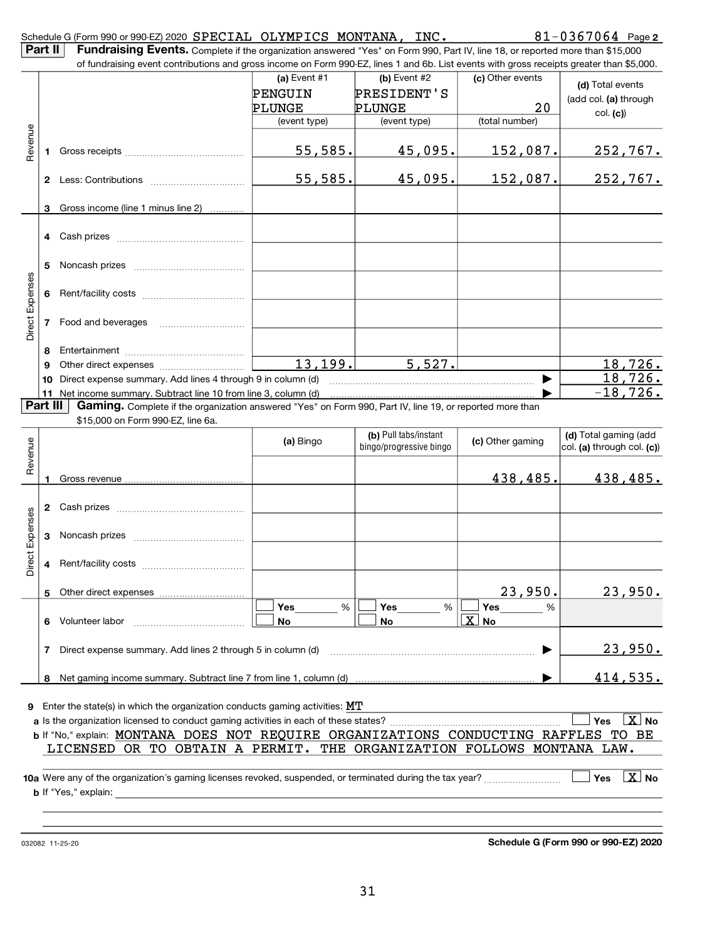|                 | $81 - 0367064$ Page 2<br>Schedule G (Form 990 or 990-EZ) 2020 SPECIAL OLYMPICS MONTANA, INC.<br>Part II<br>Fundraising Events. Complete if the organization answered "Yes" on Form 990, Part IV, line 18, or reported more than \$15,000 |                                                                                                                                               |                |                                                  |                   |                                                        |  |  |
|-----------------|------------------------------------------------------------------------------------------------------------------------------------------------------------------------------------------------------------------------------------------|-----------------------------------------------------------------------------------------------------------------------------------------------|----------------|--------------------------------------------------|-------------------|--------------------------------------------------------|--|--|
|                 |                                                                                                                                                                                                                                          | of fundraising event contributions and gross income on Form 990-EZ, lines 1 and 6b. List events with gross receipts greater than \$5,000.     |                |                                                  |                   |                                                        |  |  |
|                 |                                                                                                                                                                                                                                          |                                                                                                                                               | (a) Event $#1$ | (b) Event #2                                     | (c) Other events  | (d) Total events                                       |  |  |
|                 |                                                                                                                                                                                                                                          |                                                                                                                                               | PENGUIN        | PRESIDENT'S                                      |                   | (add col. (a) through                                  |  |  |
|                 |                                                                                                                                                                                                                                          |                                                                                                                                               | PLUNGE         | PLUNGE                                           | 20                | col. (c)                                               |  |  |
|                 |                                                                                                                                                                                                                                          |                                                                                                                                               | (event type)   | (event type)                                     | (total number)    |                                                        |  |  |
| Revenue         | 1.                                                                                                                                                                                                                                       |                                                                                                                                               | 55,585.        | 45,095.                                          | 152,087.          | 252,767.                                               |  |  |
|                 |                                                                                                                                                                                                                                          |                                                                                                                                               | 55,585.        | 45,095.                                          | <u>152,087.</u>   | <u>252,767.</u>                                        |  |  |
|                 | 3                                                                                                                                                                                                                                        | Gross income (line 1 minus line 2)                                                                                                            |                |                                                  |                   |                                                        |  |  |
|                 |                                                                                                                                                                                                                                          |                                                                                                                                               |                |                                                  |                   |                                                        |  |  |
|                 | 4                                                                                                                                                                                                                                        |                                                                                                                                               |                |                                                  |                   |                                                        |  |  |
|                 | 5                                                                                                                                                                                                                                        |                                                                                                                                               |                |                                                  |                   |                                                        |  |  |
|                 | 6                                                                                                                                                                                                                                        |                                                                                                                                               |                |                                                  |                   |                                                        |  |  |
| Direct Expenses | 7                                                                                                                                                                                                                                        |                                                                                                                                               |                |                                                  |                   |                                                        |  |  |
|                 | 8                                                                                                                                                                                                                                        |                                                                                                                                               |                |                                                  |                   |                                                        |  |  |
|                 |                                                                                                                                                                                                                                          |                                                                                                                                               | 13, 199.       | 5,527.                                           |                   | <u>18,726.</u>                                         |  |  |
|                 | 10                                                                                                                                                                                                                                       | Direct expense summary. Add lines 4 through 9 in column (d)                                                                                   |                |                                                  |                   | <u>18,726.</u>                                         |  |  |
|                 |                                                                                                                                                                                                                                          | 11 Net income summary. Subtract line 10 from line 3, column (d)                                                                               |                |                                                  |                   | $-18,726.$                                             |  |  |
|                 | Part III                                                                                                                                                                                                                                 | Gaming. Complete if the organization answered "Yes" on Form 990, Part IV, line 19, or reported more than<br>\$15,000 on Form 990-EZ, line 6a. |                |                                                  |                   |                                                        |  |  |
| Revenue         |                                                                                                                                                                                                                                          |                                                                                                                                               | (a) Bingo      | (b) Pull tabs/instant<br>bingo/progressive bingo | (c) Other gaming  | (d) Total gaming (add<br>$ col.$ (a) through col. (c)) |  |  |
|                 | 1.                                                                                                                                                                                                                                       |                                                                                                                                               |                |                                                  | 438,485.          | 438,485.                                               |  |  |
|                 |                                                                                                                                                                                                                                          |                                                                                                                                               |                |                                                  |                   |                                                        |  |  |
|                 |                                                                                                                                                                                                                                          |                                                                                                                                               |                |                                                  |                   |                                                        |  |  |
| Expenses        | 3                                                                                                                                                                                                                                        |                                                                                                                                               |                |                                                  |                   |                                                        |  |  |
| $\vec{v}$<br>Öï | 4                                                                                                                                                                                                                                        |                                                                                                                                               |                |                                                  |                   |                                                        |  |  |
|                 | 5                                                                                                                                                                                                                                        |                                                                                                                                               |                |                                                  | 23,950.           | 23,950.                                                |  |  |
|                 |                                                                                                                                                                                                                                          |                                                                                                                                               | Yes<br>%       | Yes<br>%                                         | <b>Yes</b><br>%   |                                                        |  |  |
|                 | 6                                                                                                                                                                                                                                        | Volunteer labor                                                                                                                               | No             | No                                               | $\overline{X}$ No |                                                        |  |  |
|                 | 7                                                                                                                                                                                                                                        | Direct expense summary. Add lines 2 through 5 in column (d)                                                                                   |                |                                                  |                   | <u>23,950.</u>                                         |  |  |
|                 | 8                                                                                                                                                                                                                                        |                                                                                                                                               |                |                                                  |                   | <u>414,535.</u>                                        |  |  |
|                 |                                                                                                                                                                                                                                          |                                                                                                                                               |                |                                                  |                   |                                                        |  |  |
|                 |                                                                                                                                                                                                                                          | <b>9</b> Enter the state(s) in which the organization conducts gaming activities: $MT$                                                        |                |                                                  |                   | $\boxed{\text{X}}$ No<br>Yes                           |  |  |
|                 |                                                                                                                                                                                                                                          | b If "No," explain: MONTANA DOES NOT REQUIRE ORGANIZATIONS CONDUCTING RAFFLES TO BE                                                           |                |                                                  |                   |                                                        |  |  |
|                 |                                                                                                                                                                                                                                          | LICENSED OR TO OBTAIN A PERMIT. THE ORGANIZATION FOLLOWS MONTANA LAW.                                                                         |                |                                                  |                   |                                                        |  |  |
|                 |                                                                                                                                                                                                                                          |                                                                                                                                               |                |                                                  |                   | $\lfloor x \rfloor$ No<br><b>Yes</b>                   |  |  |
|                 |                                                                                                                                                                                                                                          |                                                                                                                                               |                |                                                  |                   |                                                        |  |  |
|                 |                                                                                                                                                                                                                                          |                                                                                                                                               |                |                                                  |                   |                                                        |  |  |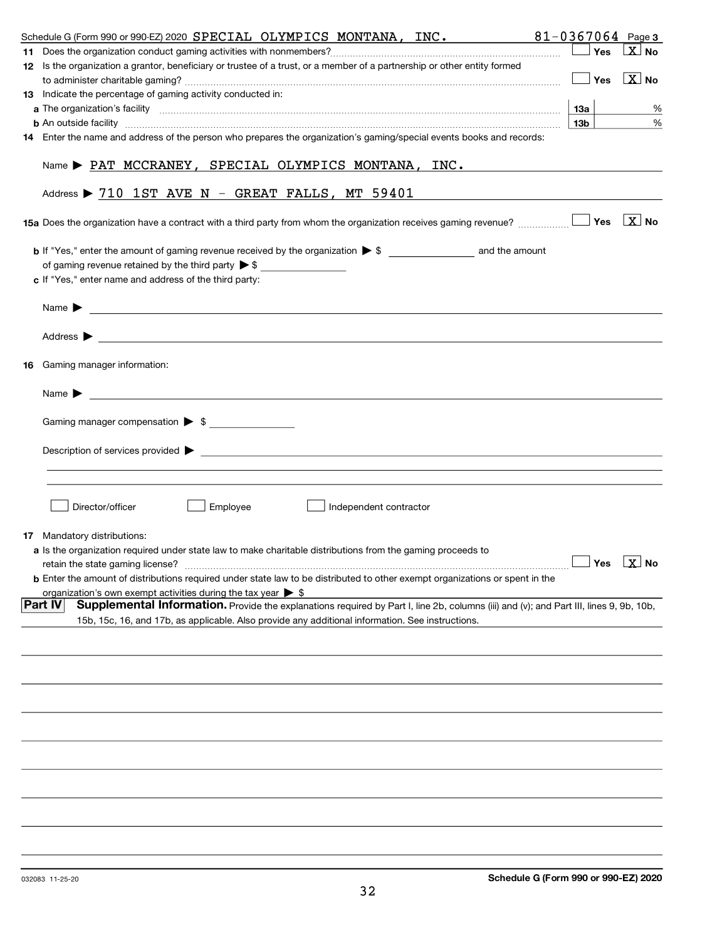| Schedule G (Form 990 or 990-EZ) 2020 SPECIAL OLYMPICS MONTANA, INC.                                                                                               |                 |       | $81 - 0367064$ Page 3            |
|-------------------------------------------------------------------------------------------------------------------------------------------------------------------|-----------------|-------|----------------------------------|
|                                                                                                                                                                   |                 | ⊥ Yes | $ X $ No.                        |
| 12 Is the organization a grantor, beneficiary or trustee of a trust, or a member of a partnership or other entity formed                                          |                 |       |                                  |
|                                                                                                                                                                   |                 |       | $\Box$ Yes $\boxed{\text{X}}$ No |
| 13 Indicate the percentage of gaming activity conducted in:                                                                                                       |                 |       |                                  |
|                                                                                                                                                                   | 13а             |       | %                                |
| <b>b</b> An outside facility <b>with an accommodal contract and accommodal contract and accommodal contract and accommoda</b>                                     | 13 <sub>b</sub> |       | $\%$                             |
| 14 Enter the name and address of the person who prepares the organization's gaming/special events books and records:                                              |                 |       |                                  |
| $Name \triangleright$ PAT MCCRANEY, SPECIAL OLYMPICS MONTANA, INC.                                                                                                |                 |       |                                  |
| Address $\triangleright$ 710 1ST AVE N - GREAT FALLS, MT 59401                                                                                                    |                 |       |                                  |
| <b>15a</b> Does the organization have a contract with a third party from whom the organization receives gaming revenue? <b>Moto South August</b> 1985 <b>X</b> No |                 |       |                                  |
| of gaming revenue retained by the third party $\triangleright$ \$<br>c If "Yes," enter name and address of the third party:                                       |                 |       |                                  |
|                                                                                                                                                                   |                 |       |                                  |
|                                                                                                                                                                   |                 |       |                                  |
| <b>16</b> Gaming manager information:                                                                                                                             |                 |       |                                  |
| <u> 1989 - Johann Barbara, martin amerikan basal dan berasal dan berasal dalam basal dan berasal dan berasal dan</u><br>Name $\blacktriangleright$                |                 |       |                                  |
| Gaming manager compensation > \$                                                                                                                                  |                 |       |                                  |
| Description of services provided $\blacktriangleright$                                                                                                            |                 |       |                                  |
|                                                                                                                                                                   |                 |       |                                  |
| Director/officer<br>Employee<br>Independent contractor                                                                                                            |                 |       |                                  |
| 17 Mandatory distributions:                                                                                                                                       |                 |       |                                  |
| a Is the organization required under state law to make charitable distributions from the gaming proceeds to                                                       |                 |       |                                  |
| retain the state gaming license?                                                                                                                                  | $\Box$ Yes      |       | $\boxed{\textbf{X}}$ No          |
| <b>b</b> Enter the amount of distributions required under state law to be distributed to other exempt organizations or spent in the                               |                 |       |                                  |
| organization's own exempt activities during the tax year $\triangleright$ \$                                                                                      |                 |       |                                  |
| <b>Part IV</b><br>Supplemental Information. Provide the explanations required by Part I, line 2b, columns (iii) and (v); and Part III, lines 9, 9b, 10b,          |                 |       |                                  |
| 15b, 15c, 16, and 17b, as applicable. Also provide any additional information. See instructions.                                                                  |                 |       |                                  |
|                                                                                                                                                                   |                 |       |                                  |
|                                                                                                                                                                   |                 |       |                                  |
|                                                                                                                                                                   |                 |       |                                  |
|                                                                                                                                                                   |                 |       |                                  |
|                                                                                                                                                                   |                 |       |                                  |
|                                                                                                                                                                   |                 |       |                                  |
|                                                                                                                                                                   |                 |       |                                  |
|                                                                                                                                                                   |                 |       |                                  |
|                                                                                                                                                                   |                 |       |                                  |
|                                                                                                                                                                   |                 |       |                                  |
|                                                                                                                                                                   |                 |       |                                  |
|                                                                                                                                                                   |                 |       |                                  |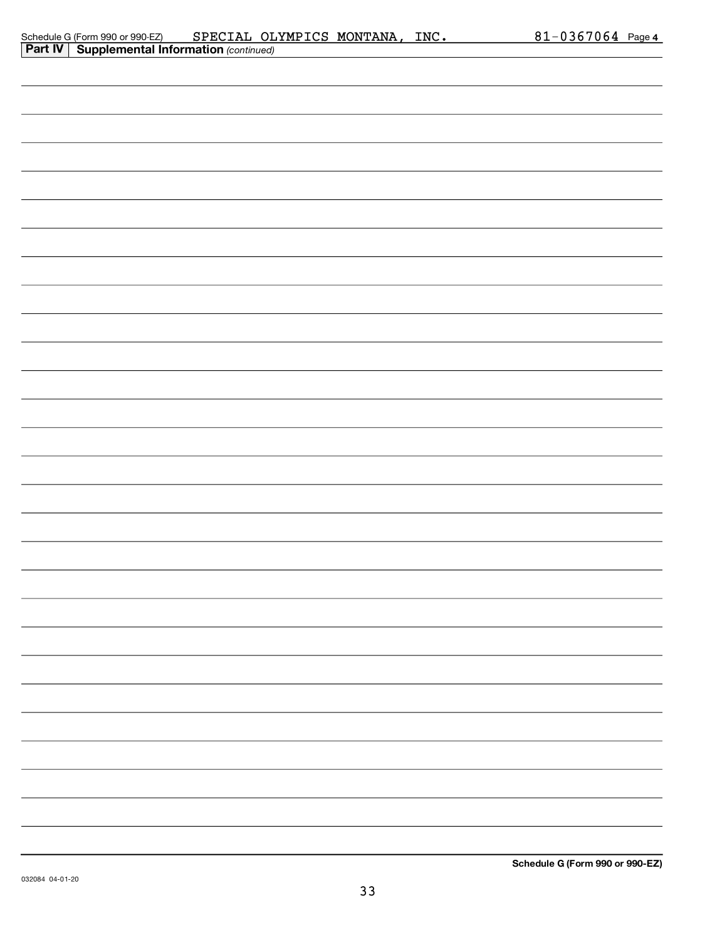| Schedule G (Form 990 or 990-EZ)                       | SPECIAL OLYMPICS MONTANA, | INC. | $81 - 0367064$ Page 4 |  |
|-------------------------------------------------------|---------------------------|------|-----------------------|--|
| <b>Part IV   Supplemental Information (continued)</b> |                           |      |                       |  |

| . . |  |  |
|-----|--|--|
|     |  |  |
|     |  |  |
|     |  |  |
|     |  |  |
|     |  |  |
|     |  |  |
|     |  |  |
|     |  |  |
|     |  |  |
|     |  |  |
|     |  |  |
|     |  |  |
|     |  |  |
|     |  |  |
|     |  |  |
|     |  |  |
|     |  |  |
|     |  |  |
|     |  |  |
|     |  |  |
|     |  |  |
|     |  |  |
|     |  |  |
|     |  |  |
|     |  |  |
|     |  |  |
|     |  |  |
|     |  |  |
|     |  |  |
|     |  |  |
|     |  |  |
|     |  |  |
|     |  |  |
|     |  |  |
|     |  |  |
|     |  |  |
|     |  |  |
|     |  |  |
|     |  |  |
|     |  |  |
|     |  |  |
|     |  |  |
|     |  |  |
|     |  |  |
|     |  |  |
|     |  |  |
|     |  |  |
|     |  |  |
|     |  |  |
|     |  |  |
|     |  |  |
|     |  |  |
|     |  |  |
|     |  |  |
|     |  |  |
|     |  |  |
|     |  |  |
|     |  |  |
|     |  |  |
|     |  |  |
|     |  |  |
|     |  |  |
|     |  |  |
|     |  |  |
|     |  |  |
|     |  |  |
|     |  |  |
|     |  |  |
|     |  |  |
|     |  |  |
|     |  |  |
|     |  |  |
|     |  |  |
|     |  |  |
|     |  |  |
|     |  |  |
|     |  |  |
|     |  |  |
|     |  |  |
|     |  |  |
|     |  |  |
|     |  |  |
|     |  |  |
|     |  |  |
|     |  |  |
|     |  |  |
|     |  |  |
|     |  |  |
|     |  |  |
|     |  |  |
|     |  |  |
|     |  |  |
|     |  |  |
|     |  |  |
|     |  |  |
|     |  |  |
|     |  |  |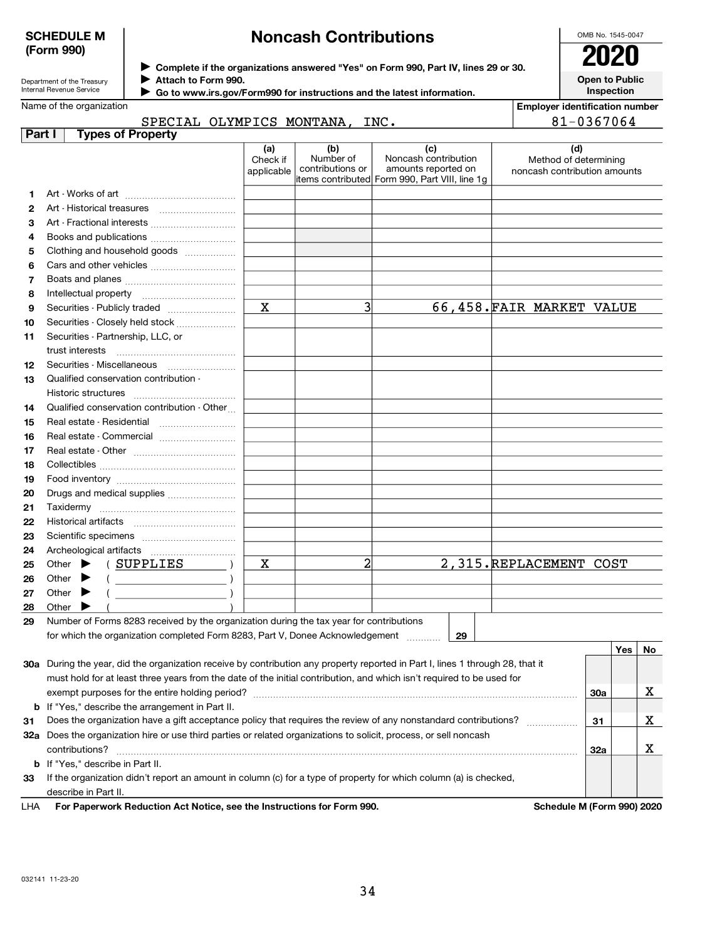Department of the Treasury Internal Revenue Service

## Noncash Contributions

| OMB No. 1545-0047 |
|-------------------|
| 2020              |
| Open to Public    |

**Inspection** 

 $\vert$  Yes  $\vert$  No

Employer identification number

Complete if the organizations answered "Yes" on Form 990, Part IV, lines 29 or 30.

Attach to Form 990.

▶ Go to www.irs.gov/Form990 for instructions and the latest information.

Name of the organization

#### **Part I** Types of Proper SPECIAL OLYMPICS MONTANA, INC. 81-0367064

| <b>Types of Property</b><br>t I       |              |                  |                                                                       |                              |
|---------------------------------------|--------------|------------------|-----------------------------------------------------------------------|------------------------------|
|                                       | (a)          | (b)              | (c)                                                                   | (d)                          |
|                                       | Check if     | Number of        | Noncash contribution                                                  | Method of determining        |
|                                       | applicable   | contributions or | amounts reported on<br>items contributed Form 990, Part VIII, line 1g | noncash contribution amounts |
|                                       |              |                  |                                                                       |                              |
|                                       |              |                  |                                                                       |                              |
|                                       |              |                  |                                                                       |                              |
|                                       |              |                  |                                                                       |                              |
| Clothing and household goods          |              |                  |                                                                       |                              |
|                                       |              |                  |                                                                       |                              |
|                                       |              |                  |                                                                       |                              |
|                                       |              |                  |                                                                       |                              |
| Securities - Publicly traded          | $\mathbf{x}$ |                  |                                                                       | 66,458. FAIR MARKET VALUE    |
| Securities - Closely held stock       |              |                  |                                                                       |                              |
| Securities - Partnership, LLC, or     |              |                  |                                                                       |                              |
| trust interests                       |              |                  |                                                                       |                              |
|                                       |              |                  |                                                                       |                              |
| Qualified conservation contribution - |              |                  |                                                                       |                              |
| Historic structures                   |              |                  |                                                                       |                              |

| 12 | Securities - Miscellaneous                                                                 |   |  |                         |  |
|----|--------------------------------------------------------------------------------------------|---|--|-------------------------|--|
| 13 | Qualified conservation contribution -                                                      |   |  |                         |  |
|    | Historic structures                                                                        |   |  |                         |  |
| 14 | Qualified conservation contribution - Other                                                |   |  |                         |  |
| 15 | Real estate - Residential                                                                  |   |  |                         |  |
| 16 |                                                                                            |   |  |                         |  |
| 17 |                                                                                            |   |  |                         |  |
| 18 |                                                                                            |   |  |                         |  |
| 19 |                                                                                            |   |  |                         |  |
| 20 | Drugs and medical supplies                                                                 |   |  |                         |  |
| 21 | Taxidermy                                                                                  |   |  |                         |  |
| 22 | Historical artifacts                                                                       |   |  |                         |  |
| 23 |                                                                                            |   |  |                         |  |
| 24 | Archeological artifacts                                                                    |   |  |                         |  |
| 25 | (SUPPLIES<br>Other $\blacktriangleright$                                                   | x |  | 2,315. REPLACEMENT COST |  |
| 26 | Other $\blacktriangleright$                                                                |   |  |                         |  |
| 27 | Other                                                                                      |   |  |                         |  |
| 28 | Other                                                                                      |   |  |                         |  |
|    | 00. Number of Ferma 0000 research butto experiention during the tex year for contributions |   |  |                         |  |

29 Number of Forms 8283 received by the organization during the tax year for contributions for which the organization completed Form 8283, Part V, Donee Acknowledgement

29

| contributions?<br><b>b</b> If "Yes," describe in Part II.<br>If the organization didn't report an amount in column (c) for a type of property for which column (a) is checked,<br>describe in Part II. | 32a                                                                                                                                                                                 |                                                                                                                            | ▵ |
|--------------------------------------------------------------------------------------------------------------------------------------------------------------------------------------------------------|-------------------------------------------------------------------------------------------------------------------------------------------------------------------------------------|----------------------------------------------------------------------------------------------------------------------------|---|
|                                                                                                                                                                                                        |                                                                                                                                                                                     |                                                                                                                            |   |
|                                                                                                                                                                                                        |                                                                                                                                                                                     |                                                                                                                            |   |
|                                                                                                                                                                                                        |                                                                                                                                                                                     |                                                                                                                            |   |
|                                                                                                                                                                                                        |                                                                                                                                                                                     |                                                                                                                            | v |
|                                                                                                                                                                                                        |                                                                                                                                                                                     |                                                                                                                            |   |
| Does the organization have a gift acceptance policy that requires the review of any nonstandard contributions?                                                                                         | 31                                                                                                                                                                                  |                                                                                                                            | х |
|                                                                                                                                                                                                        |                                                                                                                                                                                     |                                                                                                                            |   |
| exempt purposes for the entire holding period?                                                                                                                                                         | 30a                                                                                                                                                                                 |                                                                                                                            | х |
| must hold for at least three years from the date of the initial contribution, and which isn't required to be used for                                                                                  |                                                                                                                                                                                     |                                                                                                                            |   |
|                                                                                                                                                                                                        |                                                                                                                                                                                     |                                                                                                                            |   |
|                                                                                                                                                                                                        | 30a<br><b>b</b> If "Yes," describe the arrangement in Part II.<br>32a Does the organization hire or use third parties or related organizations to solicit, process, or sell noncash | During the year, did the organization receive by contribution any property reported in Part I, lines 1 through 28, that it |   |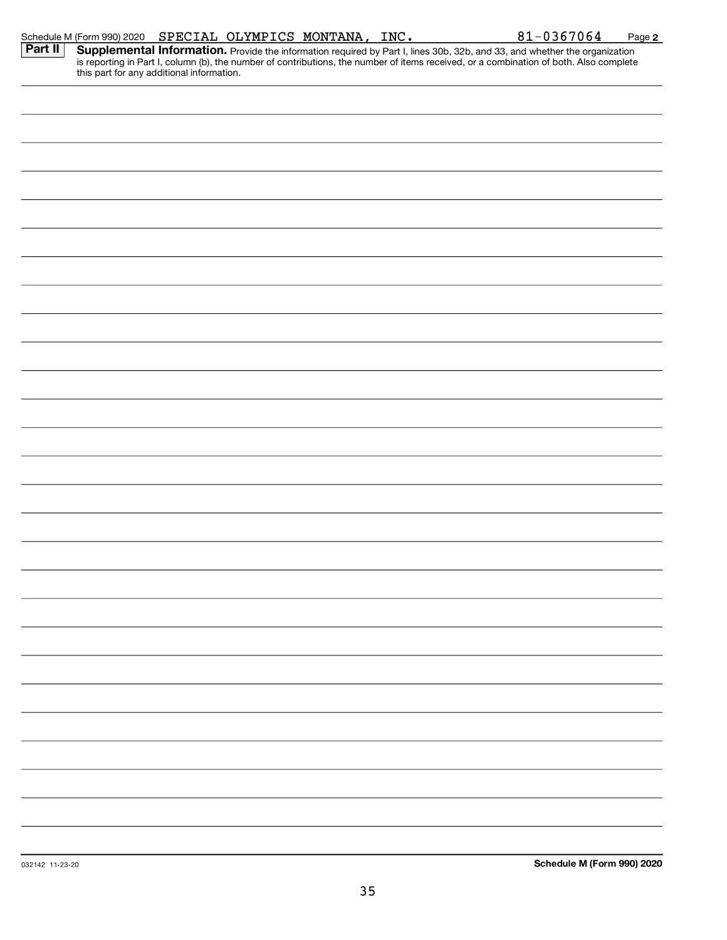|         | Schedule M (Form 990) 2020 SPECIAL OLYMPICS MONTANA, INC. |  |  | $81 - 0367064$                                                                                                                                                                                                                      | Page 2 |
|---------|-----------------------------------------------------------|--|--|-------------------------------------------------------------------------------------------------------------------------------------------------------------------------------------------------------------------------------------|--------|
| Part II | this part for any additional information.                 |  |  | <b>Supplemental Information.</b> Provide the information required by Part I, lines 30b, 32b, and 33, and whether the organization is reporting in Part I, column (b), the number of contributions, the number of items received, or |        |
|         |                                                           |  |  |                                                                                                                                                                                                                                     |        |
|         |                                                           |  |  |                                                                                                                                                                                                                                     |        |
|         |                                                           |  |  |                                                                                                                                                                                                                                     |        |
|         |                                                           |  |  |                                                                                                                                                                                                                                     |        |
|         |                                                           |  |  |                                                                                                                                                                                                                                     |        |
|         |                                                           |  |  |                                                                                                                                                                                                                                     |        |
|         |                                                           |  |  |                                                                                                                                                                                                                                     |        |
|         |                                                           |  |  |                                                                                                                                                                                                                                     |        |
|         |                                                           |  |  |                                                                                                                                                                                                                                     |        |
|         |                                                           |  |  |                                                                                                                                                                                                                                     |        |
|         |                                                           |  |  |                                                                                                                                                                                                                                     |        |
|         |                                                           |  |  |                                                                                                                                                                                                                                     |        |
|         |                                                           |  |  |                                                                                                                                                                                                                                     |        |
|         |                                                           |  |  |                                                                                                                                                                                                                                     |        |
|         |                                                           |  |  |                                                                                                                                                                                                                                     |        |
|         |                                                           |  |  |                                                                                                                                                                                                                                     |        |
|         |                                                           |  |  |                                                                                                                                                                                                                                     |        |
|         |                                                           |  |  |                                                                                                                                                                                                                                     |        |
|         |                                                           |  |  |                                                                                                                                                                                                                                     |        |
|         |                                                           |  |  |                                                                                                                                                                                                                                     |        |
|         |                                                           |  |  |                                                                                                                                                                                                                                     |        |
|         |                                                           |  |  |                                                                                                                                                                                                                                     |        |
|         |                                                           |  |  |                                                                                                                                                                                                                                     |        |
|         |                                                           |  |  |                                                                                                                                                                                                                                     |        |
|         |                                                           |  |  |                                                                                                                                                                                                                                     |        |
|         |                                                           |  |  |                                                                                                                                                                                                                                     |        |
|         |                                                           |  |  |                                                                                                                                                                                                                                     |        |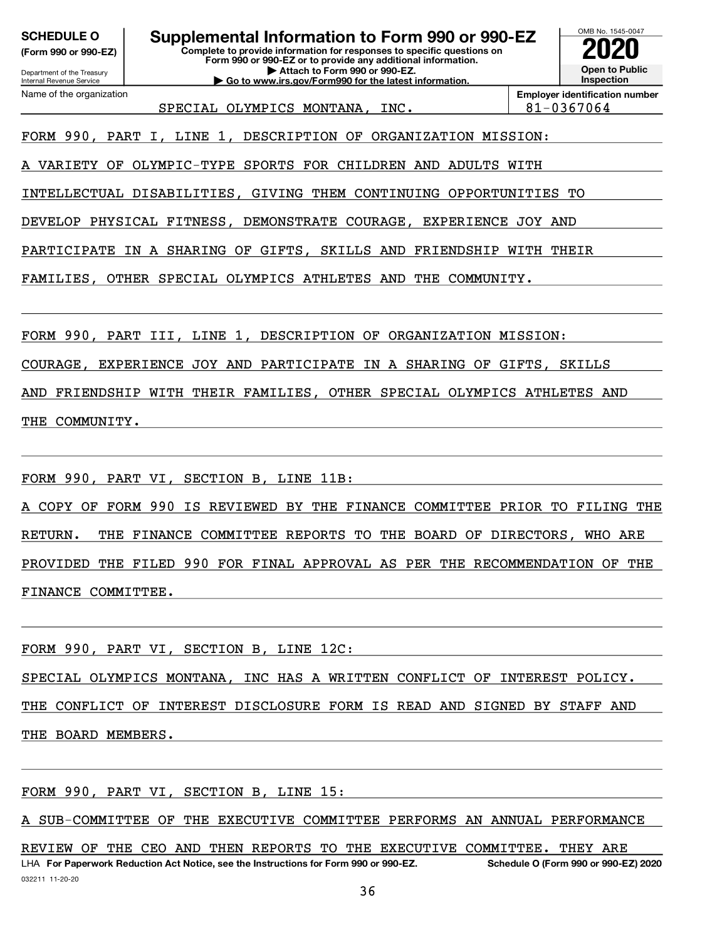(Form 990 or 990-EZ)

Department of the Treasury

Internal Revenue Service Name of the organization | Go to www.irs.gov/Form990 for the latest information.



Employer identification number SPECIAL OLYMPICS MONTANA, INC. 81-0367064

FORM 990, PART I, LINE 1, DESCRIPTION OF ORGANIZATION MISSION:

A VARIETY OF OLYMPIC-TYPE SPORTS FOR CHILDREN AND ADULTS WITH

INTELLECTUAL DISABILITIES, GIVING THEM CONTINUING OPPORTUNITIES TO

DEVELOP PHYSICAL FITNESS, DEMONSTRATE COURAGE, EXPERIENCE JOY AND

PARTICIPATE IN A SHARING OF GIFTS, SKILLS AND FRIENDSHIP WITH THEIR

FAMILIES, OTHER SPECIAL OLYMPICS ATHLETES AND THE COMMUNITY.

FORM 990, PART III, LINE 1, DESCRIPTION OF ORGANIZATION MISSION:

COURAGE, EXPERIENCE JOY AND PARTICIPATE IN A SHARING OF GIFTS, SKILLS

AND FRIENDSHIP WITH THEIR FAMILIES, OTHER SPECIAL OLYMPICS ATHLETES AND THE COMMUNITY.

FORM 990, PART VI, SECTION B, LINE 11B:

A COPY OF FORM 990 IS REVIEWED BY THE FINANCE COMMITTEE PRIOR TO FILING THE RETURN. THE FINANCE COMMITTEE REPORTS TO THE BOARD OF DIRECTORS, WHO ARE PROVIDED THE FILED 990 FOR FINAL APPROVAL AS PER THE RECOMMENDATION OF THE FINANCE COMMITTEE.

FORM 990, PART VI, SECTION B, LINE 12C:

SPECIAL OLYMPICS MONTANA, INC HAS A WRITTEN CONFLICT OF INTEREST POLICY.

THE CONFLICT OF INTEREST DISCLOSURE FORM IS READ AND SIGNED BY STAFF AND THE BOARD MEMBERS.

FORM 990, PART VI, SECTION B, LINE 15:

A SUB-COMMITTEE OF THE EXECUTIVE COMMITTEE PERFORMS AN ANNUAL PERFORMANCE

032211 11-20-20 LHA For Paperwork Reduction Act Notice, see the Instructions for Form 990 or 990-EZ. Schedule O (Form 990 or 990-EZ) 2020 REVIEW OF THE CEO AND THEN REPORTS TO THE EXECUTIVE COMMITTEE. THEY ARE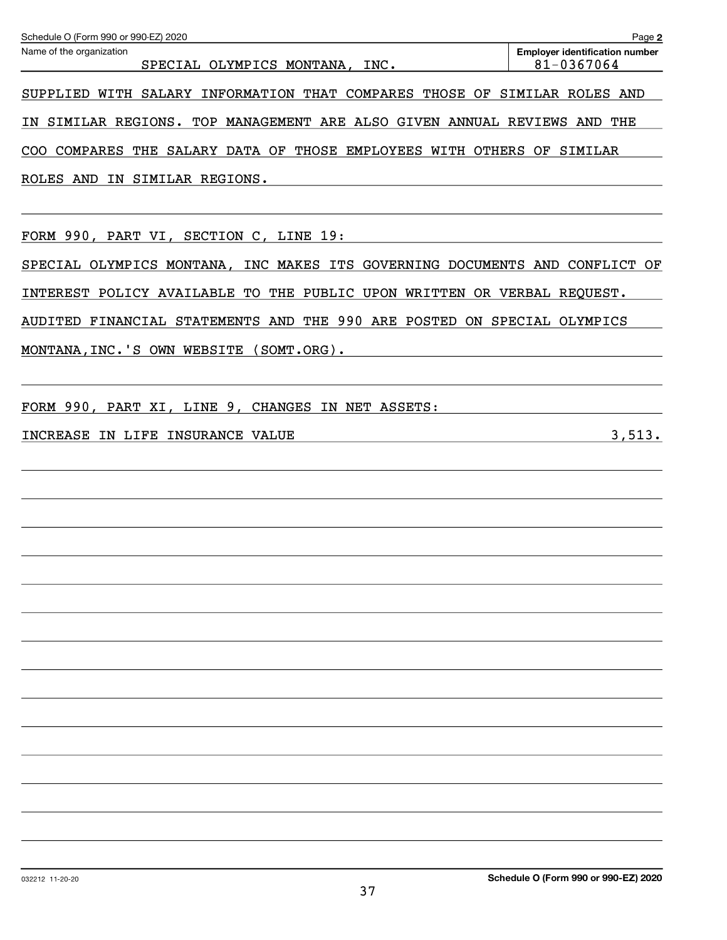| Schedule O (Form 990 or 990-EZ) 2020                                        | Page 2                                              |
|-----------------------------------------------------------------------------|-----------------------------------------------------|
| Name of the organization<br>SPECIAL OLYMPICS MONTANA,<br>INC.               | <b>Employer identification number</b><br>81-0367064 |
| SUPPLIED WITH SALARY INFORMATION THAT COMPARES THOSE OF SIMILAR ROLES AND   |                                                     |
| IN SIMILAR REGIONS. TOP MANAGEMENT ARE ALSO GIVEN ANNUAL REVIEWS AND THE    |                                                     |
| COO COMPARES THE SALARY DATA OF THOSE EMPLOYEES WITH OTHERS OF SIMILAR      |                                                     |
| ROLES AND IN SIMILAR REGIONS.                                               |                                                     |
| FORM 990, PART VI, SECTION C, LINE 19:                                      |                                                     |
| SPECIAL OLYMPICS MONTANA, INC MAKES ITS GOVERNING DOCUMENTS AND CONFLICT OF |                                                     |
| INTEREST POLICY AVAILABLE TO THE PUBLIC UPON WRITTEN OR VERBAL REQUEST.     |                                                     |
| AUDITED FINANCIAL STATEMENTS AND THE 990 ARE POSTED ON SPECIAL OLYMPICS     |                                                     |
| MONTANA,INC.'S OWN WEBSITE (SOMT.ORG).                                      |                                                     |
| FORM 990, PART XI, LINE 9,<br>CHANGES IN NET ASSETS:                        |                                                     |
| INCREASE IN LIFE INSURANCE VALUE                                            | 3,513.                                              |
|                                                                             |                                                     |
|                                                                             |                                                     |
|                                                                             |                                                     |
|                                                                             |                                                     |
|                                                                             |                                                     |
|                                                                             |                                                     |
|                                                                             |                                                     |
|                                                                             |                                                     |
|                                                                             |                                                     |
|                                                                             |                                                     |
|                                                                             |                                                     |
|                                                                             |                                                     |
|                                                                             |                                                     |